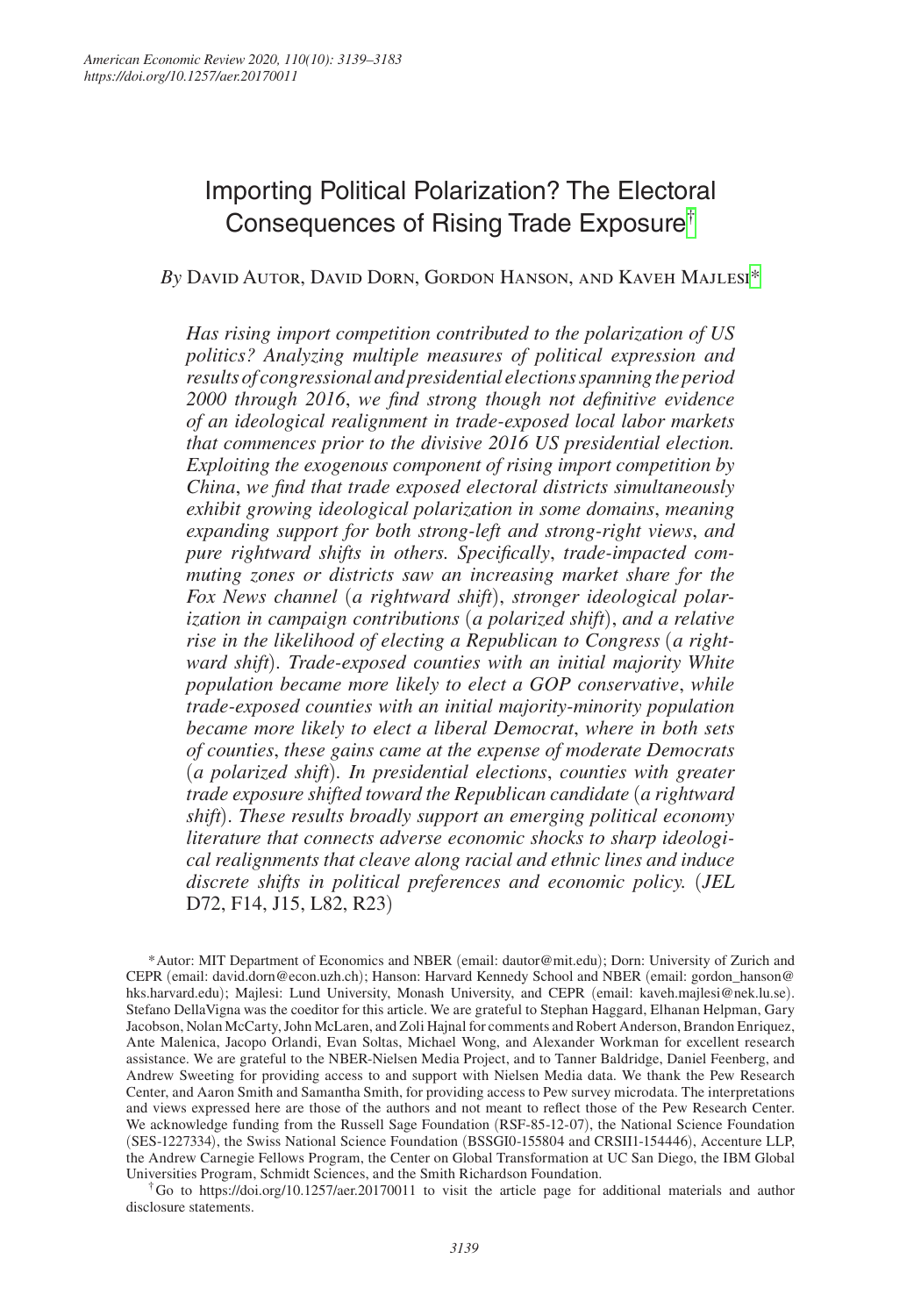# Importing Political Polarization? The Electoral Consequences of Rising Trade Exposure[†](#page-0-0)

# *By* David Autor, David Dorn, Gordon Hanson, and Kaveh Majlesi[\\*](#page-0-1)

*Has rising import competition contributed to the polarization of US politics? Analyzing multiple measures of political expression and results of congressional and presidential elections spanning the period 2000 through 2016*, *we find strong though not definitive evidence of an ideological realignment in trade-exposed local labor markets that commences prior to the divisive 2016 US presidential election. Exploiting the exogenous component of rising import competition by China*, *we find that trade exposed electoral districts simultaneously exhibit growing ideological polarization in some domains*, *meaning expanding support for both strong-left and strong-right views*, *and pure rightward shifts in others. Specifically*, *trade-impacted commuting zones or districts saw an increasing market share for the Fox News channel* (*a rightward shift*), *stronger ideological polarization in campaign contributions* (*a polarized shift*), *and a relative rise in the likelihood of electing a Republican to Congress* (*a rightward shift*)*. Trade-exposed counties with an initial majority White population became more likely to elect a GOP conservative*, *while trade-exposed counties with an initial majority-minority population became more likely to elect a liberal Democrat*, *where in both sets of counties*, *these gains came at the expense of moderate Democrats*  (*a polarized shift*)*. In presidential elections*, *counties with greater trade exposure shifted toward the Republican candidate* (*a rightward shift*)*. These results broadly support an emerging political economy literature that connects adverse economic shocks to sharp ideological realignments that cleave along racial and ethnic lines and induce discrete shifts in political preferences and economic policy.* (*JEL*  D72, F14, J15, L82, R23)

<span id="page-0-1"></span>\*Autor: MIT Department of Economics and NBER (email: [dautor@mit.edu](mailto:dautor@mit.edu)); Dorn: University of Zurich and CEPR (email: [david.dorn@econ.uzh.ch](mailto:david.dorn@econ.uzh.ch)); Hanson: Harvard Kennedy School and NBER (email: [gordon\\_hanson@](mailto:gordon_hanson@hks.harvard.edu) [hks.harvard.edu](mailto:gordon_hanson@hks.harvard.edu)); Majlesi: Lund University, Monash University, and CEPR (email: [kaveh.majlesi@nek.lu.se](mailto:kaveh.majlesi@nek.lu.se)). Stefano DellaVigna was the coeditor for this article. We are grateful to Stephan Haggard, Elhanan Helpman, Gary Jacobson, Nolan McCarty, John McLaren, and Zoli Hajnal for comments and Robert Anderson, Brandon Enriquez, Ante Malenica, Jacopo Orlandi, Evan Soltas, Michael Wong, and Alexander Workman for excellent research assistance. We are grateful to the NBER-Nielsen Media Project, and to Tanner Baldridge, Daniel Feenberg, and Andrew Sweeting for providing access to and support with Nielsen Media data. We thank the Pew Research Center, and Aaron Smith and Samantha Smith, for providing access to Pew survey microdata. The interpretations and views expressed here are those of the authors and not meant to reflect those of the Pew Research Center. We acknowledge funding from the Russell Sage Foundation (RSF-85-12-07), the National Science Foundation (SES-1227334), the Swiss National Science Foundation (BSSGI0-155804 and CRSII1-154446), Accenture LLP, the Andrew Carnegie Fellows Program, the Center on Global Transformation at UC San Diego, the IBM Global Universities Program, Schmidt Sciences, and the Smith Richardson Foundation.

<span id="page-0-0"></span>†Go to <https://doi.org/10.1257/aer.20170011>to visit the article page for additional materials and author disclosure statements.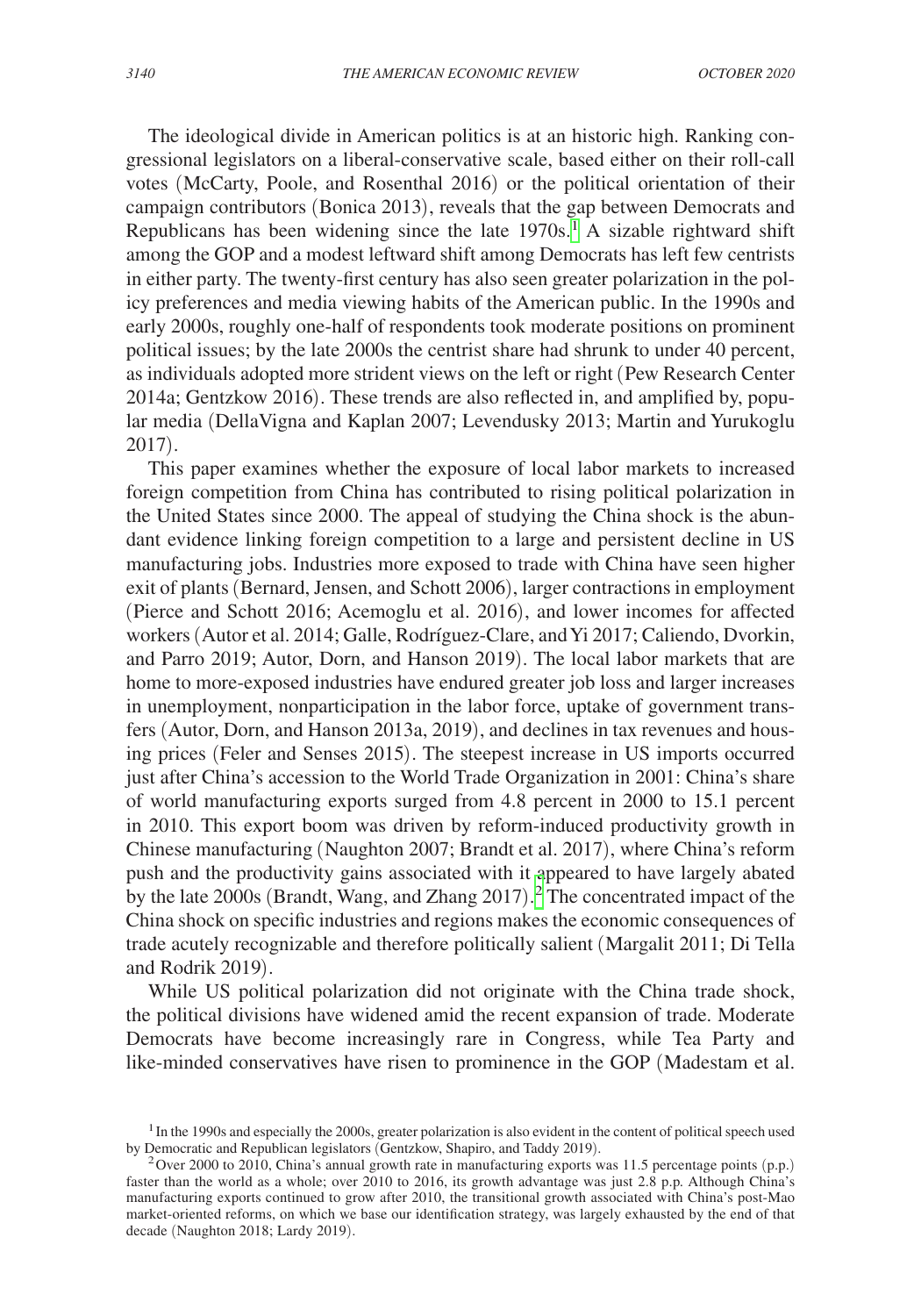The ideological divide in American politics is at an historic high. Ranking congressional legislators on a liberal-conservative scale, based either on their roll-call votes (McCarty, Poole, and Rosenthal 2016) or the political orientation of their campaign contributors (Bonica 2013), reveals that the gap between Democrats and Republicans has been widening since the late  $1970s$  $1970s$ .<sup>1</sup> A sizable rightward shift among the GOP and a modest leftward shift among Democrats has left few centrists in either party. The twenty-first century has also seen greater polarization in the policy preferences and media viewing habits of the American public. In the 1990s and early 2000s, roughly one-half of respondents took moderate positions on prominent political issues; by the late 2000s the centrist share had shrunk to under 40 percent, as individuals adopted more strident views on the left or right (Pew Research Center 2014a; Gentzkow 2016). These trends are also reflected in, and amplified by, popular media (DellaVigna and Kaplan 2007; Levendusky 2013; Martin and Yurukoglu 2017).

This paper examines whether the exposure of local labor markets to increased foreign competition from China has contributed to rising political polarization in the United States since 2000. The appeal of studying the China shock is the abundant evidence linking foreign competition to a large and persistent decline in US manufacturing jobs. Industries more exposed to trade with China have seen higher exit of plants (Bernard, Jensen, and Schott 2006), larger contractions in employment (Pierce and Schott 2016; Acemoglu et al. 2016), and lower incomes for affected workers (Autor et al. 2014; Galle, Rodríguez-Clare, and Yi 2017; Caliendo, Dvorkin, and Parro 2019; Autor, Dorn, and Hanson 2019). The local labor markets that are home to more-exposed industries have endured greater job loss and larger increases in unemployment, nonparticipation in the labor force, uptake of government transfers (Autor, Dorn, and Hanson 2013a, 2019), and declines in tax revenues and housing prices (Feler and Senses 2015). The steepest increase in US imports occurred just after China's accession to the World Trade Organization in 2001: China's share of world manufacturing exports surged from 4.8 percent in 2000 to 15.1 percent in 2010. This export boom was driven by reform-induced productivity growth in Chinese manufacturing (Naughton 2007; Brandt et al. 2017), where China's reform push and the productivity gains associated with it appeared to have largely abated by the late  $2000s$  $2000s$  (Brandt, Wang, and Zhang  $2017$ ).<sup>2</sup> The concentrated impact of the China shock on specific industries and regions makes the economic consequences of trade acutely recognizable and therefore politically salient (Margalit 2011; Di Tella and Rodrik 2019).

While US political polarization did not originate with the China trade shock, the political divisions have widened amid the recent expansion of trade. Moderate Democrats have become increasingly rare in Congress, while Tea Party and like-minded conservatives have risen to prominence in the GOP (Madestam et al.

<span id="page-1-0"></span><sup>&</sup>lt;sup>1</sup> In the 1990s and especially the 2000s, greater polarization is also evident in the content of political speech used by Democratic and Republican legislators (Gentzkow, Shapiro, and Taddy 2019).

<span id="page-1-1"></span><sup>&</sup>lt;sup>2</sup> Over 2000 to 2010, China's annual growth rate in manufacturing exports was 11.5 percentage points (p.p.) faster than the world as a whole; over 2010 to 2016, its growth advantage was just 2.8 p.p*.* Although China's manufacturing exports continued to grow after 2010, the transitional growth associated with China's post-Mao market-oriented reforms, on which we base our identification strategy, was largely exhausted by the end of that decade (Naughton 2018; Lardy 2019).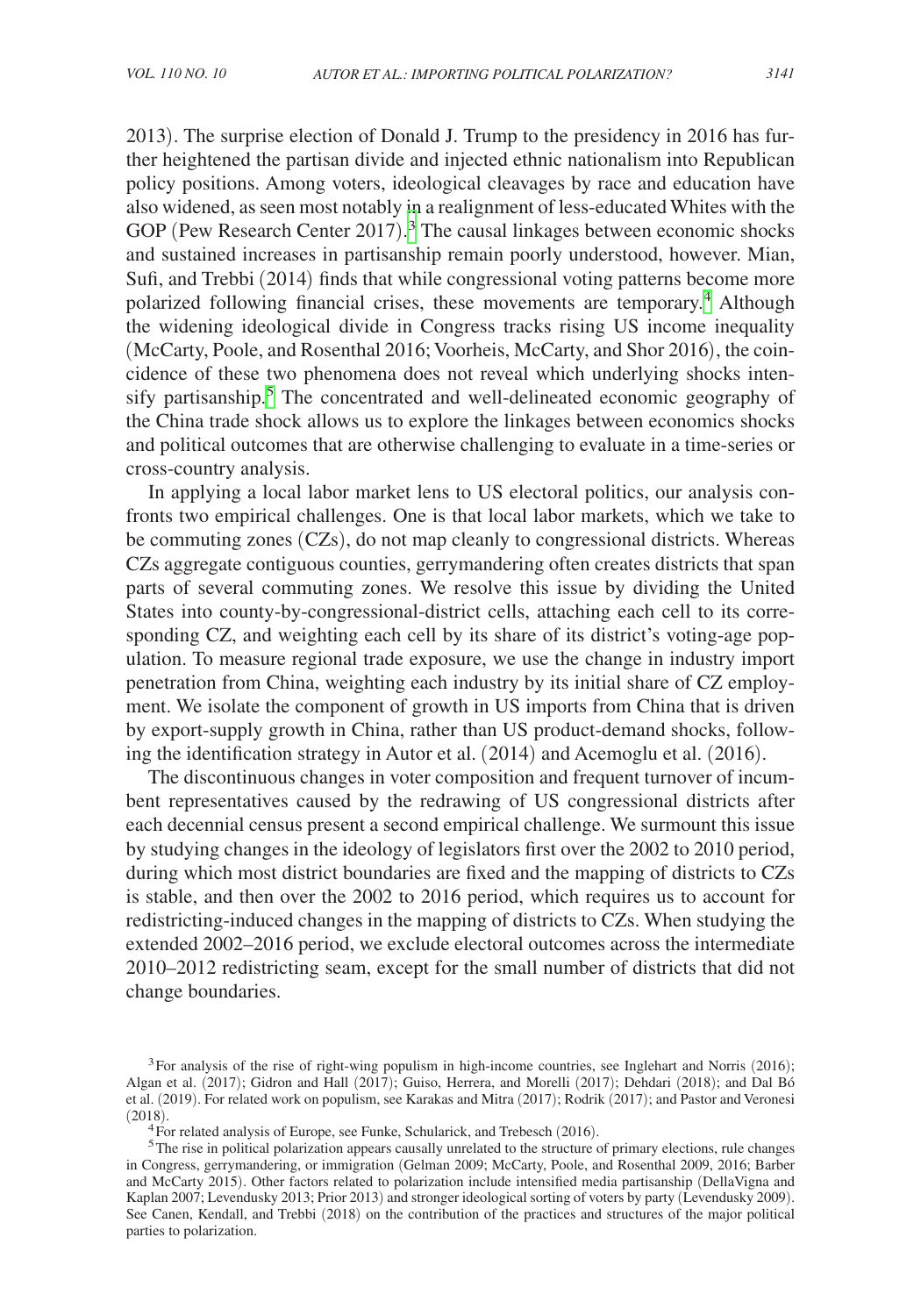2013). The surprise election of Donald J. Trump to the presidency in 2016 has further heightened the partisan divide and injected ethnic nationalism into Republican policy positions. Among voters, ideological cleavages by race and education have also widened, as seen most notably in a realignment of less-educated Whites with the GOP (Pew Research Center 2017).<sup>[3](#page-2-0)</sup> The causal linkages between economic shocks and sustained increases in partisanship remain poorly understood, however. Mian, Sufi, and Trebbi (2014) finds that while congressional voting patterns become more polarized following financial crises, these movements are temporary.<sup>[4](#page-2-1)</sup> Although the widening ideological divide in Congress tracks rising US income inequality (McCarty, Poole, and Rosenthal 2016; Voorheis, McCarty, and Shor 2016), the coincidence of these two phenomena does not reveal which underlying shocks inten-sify partisanship.<sup>[5](#page-2-2)</sup> The concentrated and well-delineated economic geography of the China trade shock allows us to explore the linkages between economics shocks and political outcomes that are otherwise challenging to evaluate in a time-series or cross-country analysis.

In applying a local labor market lens to US electoral politics, our analysis confronts two empirical challenges. One is that local labor markets, which we take to be commuting zones (CZs), do not map cleanly to congressional districts. Whereas CZs aggregate contiguous counties, gerrymandering often creates districts that span parts of several commuting zones. We resolve this issue by dividing the United States into county-by-congressional-district cells, attaching each cell to its corresponding CZ, and weighting each cell by its share of its district's voting-age population. To measure regional trade exposure, we use the change in industry import penetration from China, weighting each industry by its initial share of CZ employment. We isolate the component of growth in US imports from China that is driven by export-supply growth in China, rather than US product-demand shocks, following the identification strategy in Autor et al. (2014) and Acemoglu et al. (2016).

The discontinuous changes in voter composition and frequent turnover of incumbent representatives caused by the redrawing of US congressional districts after each decennial census present a second empirical challenge. We surmount this issue by studying changes in the ideology of legislators first over the 2002 to 2010 period, during which most district boundaries are fixed and the mapping of districts to CZs is stable, and then over the 2002 to 2016 period, which requires us to account for redistricting-induced changes in the mapping of districts to CZs. When studying the extended 2002–2016 period, we exclude electoral outcomes across the intermediate 2010–2012 redistricting seam, except for the small number of districts that did not change boundaries.

<span id="page-2-0"></span><sup>&</sup>lt;sup>3</sup>For analysis of the rise of right-wing populism in high-income countries, see Inglehart and Norris (2016); Algan et al. (2017); Gidron and Hall (2017); Guiso, Herrera, and Morelli (2017); Dehdari (2018); and Dal Bó et al. (2019). For related work on populism, see Karakas and Mitra (2017); Rodrik (2017); and Pastor and Veronesi

<span id="page-2-2"></span><span id="page-2-1"></span>

<sup>&</sup>lt;sup>4</sup>For related analysis of Europe, see Funke, Schularick, and Trebesch (2016).  $5$ The rise in political polarization appears causally unrelated to the structure of primary elections, rule changes in Congress, gerrymandering, or immigration (Gelman 2009; McCarty, Poole, and Rosenthal 2009, 2016; Barber and McCarty 2015). Other factors related to polarization include intensified media partisanship (DellaVigna and Kaplan 2007; Levendusky 2013; Prior 2013) and stronger ideological sorting of voters by party (Levendusky 2009). See Canen, Kendall, and Trebbi (2018) on the contribution of the practices and structures of the major political parties to polarization.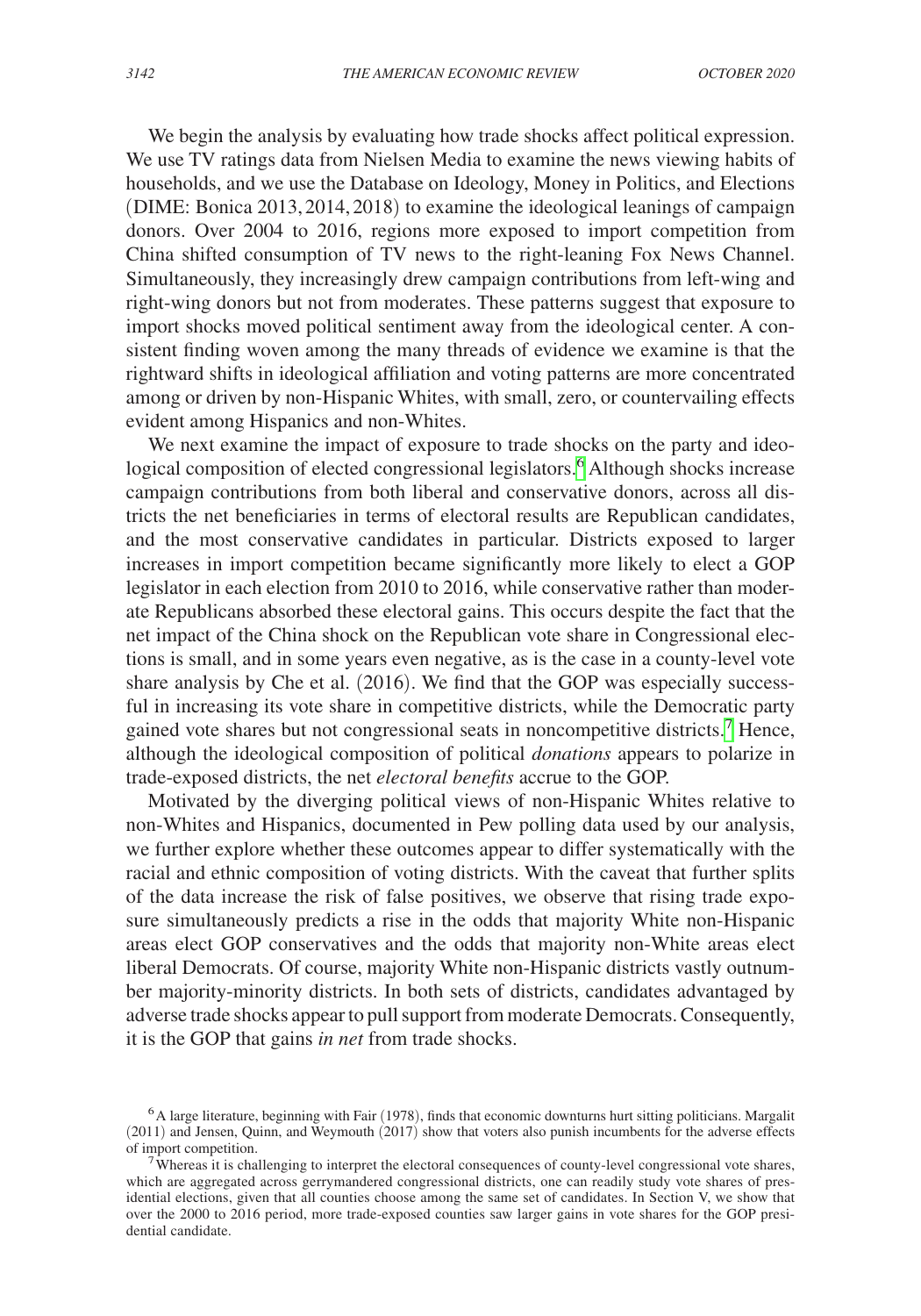We begin the analysis by evaluating how trade shocks affect political expression. We use TV ratings data from Nielsen Media to examine the news viewing habits of households, and we use the Database on Ideology, Money in Politics, and Elections (DIME: Bonica 2013,2014, 2018) to examine the ideological leanings of campaign donors. Over 2004 to 2016, regions more exposed to import competition from China shifted consumption of TV news to the right-leaning Fox News Channel. Simultaneously, they increasingly drew campaign contributions from left-wing and right-wing donors but not from moderates. These patterns suggest that exposure to import shocks moved political sentiment away from the ideological center. A consistent finding woven among the many threads of evidence we examine is that the rightward shifts in ideological affiliation and voting patterns are more concentrated among or driven by non-Hispanic Whites, with small, zero, or countervailing effects evident among Hispanics and non-Whites.

We next examine the impact of exposure to trade shocks on the party and ideo-logical composition of elected congressional legislators.<sup>[6](#page-3-0)</sup> Although shocks increase campaign contributions from both liberal and conservative donors, across all districts the net beneficiaries in terms of electoral results are Republican candidates, and the most conservative candidates in particular. Districts exposed to larger increases in import competition became significantly more likely to elect a GOP legislator in each election from 2010 to 2016, while conservative rather than moderate Republicans absorbed these electoral gains. This occurs despite the fact that the net impact of the China shock on the Republican vote share in Congressional elections is small, and in some years even negative, as is the case in a county-level vote share analysis by Che et al. (2016). We find that the GOP was especially successful in increasing its vote share in competitive districts, while the Democratic party gained vote shares but not congressional seats in noncompetitive districts.<sup>[7](#page-3-1)</sup> Hence, although the ideological composition of political *donations* appears to polarize in trade-exposed districts, the net *electoral benefits* accrue to the GOP.

Motivated by the diverging political views of non-Hispanic Whites relative to non-Whites and Hispanics, documented in Pew polling data used by our analysis, we further explore whether these outcomes appear to differ systematically with the racial and ethnic composition of voting districts. With the caveat that further splits of the data increase the risk of false positives, we observe that rising trade exposure simultaneously predicts a rise in the odds that majority White non-Hispanic areas elect GOP conservatives and the odds that majority non-White areas elect liberal Democrats. Of course, majority White non-Hispanic districts vastly outnumber majority-minority districts. In both sets of districts, candidates advantaged by adverse trade shocks appear to pull support from moderate Democrats. Consequently, it is the GOP that gains *in net* from trade shocks.

<span id="page-3-0"></span><sup>6</sup>A large literature, beginning with Fair (1978), finds that economic downturns hurt sitting politicians. Margalit  $(2011)$  and Jensen, Quinn, and Weymouth  $(2017)$  show that voters also punish incumbents for the adverse effects of import competition.

<span id="page-3-1"></span> $\overline{7}$  Whereas it is challenging to interpret the electoral consequences of county-level congressional vote shares, which are aggregated across gerrymandered congressional districts, one can readily study vote shares of presidential elections, given that all counties choose among the same set of candidates. In Section V, we show that over the 2000 to 2016 period, more trade-exposed counties saw larger gains in vote shares for the GOP presidential candidate.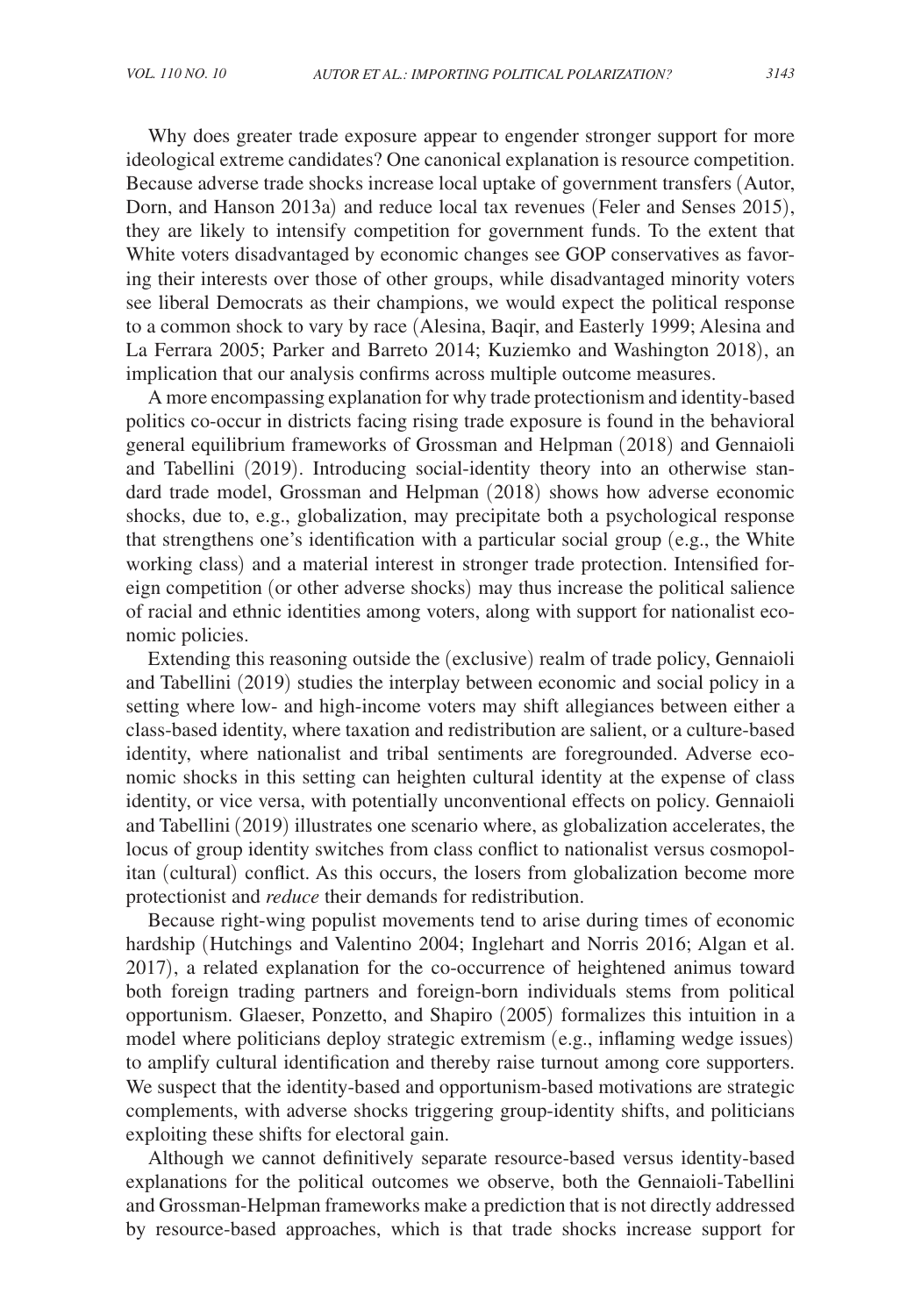Why does greater trade exposure appear to engender stronger support for more ideological extreme candidates? One canonical explanation is resource competition. Because adverse trade shocks increase local uptake of government transfers (Autor, Dorn, and Hanson 2013a) and reduce local tax revenues (Feler and Senses 2015), they are likely to intensify competition for government funds. To the extent that White voters disadvantaged by economic changes see GOP conservatives as favoring their interests over those of other groups, while disadvantaged minority voters see liberal Democrats as their champions, we would expect the political response to a common shock to vary by race (Alesina, Baqir, and Easterly 1999; Alesina and La Ferrara 2005; Parker and Barreto 2014; Kuziemko and Washington 2018), an implication that our analysis confirms across multiple outcome measures.

A more encompassing explanation for why trade protectionism and identity-based politics co-occur in districts facing rising trade exposure is found in the behavioral general equilibrium frameworks of Grossman and Helpman (2018) and Gennaioli and Tabellini (2019). Introducing social-identity theory into an otherwise standard trade model, Grossman and Helpman (2018) shows how adverse economic shocks, due to, e.g., globalization, may precipitate both a psychological response that strengthens one's identification with a particular social group (e.g., the White working class) and a material interest in stronger trade protection. Intensified foreign competition (or other adverse shocks) may thus increase the political salience of racial and ethnic identities among voters, along with support for nationalist economic policies.

Extending this reasoning outside the (exclusive) realm of trade policy, Gennaioli and Tabellini (2019) studies the interplay between economic and social policy in a setting where low- and high-income voters may shift allegiances between either a class-based identity, where taxation and redistribution are salient, or a culture-based identity, where nationalist and tribal sentiments are foregrounded. Adverse economic shocks in this setting can heighten cultural identity at the expense of class identity, or vice versa, with potentially unconventional effects on policy. Gennaioli and Tabellini (2019) illustrates one scenario where, as globalization accelerates, the locus of group identity switches from class conflict to nationalist versus cosmopolitan (cultural) conflict. As this occurs, the losers from globalization become more protectionist and *reduce* their demands for redistribution.

Because right-wing populist movements tend to arise during times of economic hardship (Hutchings and Valentino 2004; Inglehart and Norris 2016; Algan et al. 2017), a related explanation for the co-occurrence of heightened animus toward both foreign trading partners and foreign-born individuals stems from political opportunism. Glaeser, Ponzetto, and Shapiro (2005) formalizes this intuition in a model where politicians deploy strategic extremism (e.g., inflaming wedge issues) to amplify cultural identification and thereby raise turnout among core supporters. We suspect that the identity-based and opportunism-based motivations are strategic complements, with adverse shocks triggering group-identity shifts, and politicians exploiting these shifts for electoral gain.

Although we cannot definitively separate resource-based versus identity-based explanations for the political outcomes we observe, both the Gennaioli-Tabellini and Grossman-Helpman frameworks make a prediction that is not directly addressed by resource-based approaches, which is that trade shocks increase support for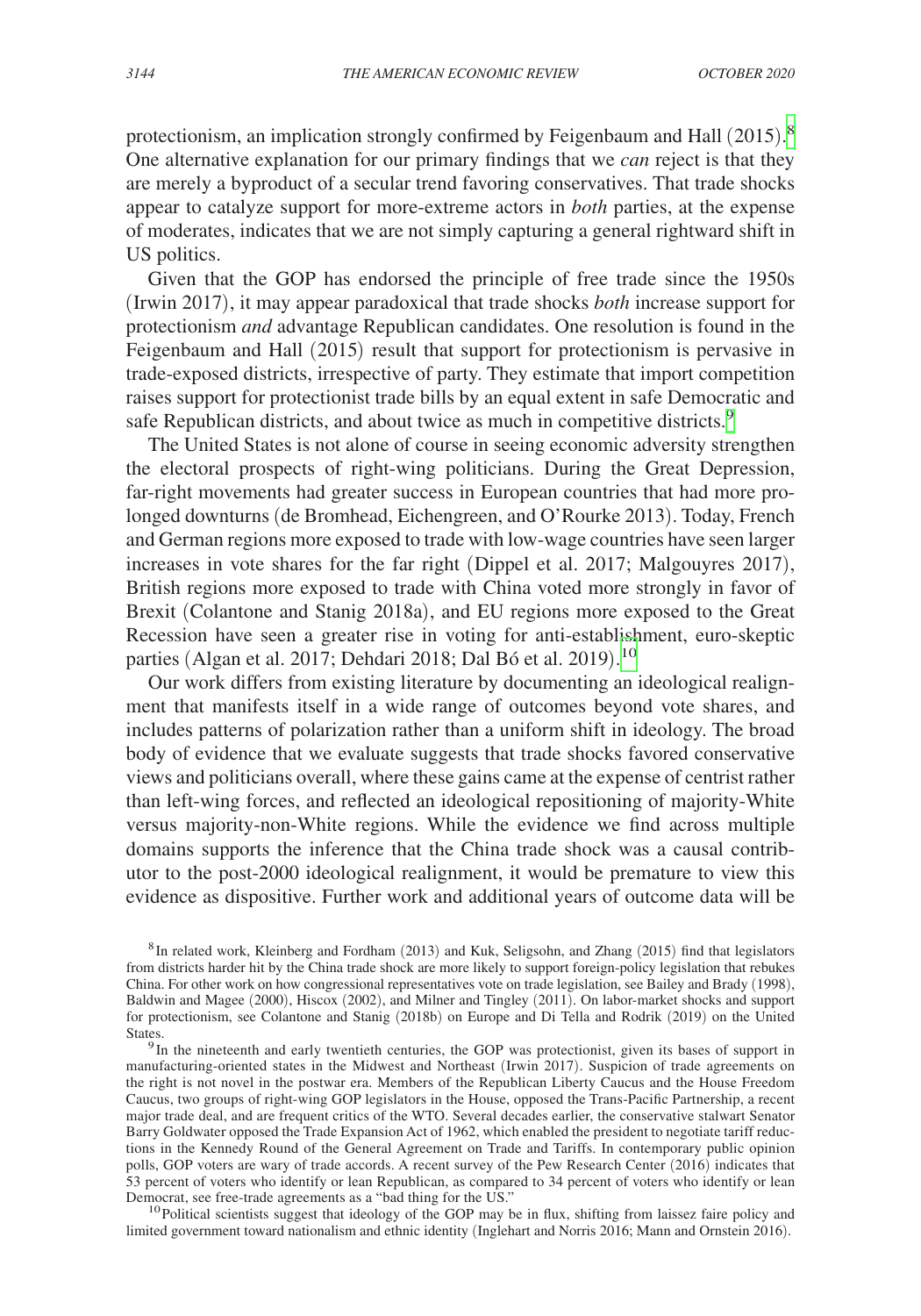protectionism, an implication strongly confirmed by Feigenbaum and Hall (2015).<sup>[8](#page-5-0)</sup> One alternative explanation for our primary findings that we *can* reject is that they are merely a byproduct of a secular trend favoring conservatives. That trade shocks appear to catalyze support for more-extreme actors in *both* parties, at the expense of moderates, indicates that we are not simply capturing a general rightward shift in US politics.

Given that the GOP has endorsed the principle of free trade since the 1950s (Irwin 2017), it may appear paradoxical that trade shocks *both* increase support for protectionism *and* advantage Republican candidates. One resolution is found in the Feigenbaum and Hall (2015) result that support for protectionism is pervasive in trade-exposed districts, irrespective of party. They estimate that import competition raises support for protectionist trade bills by an equal extent in safe Democratic and safe Republican districts, and about twice as much in competitive districts.<sup>9</sup>

The United States is not alone of course in seeing economic adversity strengthen the electoral prospects of right-wing politicians. During the Great Depression, far-right movements had greater success in European countries that had more prolonged downturns (de Bromhead, Eichengreen, and O'Rourke 2013). Today, French and German regions more exposed to trade with low-wage countries have seen larger increases in vote shares for the far right (Dippel et al. 2017; Malgouyres 2017), British regions more exposed to trade with China voted more strongly in favor of Brexit (Colantone and Stanig 2018a), and EU regions more exposed to the Great Recession have seen a greater rise in voting for anti-establishment, euro-skeptic parties (Algan et al. 2017; Dehdari 2018; Dal Bó et al. 2019). [10](#page-5-2)

Our work differs from existing literature by documenting an ideological realignment that manifests itself in a wide range of outcomes beyond vote shares, and includes patterns of polarization rather than a uniform shift in ideology. The broad body of evidence that we evaluate suggests that trade shocks favored conservative views and politicians overall, where these gains came at the expense of centrist rather than left-wing forces, and reflected an ideological repositioning of majority-White versus majority-non-White regions. While the evidence we find across multiple domains supports the inference that the China trade shock was a causal contributor to the post-2000 ideological realignment, it would be premature to view this evidence as dispositive. Further work and additional years of outcome data will be

<span id="page-5-0"></span>8In related work, Kleinberg and Fordham (2013) and Kuk, Seligsohn, and Zhang (2015) find that legislators from districts harder hit by the China trade shock are more likely to support foreign-policy legislation that rebukes China. For other work on how congressional representatives vote on trade legislation, see Bailey and Brady (1998), Baldwin and Magee (2000), Hiscox (2002), and Milner and Tingley (2011). On labor-market shocks and support for protectionism, see Colantone and Stanig (2018b) on Europe and Di Tella and Rodrik (2019) on the United

<span id="page-5-1"></span><sup>9</sup> In the nineteenth and early twentieth centuries, the GOP was protectionist, given its bases of support in manufacturing-oriented states in the Midwest and Northeast (Irwin 2017). Suspicion of trade agreements on the right is not novel in the postwar era. Members of the Republican Liberty Caucus and the House Freedom Caucus, two groups of right-wing GOP legislators in the House, opposed the Trans-Pacific Partnership, a recent major trade deal, and are frequent critics of the WTO. Several decades earlier, the conservative stalwart Senator Barry Goldwater opposed the Trade Expansion Act of 1962, which enabled the president to negotiate tariff reductions in the Kennedy Round of the General Agreement on Trade and Tariffs. In contemporary public opinion polls, GOP voters are wary of trade accords. A recent survey of the Pew Research Center (2016) indicates that 53 percent of voters who identify or lean Republican, as compared to 34 percent of voters who identify or lean<br>Democrat, see free-trade agreements as a "bad thing for the US."

<span id="page-5-2"></span> $10$ Political scientists suggest that ideology of the GOP may be in flux, shifting from laissez faire policy and limited government toward nationalism and ethnic identity (Inglehart and Norris 2016; Mann and Ornstein 2016).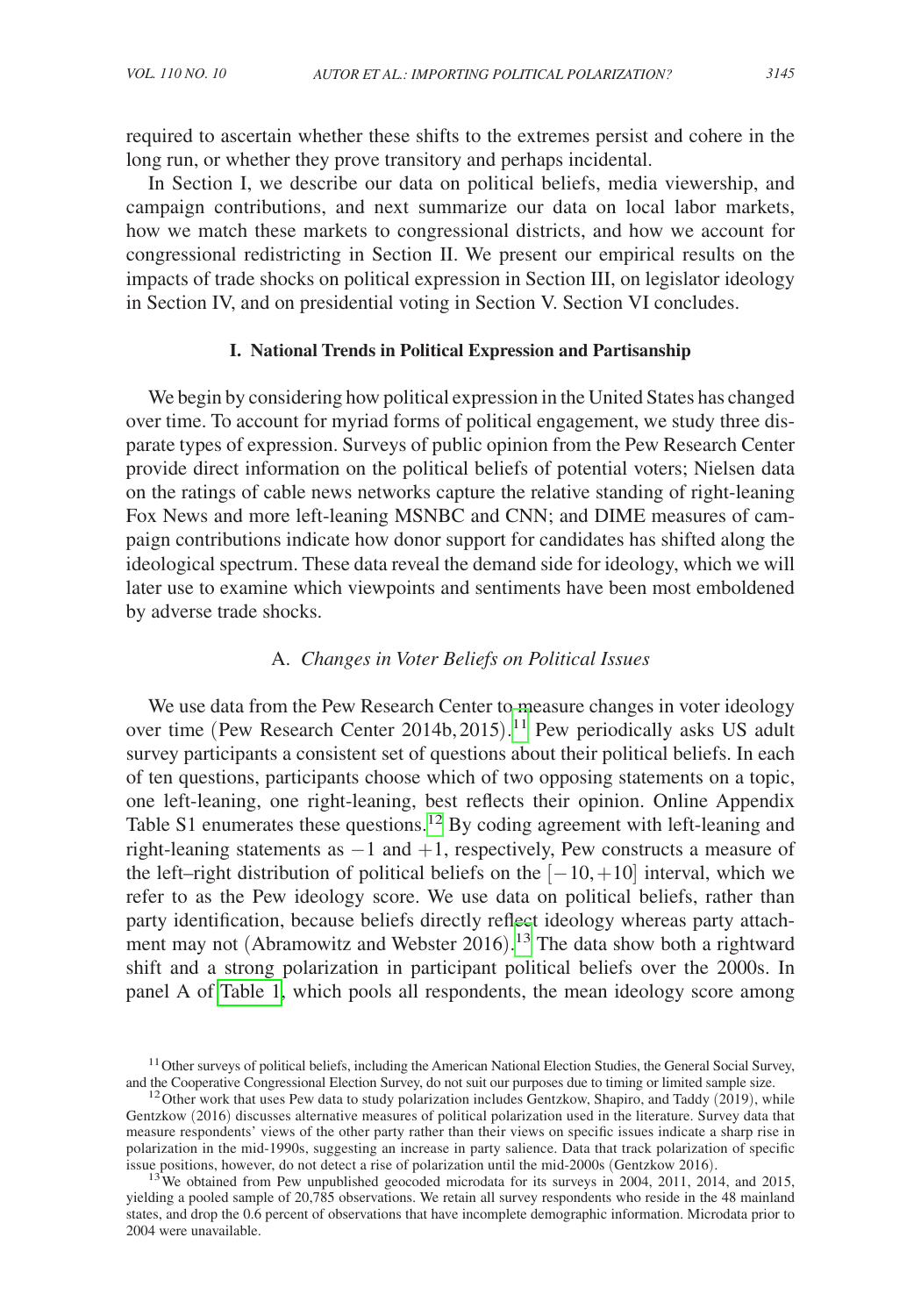required to ascertain whether these shifts to the extremes persist and cohere in the long run, or whether they prove transitory and perhaps incidental.

In Section I, we describe our data on political beliefs, media viewership, and campaign contributions, and next summarize our data on local labor markets, how we match these markets to congressional districts, and how we account for congressional redistricting in Section II. We present our empirical results on the impacts of trade shocks on political expression in Section III, on legislator ideology in Section IV, and on presidential voting in Section V. Section VI concludes.

### **I. National Trends in Political Expression and Partisanship**

We begin by considering how political expression in the United States has changed over time. To account for myriad forms of political engagement, we study three disparate types of expression. Surveys of public opinion from the Pew Research Center provide direct information on the political beliefs of potential voters; Nielsen data on the ratings of cable news networks capture the relative standing of right-leaning Fox News and more left-leaning MSNBC and CNN; and DIME measures of campaign contributions indicate how donor support for candidates has shifted along the ideological spectrum. These data reveal the demand side for ideology, which we will later use to examine which viewpoints and sentiments have been most emboldened by adverse trade shocks.

# A. *Changes in Voter Beliefs on Political Issues*

We use data from the Pew Research Center to measure changes in voter ideology over time (Pew Research Center 2014b, 2015). [11](#page-6-0) Pew periodically asks US adult survey participants a consistent set of questions about their political beliefs. In each of ten questions, participants choose which of two opposing statements on a topic, one left-leaning, one right-leaning, best reflects their opinion. Online Appendix Table S1 enumerates these questions.<sup>[12](#page-6-1)</sup> By coding agreement with left-leaning and right-leaning statements as  $-1$  and  $+1$ , respectively, Pew constructs a measure of the left–right distribution of political beliefs on the  $[-10, +10]$  interval, which we refer to as the Pew ideology score. We use data on political beliefs, rather than party identification, because beliefs directly reflect ideology whereas party attachment may not (Abramowitz and Webster 2016).<sup>13</sup> The data show both a rightward shift and a strong polarization in participant political beliefs over the 2000s. In panel A of [Table 1,](#page-7-0) which pools all respondents, the mean ideology score among

<span id="page-6-0"></span> $11$  Other surveys of political beliefs, including the American National Election Studies, the General Social Survey, and the Cooperative Congressional Election Survey, do not suit our purposes due to timing or limited sample size. <sup>12</sup>Other work that uses Pew data to study polarization includes Gentzkow, Shapiro, and Taddy (2019), while

<span id="page-6-1"></span>Gentzkow (2016) discusses alternative measures of political polarization used in the literature. Survey data that measure respondents' views of the other party rather than their views on specific issues indicate a sharp rise in polarization in the mid-1990s, suggesting an increase in party salience. Data that track polarization of specific issue positions, however, do not detect a rise of polarization until the mid-2000s (Gentzkow 2016).

<span id="page-6-2"></span><sup>&</sup>lt;sup>13</sup> We obtained from Pew unpublished geocoded microdata for its surveys in 2004, 2011, 2014, and 2015, yielding a pooled sample of 20,785 observations. We retain all survey respondents who reside in the 48 mainland states, and drop the 0.6 percent of observations that have incomplete demographic information. Microdata prior to 2004 were unavailable.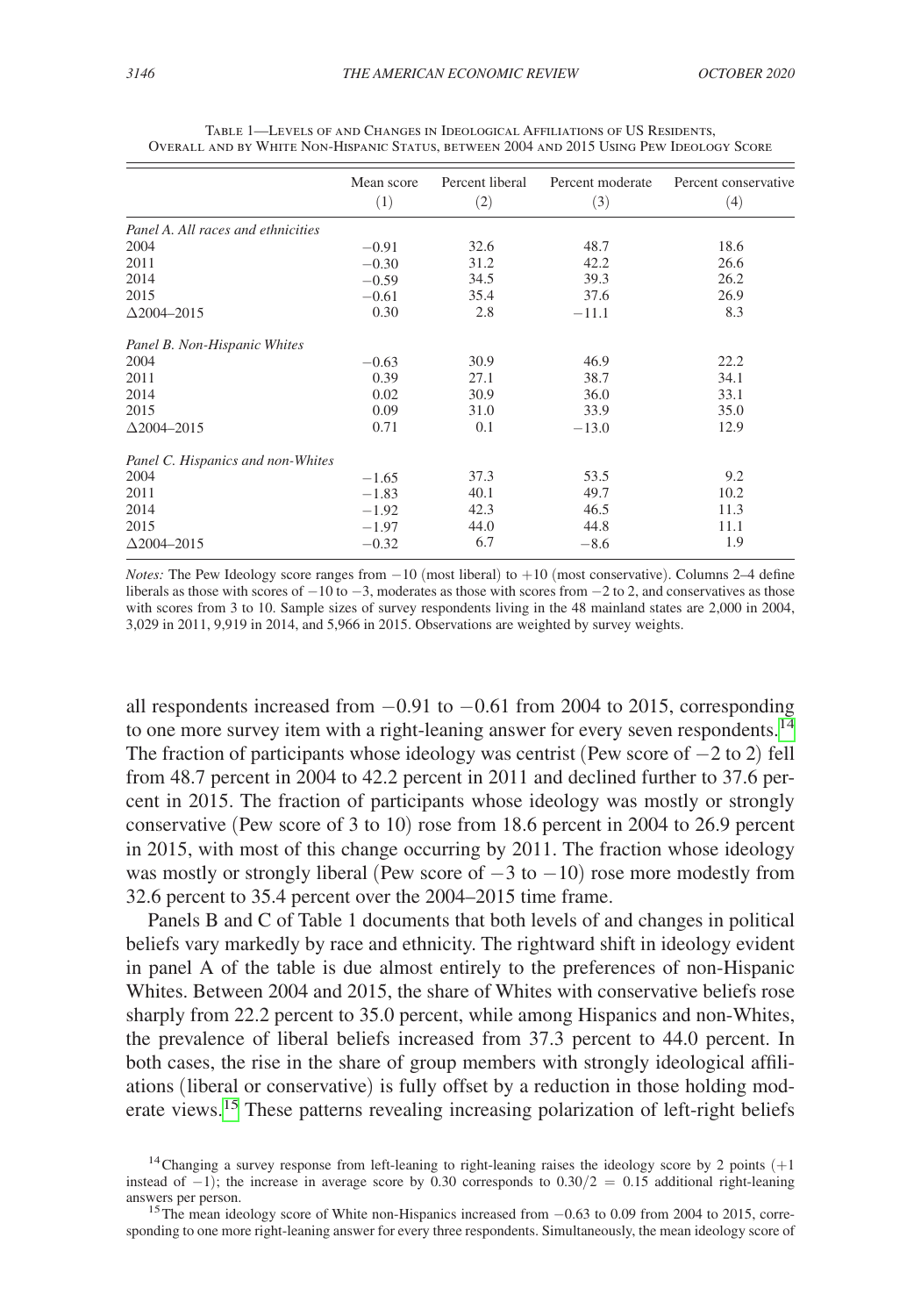|                                    | Mean score | Percent liberal | Percent moderate | Percent conservative |
|------------------------------------|------------|-----------------|------------------|----------------------|
|                                    | (1)        | (2)             | (3)              | (4)                  |
| Panel A. All races and ethnicities |            |                 |                  |                      |
| 2004                               | $-0.91$    | 32.6            | 48.7             | 18.6                 |
| 2011                               | $-0.30$    | 31.2            | 42.2             | 26.6                 |
| 2014                               | $-0.59$    | 34.5            | 39.3             | 26.2                 |
| 2015                               | $-0.61$    | 35.4            | 37.6             | 26.9                 |
| $\Delta$ 2004-2015                 | 0.30       | 2.8             | $-11.1$          | 8.3                  |
| Panel B. Non-Hispanic Whites       |            |                 |                  |                      |
| 2004                               | $-0.63$    | 30.9            | 46.9             | 22.2                 |
| 2011                               | 0.39       | 27.1            | 38.7             | 34.1                 |
| 2014                               | 0.02       | 30.9            | 36.0             | 33.1                 |
| 2015                               | 0.09       | 31.0            | 33.9             | 35.0                 |
| $\Delta$ 2004–2015                 | 0.71       | 0.1             | $-13.0$          | 12.9                 |
| Panel C. Hispanics and non-Whites  |            |                 |                  |                      |
| 2004                               | $-1.65$    | 37.3            | 53.5             | 9.2                  |
| 2011                               | $-1.83$    | 40.1            | 49.7             | 10.2                 |
| 2014                               | $-1.92$    | 42.3            | 46.5             | 11.3                 |
| 2015                               | $-1.97$    | 44.0            | 44.8             | 11.1                 |
| $\Delta$ 2004–2015                 | $-0.32$    | 6.7             | $-8.6$           | 1.9                  |

<span id="page-7-0"></span>Table 1—Levels of and Changes in Ideological Affiliations of US Residents, Overall and by White Non-Hispanic Status, between 2004 and 2015 Using Pew Ideology Score

*Notes:* The Pew Ideology score ranges from −10 (most liberal) to +10 (most conservative). Columns 2–4 define liberals as those with scores of  $-10$  to  $-3$ , moderates as those with scores from  $-2$  to 2, and conservatives as those with scores from 3 to 10. Sample sizes of survey respondents living in the 48 mainland states are 2,000 in 2004, 3,029 in 2011, 9,919 in 2014, and 5,966 in 2015. Observations are weighted by survey weights.

all respondents increased from −0.91 to −0.61 from 2004 to 2015, corresponding to one more survey item with a right-leaning answer for every seven respondents.<sup>14</sup> The fraction of participants whose ideology was centrist (Pew score of −2 to 2) fell from 48.7 percent in 2004 to 42.2 percent in 2011 and declined further to 37.6 percent in 2015. The fraction of participants whose ideology was mostly or strongly conservative (Pew score of 3 to 10) rose from 18.6 percent in 2004 to 26.9 percent in 2015, with most of this change occurring by 2011. The fraction whose ideology was mostly or strongly liberal (Pew score of  $-3$  to  $-10$ ) rose more modestly from 32.6 percent to 35.4 percent over the 2004–2015 time frame.

Panels B and C of Table 1 documents that both levels of and changes in political beliefs vary markedly by race and ethnicity. The rightward shift in ideology evident in panel A of the table is due almost entirely to the preferences of non-Hispanic Whites. Between 2004 and 2015, the share of Whites with conservative beliefs rose sharply from 22.2 percent to 35.0 percent, while among Hispanics and non-Whites, the prevalence of liberal beliefs increased from 37.3 percent to 44.0 percent. In both cases, the rise in the share of group members with strongly ideological affiliations (liberal or conservative) is fully offset by a reduction in those holding moderate views.<sup>15</sup> These patterns revealing increasing polarization of left-right beliefs

<span id="page-7-1"></span><sup>&</sup>lt;sup>14</sup>Changing a survey response from left-leaning to right-leaning raises the ideology score by 2 points  $(+1)$ instead of −1); the increase in average score by 0.30 corresponds to  $0.30/2 = 0.15$  additional right-leaning answers per person.

<span id="page-7-2"></span><sup>&</sup>lt;sup>15</sup>The mean ideology score of White non-Hispanics increased from  $-0.63$  to 0.09 from 2004 to 2015, corresponding to one more right-leaning answer for every three respondents. Simultaneously, the mean ideology score of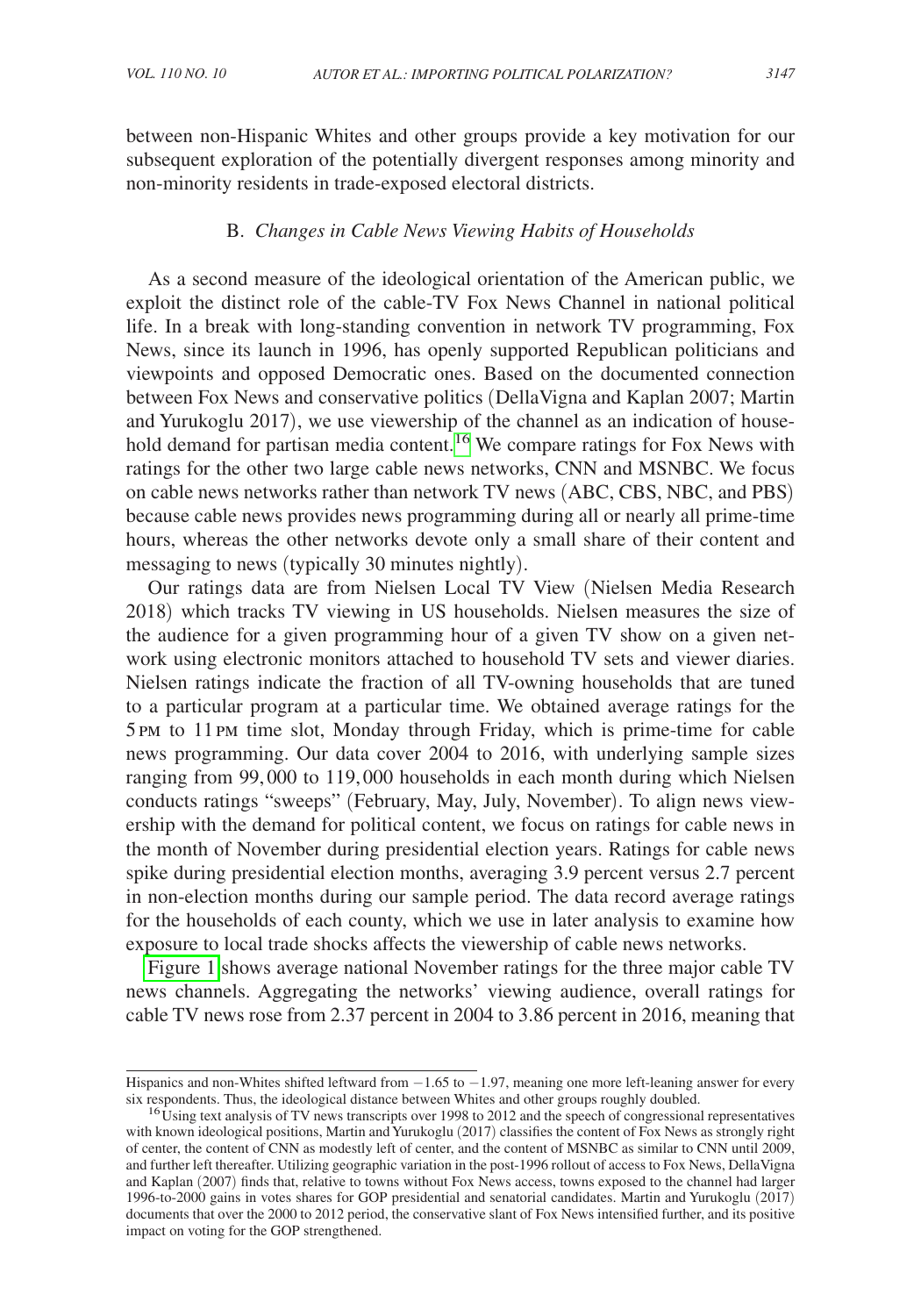between non-Hispanic Whites and other groups provide a key motivation for our subsequent exploration of the potentially divergent responses among minority and

# B. *Changes in Cable News Viewing Habits of Households*

non-minority residents in trade-exposed electoral districts.

As a second measure of the ideological orientation of the American public, we exploit the distinct role of the cable-TV Fox News Channel in national political life. In a break with long-standing convention in network TV programming, Fox News, since its launch in 1996, has openly supported Republican politicians and viewpoints and opposed Democratic ones. Based on the documented connection between Fox News and conservative politics (DellaVigna and Kaplan 2007; Martin and Yurukoglu 2017), we use viewership of the channel as an indication of house-hold demand for partisan media content.<sup>[16](#page-8-0)</sup> We compare ratings for Fox News with ratings for the other two large cable news networks, CNN and MSNBC. We focus on cable news networks rather than network TV news (ABC, CBS, NBC, and PBS) because cable news provides news programming during all or nearly all prime-time hours, whereas the other networks devote only a small share of their content and messaging to news (typically 30 minutes nightly).

Our ratings data are from Nielsen Local TV View (Nielsen Media Research 2018) which tracks TV viewing in US households. Nielsen measures the size of the audience for a given programming hour of a given TV show on a given network using electronic monitors attached to household TV sets and viewer diaries. Nielsen ratings indicate the fraction of all TV-owning households that are tuned to a particular program at a particular time. We obtained average ratings for the 5 pm to 11 pm time slot, Monday through Friday, which is prime-time for cable news programming. Our data cover 2004 to 2016, with underlying sample sizes ranging from 99,000 to 119,000 households in each month during which Nielsen conducts ratings "sweeps" (February, May, July, November). To align news viewership with the demand for political content, we focus on ratings for cable news in the month of November during presidential election years. Ratings for cable news spike during presidential election months, averaging 3.9 percent versus 2.7 percent in non-election months during our sample period. The data record average ratings for the households of each county, which we use in later analysis to examine how exposure to local trade shocks affects the viewership of cable news networks.

[Figure 1](#page-9-0) shows average national November ratings for the three major cable TV news channels. Aggregating the networks' viewing audience, overall ratings for cable TV news rose from 2.37 percent in 2004 to 3.86 percent in 2016, meaning that

Hispanics and non-Whites shifted leftward from −1.65 to −1.97, meaning one more left-leaning answer for every six respondents. Thus, the ideological distance between Whites and other groups roughly doubled.

<span id="page-8-0"></span> $16$ Using text analysis of TV news transcripts over 1998 to 2012 and the speech of congressional representatives with known ideological positions, Martin and Yurukoglu (2017) classifies the content of Fox News as strongly right of center, the content of CNN as modestly left of center, and the content of MSNBC as similar to CNN until 2009, and further left thereafter. Utilizing geographic variation in the post-1996 rollout of access to Fox News, DellaVigna and Kaplan (2007) finds that, relative to towns without Fox News access, towns exposed to the channel had larger 1996-to-2000 gains in votes shares for GOP presidential and senatorial candidates. Martin and Yurukoglu (2017) documents that over the 2000 to 2012 period, the conservative slant of Fox News intensified further, and its positive impact on voting for the GOP strengthened.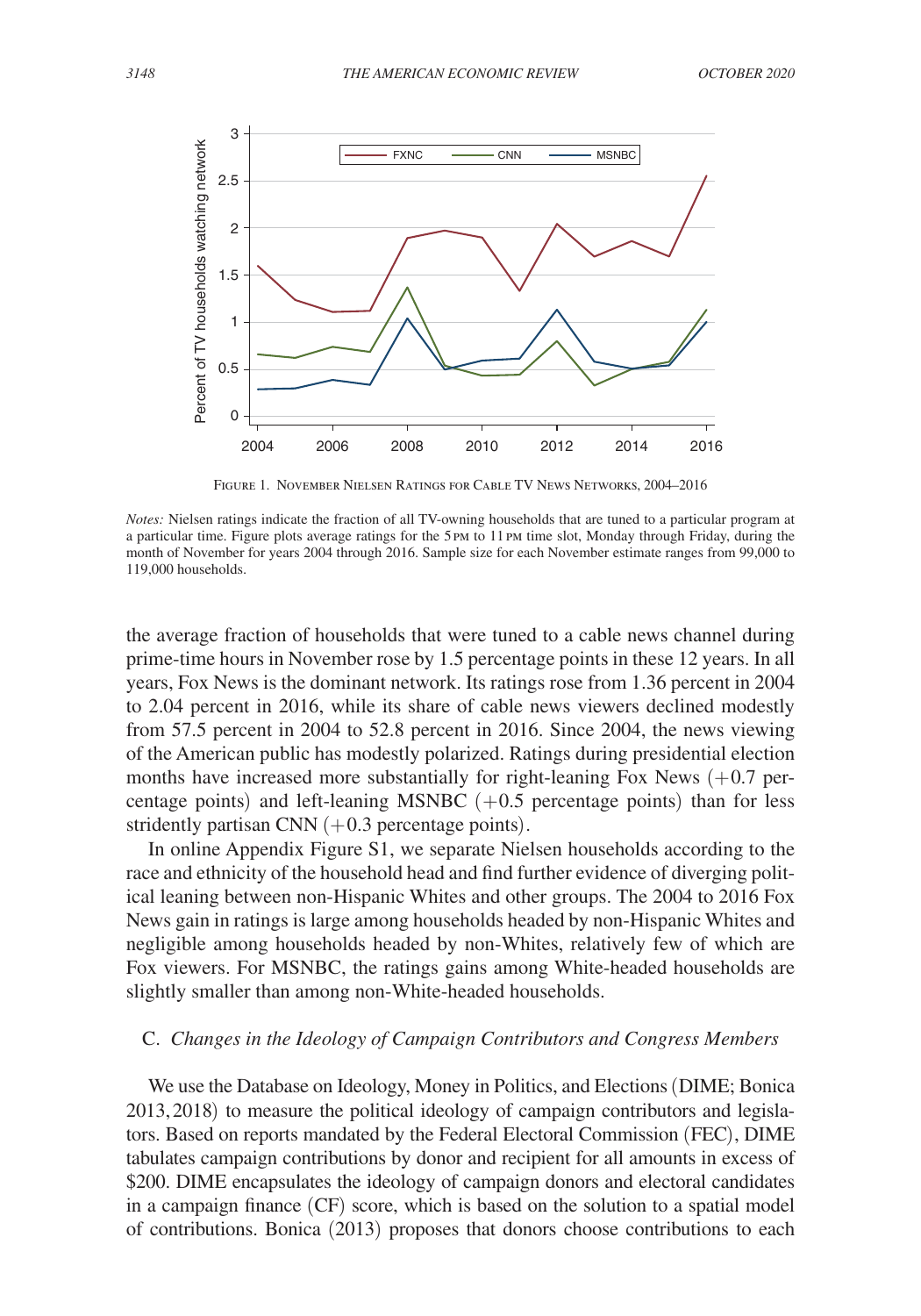<span id="page-9-0"></span>

Figure 1. November Nielsen Ratings for Cable TV News Networks, 2004–2016

the average fraction of households that were tuned to a cable news channel during prime-time hours in November rose by 1.5 percentage points in these 12 years. In all years, Fox News is the dominant network. Its ratings rose from 1.36 percent in 2004 to 2.04 percent in 2016, while its share of cable news viewers declined modestly from 57.5 percent in 2004 to 52.8 percent in 2016. Since 2004, the news viewing of the American public has modestly polarized. Ratings during presidential election months have increased more substantially for right-leaning Fox News  $(+0.7)$  percentage points) and left-leaning MSNBC  $(+0.5)$  percentage points) than for less stridently partisan CNN  $(+0.3)$  percentage points).

In online Appendix Figure S1, we separate Nielsen households according to the race and ethnicity of the household head and find further evidence of diverging political leaning between non-Hispanic Whites and other groups. The 2004 to 2016 Fox News gain in ratings is large among households headed by non-Hispanic Whites and negligible among households headed by non-Whites, relatively few of which are Fox viewers. For MSNBC, the ratings gains among White-headed households are slightly smaller than among non-White-headed households.

# C. *Changes in the Ideology of Campaign Contributors and Congress Members*

We use the Database on Ideology, Money in Politics, and Elections (DIME; Bonica 2013,2018) to measure the political ideology of campaign contributors and legislators. Based on reports mandated by the Federal Electoral Commission (FEC), DIME tabulates campaign contributions by donor and recipient for all amounts in excess of \$200. DIME encapsulates the ideology of campaign donors and electoral candidates in a campaign finance (CF) score, which is based on the solution to a spatial model of contributions. Bonica (2013) proposes that donors choose contributions to each

*Notes:* Nielsen ratings indicate the fraction of all TV-owning households that are tuned to a particular program at a particular time. Figure plots average ratings for the 5pm to 11pm time slot, Monday through Friday, during the month of November for years 2004 through 2016. Sample size for each November estimate ranges from 99,000 to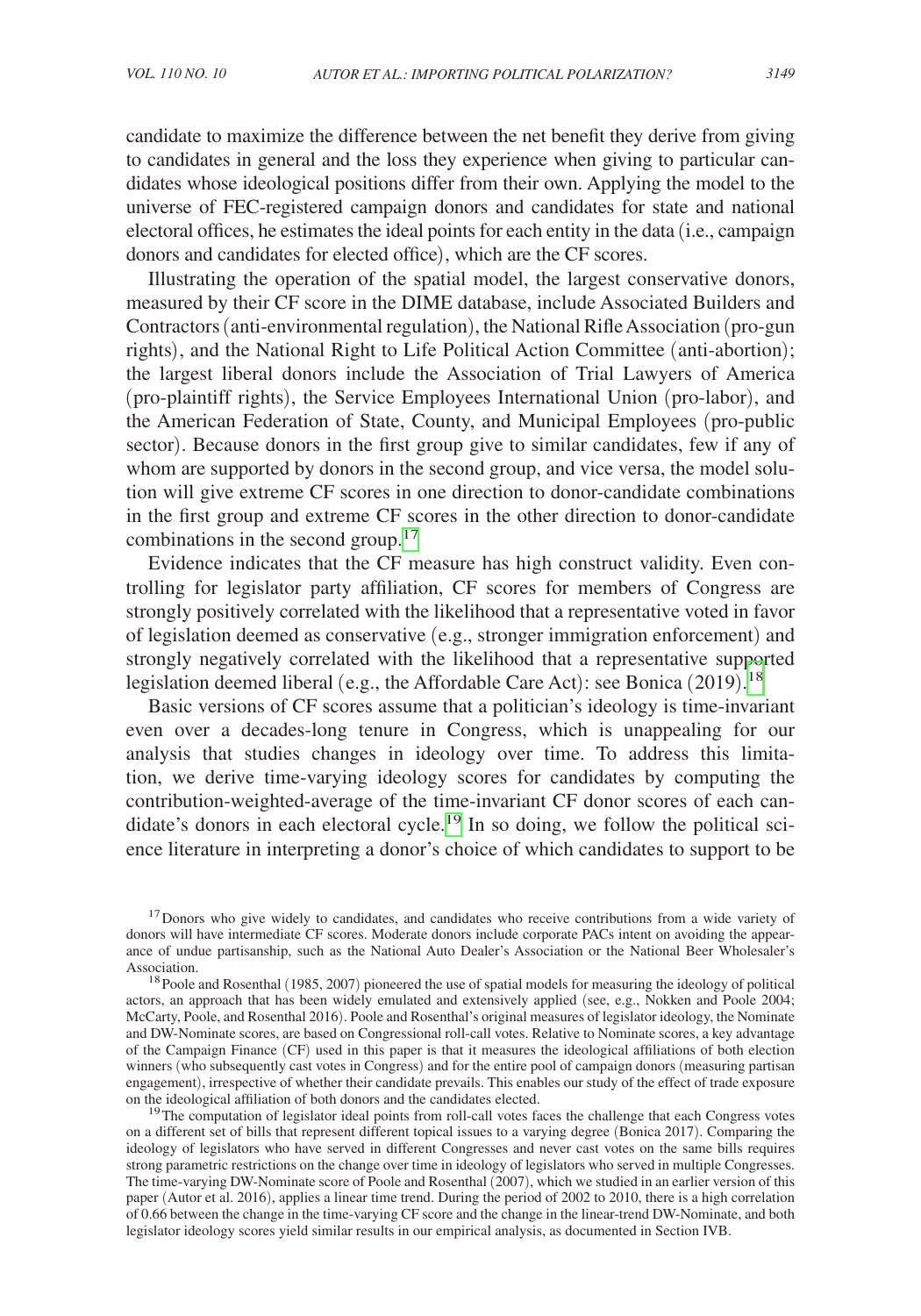candidate to maximize the difference between the net benefit they derive from giving to candidates in general and the loss they experience when giving to particular candidates whose ideological positions differ from their own. Applying the model to the universe of FEC-registered campaign donors and candidates for state and national electoral offices, he estimates the ideal points for each entity in the data (i.e., campaign donors and candidates for elected office), which are the CF scores.

Illustrating the operation of the spatial model, the largest conservative donors, measured by their CF score in the DIME database, include Associated Builders and Contractors (anti-environmental regulation), the National Rifle Association (pro-gun rights), and the National Right to Life Political Action Committee (anti-abortion); the largest liberal donors include the Association of Trial Lawyers of America (pro-plaintiff rights), the Service Employees International Union (pro-labor), and the American Federation of State, County, and Municipal Employees (pro-public sector). Because donors in the first group give to similar candidates, few if any of whom are supported by donors in the second group, and vice versa, the model solution will give extreme CF scores in one direction to donor-candidate combinations in the first group and extreme CF scores in the other direction to donor-candidate combinations in the second group.<sup>17</sup>

Evidence indicates that the CF measure has high construct validity. Even controlling for legislator party affiliation, CF scores for members of Congress are strongly positively correlated with the likelihood that a representative voted in favor of legislation deemed as conservative (e.g., stronger immigration enforcement) and strongly negatively correlated with the likelihood that a representative supported legislation deemed liberal (e.g., the Affordable Care Act): see Bonica (2019).<sup>[18](#page-10-1)</sup>

Basic versions of CF scores assume that a politician's ideology is time-invariant even over a decades-long tenure in Congress, which is unappealing for our analysis that studies changes in ideology over time. To address this limitation, we derive time-varying ideology scores for candidates by computing the contribution-weighted-average of the time-invariant CF donor scores of each candidate's donors in each electoral cycle.<sup>19</sup> In so doing, we follow the political science literature in interpreting a donor's choice of which candidates to support to be

<span id="page-10-0"></span><sup>17</sup> Donors who give widely to candidates, and candidates who receive contributions from a wide variety of donors will have intermediate CF scores. Moderate donors include corporate PACs intent on avoiding the appearance of undue partisanship, such as the National Auto Dealer's Association or the National Beer Wholesaler's Association.<br><sup>18</sup> Poole and Rosenthal (1985, 2007) pioneered the use of spatial models for measuring the ideology of political

<span id="page-10-1"></span>actors, an approach that has been widely emulated and extensively applied (see, e.g., Nokken and Poole 2004; McCarty, Poole, and Rosenthal 2016). Poole and Rosenthal's original measures of legislator ideology, the Nominate and DW-Nominate scores, are based on Congressional roll-call votes. Relative to Nominate scores, a key advantage of the Campaign Finance (CF) used in this paper is that it measures the ideological affiliations of both election winners (who subsequently cast votes in Congress) and for the entire pool of campaign donors (measuring partisan engagement), irrespective of whether their candidate prevails. This enables our study of the effect of trade exposure on the ideological affiliation of both donors and the candidates elected.

<span id="page-10-2"></span><sup>19</sup>The computation of legislator ideal points from roll-call votes faces the challenge that each Congress votes on a different set of bills that represent different topical issues to a varying degree (Bonica 2017). Comparing the ideology of legislators who have served in different Congresses and never cast votes on the same bills requires strong parametric restrictions on the change over time in ideology of legislators who served in multiple Congresses. The time-varying DW-Nominate score of Poole and Rosenthal (2007), which we studied in an earlier version of this paper (Autor et al. 2016), applies a linear time trend. During the period of 2002 to 2010, there is a high correlation of 0.66 between the change in the time-varying CF score and the change in the linear-trend DW-Nominate, and both legislator ideology scores yield similar results in our empirical analysis, as documented in Section IVB.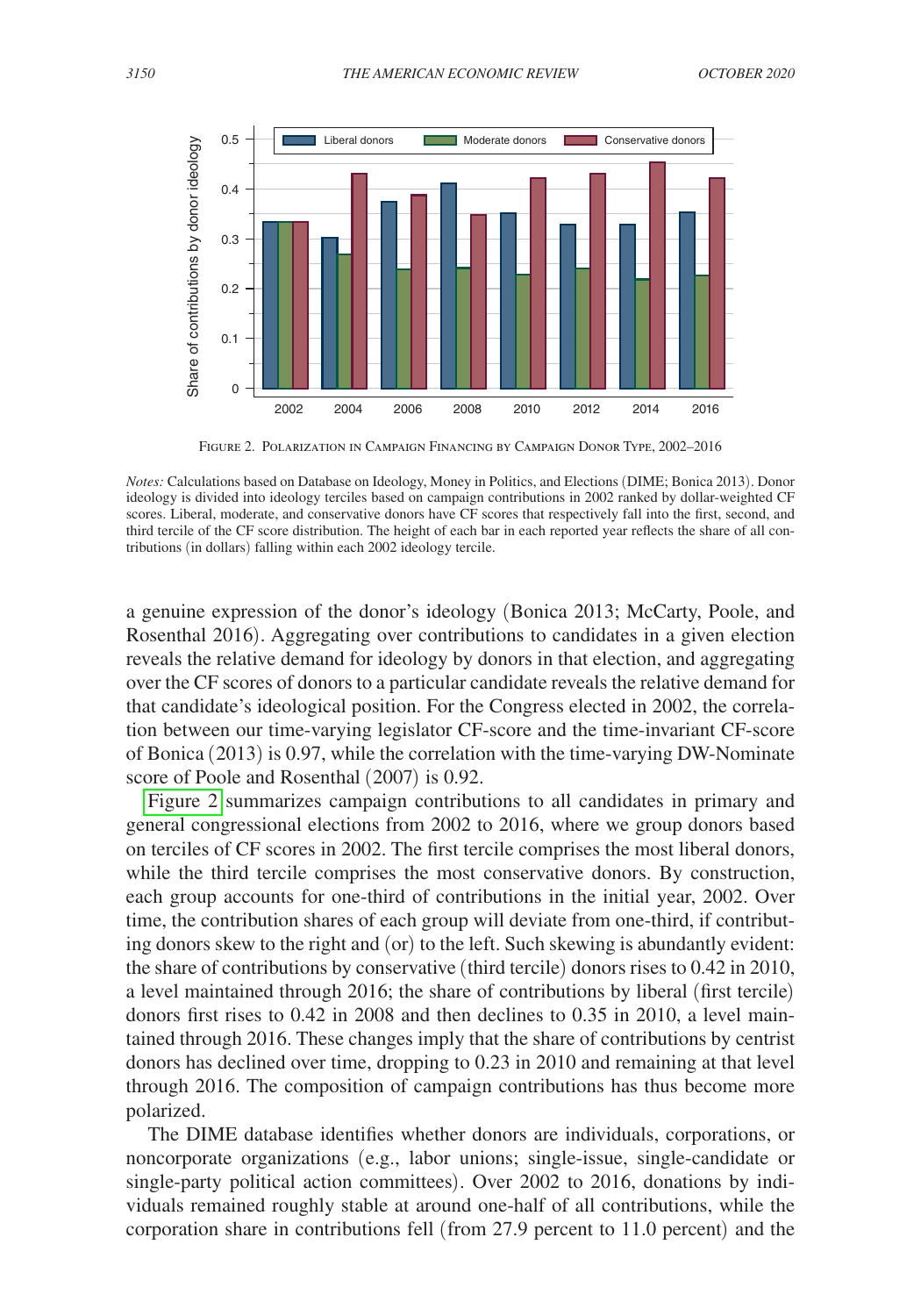

Figure 2. Polarization in Campaign Financing by Campaign Donor Type, 2002–2016

a genuine expression of the donor's ideology (Bonica 2013; McCarty, Poole, and Rosenthal 2016). Aggregating over contributions to candidates in a given election reveals the relative demand for ideology by donors in that election, and aggregating over the CF scores of donors to a particular candidate reveals the relative demand for that candidate's ideological position. For the Congress elected in 2002, the correlation between our time-varying legislator CF-score and the time-invariant CF-score of Bonica (2013) is 0.97, while the correlation with the time-varying DW-Nominate score of Poole and Rosenthal (2007) is 0.92.

Figure 2 summarizes campaign contributions to all candidates in primary and general congressional elections from 2002 to 2016, where we group donors based on terciles of CF scores in 2002. The first tercile comprises the most liberal donors, while the third tercile comprises the most conservative donors. By construction, each group accounts for one-third of contributions in the initial year, 2002. Over time, the contribution shares of each group will deviate from one-third, if contributing donors skew to the right and (or) to the left. Such skewing is abundantly evident: the share of contributions by conservative (third tercile) donors rises to 0.42 in 2010, a level maintained through 2016; the share of contributions by liberal (first tercile) donors first rises to 0.42 in 2008 and then declines to 0.35 in 2010, a level maintained through 2016. These changes imply that the share of contributions by centrist donors has declined over time, dropping to 0.23 in 2010 and remaining at that level through 2016. The composition of campaign contributions has thus become more polarized.

The DIME database identifies whether donors are individuals, corporations, or noncorporate organizations (e.g., labor unions; single-issue, single-candidate or single-party political action committees). Over 2002 to 2016, donations by individuals remained roughly stable at around one-half of all contributions, while the corporation share in contributions fell (from 27.9 percent to 11.0 percent) and the

*Notes:* Calculations based on Database on Ideology, Money in Politics, and Elections (DIME; Bonica 2013). Donor ideology is divided into ideology terciles based on campaign contributions in 2002 ranked by dollar-weighted CF scores. Liberal, moderate, and conservative donors have CF scores that respectively fall into the first, second, and third tercile of the CF score distribution. The height of each bar in each reported year reflects the share of all contributions (in dollars) falling within each 2002 ideology tercile.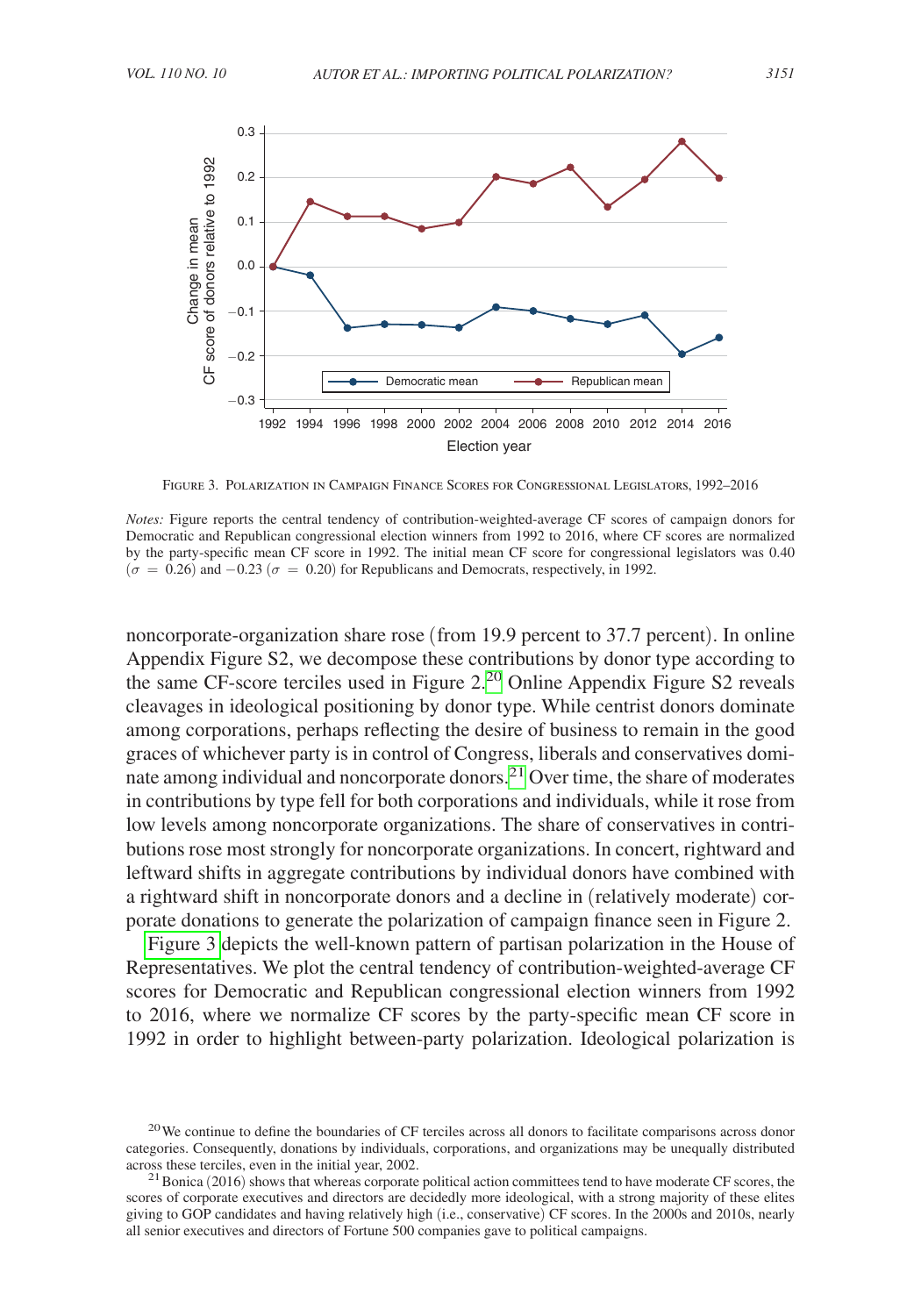

Figure 3. Polarization in Campaign Finance Scores for Congressional Legislators, 1992–2016

*Notes:* Figure reports the central tendency of contribution-weighted-average CF scores of campaign donors for Democratic and Republican congressional election winners from 1992 to 2016, where CF scores are normalized by the party-specific mean CF score in 1992. The initial mean CF score for congressional legislators was 0.40  $(\sigma = 0.26)$  and  $-0.23$  ( $\sigma = 0.20$ ) for Republicans and Democrats, respectively, in 1992.

noncorporate-organization share rose (from 19.9 percent to 37.7 percent). In online Appendix Figure S2, we decompose these contributions by donor type according to the same CF-score terciles used in Figure 2.<sup>20</sup> Online Appendix Figure S2 reveals cleavages in ideological positioning by donor type. While centrist donors dominate among corporations, perhaps reflecting the desire of business to remain in the good graces of whichever party is in control of Congress, liberals and conservatives dominate among individual and noncorporate donors.[21](#page-12-1) Over time, the share of moderates in contributions by type fell for both corporations and individuals, while it rose from low levels among noncorporate organizations. The share of conservatives in contributions rose most strongly for noncorporate organizations. In concert, rightward and leftward shifts in aggregate contributions by individual donors have combined with a rightward shift in noncorporate donors and a decline in (relatively moderate) corporate donations to generate the polarization of campaign finance seen in Figure 2.

Figure 3 depicts the well-known pattern of partisan polarization in the House of Representatives. We plot the central tendency of contribution-weighted-average CF scores for Democratic and Republican congressional election winners from 1992 to 2016, where we normalize CF scores by the party-specific mean CF score in 1992 in order to highlight between-party polarization. Ideological polarization is

<span id="page-12-0"></span><sup>&</sup>lt;sup>20</sup>We continue to define the boundaries of CF terciles across all donors to facilitate comparisons across donor categories. Consequently, donations by individuals, corporations, and organizations may be unequally distributed across these terciles, even in the initial year, 2002.<br><sup>21</sup>Bonica (2016) shows that whereas corporate political action committees tend to have moderate CF scores, the

<span id="page-12-1"></span>scores of corporate executives and directors are decidedly more ideological, with a strong majority of these elites giving to GOP candidates and having relatively high (i.e., conservative) CF scores. In the 2000s and 2010s, nearly all senior executives and directors of Fortune 500 companies gave to political campaigns.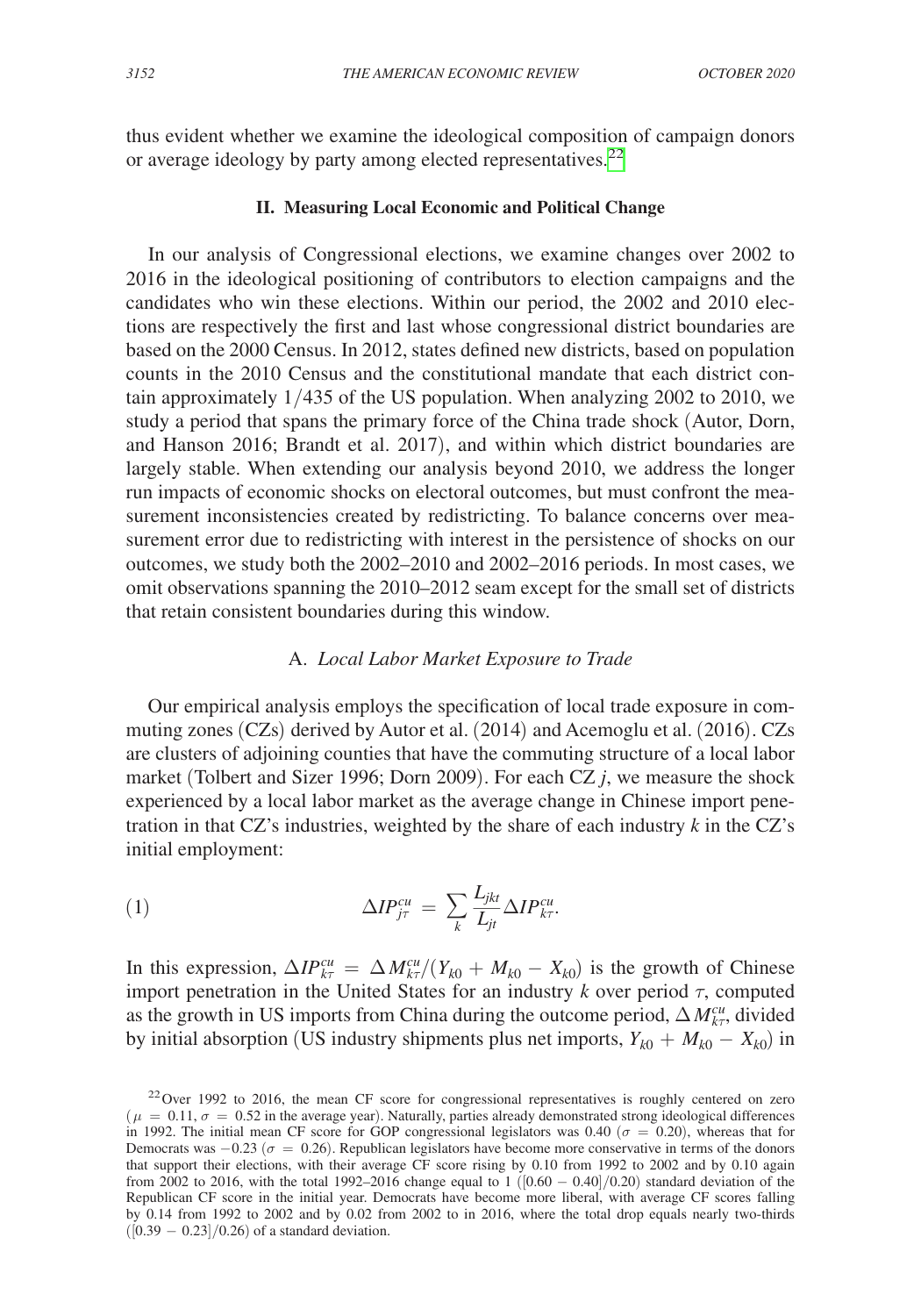thus evident whether we examine the ideological composition of campaign donors or average ideology by party among elected representatives.<sup>[22](#page-13-0)</sup>

# **II. Measuring Local Economic and Political Change**

In our analysis of Congressional elections, we examine changes over 2002 to 2016 in the ideological positioning of contributors to election campaigns and the candidates who win these elections. Within our period, the 2002 and 2010 elections are respectively the first and last whose congressional district boundaries are based on the 2000 Census. In 2012, states defined new districts, based on population counts in the 2010 Census and the constitutional mandate that each district contain approximately 1/435 of the US population. When analyzing 2002 to 2010, we study a period that spans the primary force of the China trade shock (Autor, Dorn, and Hanson 2016; Brandt et al. 2017), and within which district boundaries are largely stable. When extending our analysis beyond 2010, we address the longer run impacts of economic shocks on electoral outcomes, but must confront the measurement inconsistencies created by redistricting. To balance concerns over measurement error due to redistricting with interest in the persistence of shocks on our outcomes, we study both the 2002–2010 and 2002–2016 periods. In most cases, we omit observations spanning the 2010–2012 seam except for the small set of districts that retain consistent boundaries during this window.

### A. *Local Labor Market Exposure to Trade*

Our empirical analysis employs the specification of local trade exposure in commuting zones (CZs) derived by Autor et al. (2014) and Acemoglu et al. (2016). CZs are clusters of adjoining counties that have the commuting structure of a local labor market (Tolbert and Sizer 1996; Dorn 2009). For each CZ *j*, we measure the shock experienced by a local labor market as the average change in Chinese import penetration in that CZ's industries, weighted by the share of each industry  $k$  in the CZ's initial employment:

(1) 
$$
\Delta IP_{j\tau}^{cu} = \sum_{k} \frac{L_{jkt}}{L_{jt}} \Delta IP_{k\tau}^{cu}.
$$

In this expression,  $\Delta IP_{k\tau}^{cu} = \Delta M_{k\tau}^{cu}/(Y_{k0} + M_{k0} - X_{k0})$  is the growth of Chinese import penetration in the United States for an industry  $k$  over period  $\tau$ , computed as the growth in US imports from China during the outcome period,  $\Delta M_{kr}^{cu}$ , divided by initial absorption (US industry shipments plus net imports,  $Y_{k0} + M_{k0} - X_{k0}$ ) in

<span id="page-13-0"></span> $22$ Over 1992 to 2016, the mean CF score for congressional representatives is roughly centered on zero  $(\mu = 0.11, \sigma = 0.52$  in the average year). Naturally, parties already demonstrated strong ideological differences in 1992. The initial mean CF score for GOP congressional legislators was 0.40 ( $\sigma = 0.20$ ), whereas that for Democrats was  $-0.23$  ( $\sigma = 0.26$ ). Republican legislators have become more conservative in terms of the donors that support their elections, with their average CF score rising by 0.10 from 1992 to 2002 and by 0.10 again from 2002 to 2016, with the total 1992–2016 change equal to  $1$  ([0.60 – 0.40]/0.20) standard deviation of the Republican CF score in the initial year. Democrats have become more liberal, with average CF scores falling by 0.14 from 1992 to 2002 and by 0.02 from 2002 to in 2016, where the total drop equals nearly two-thirds  $([0.39 - 0.23]/0.26)$  of a standard deviation.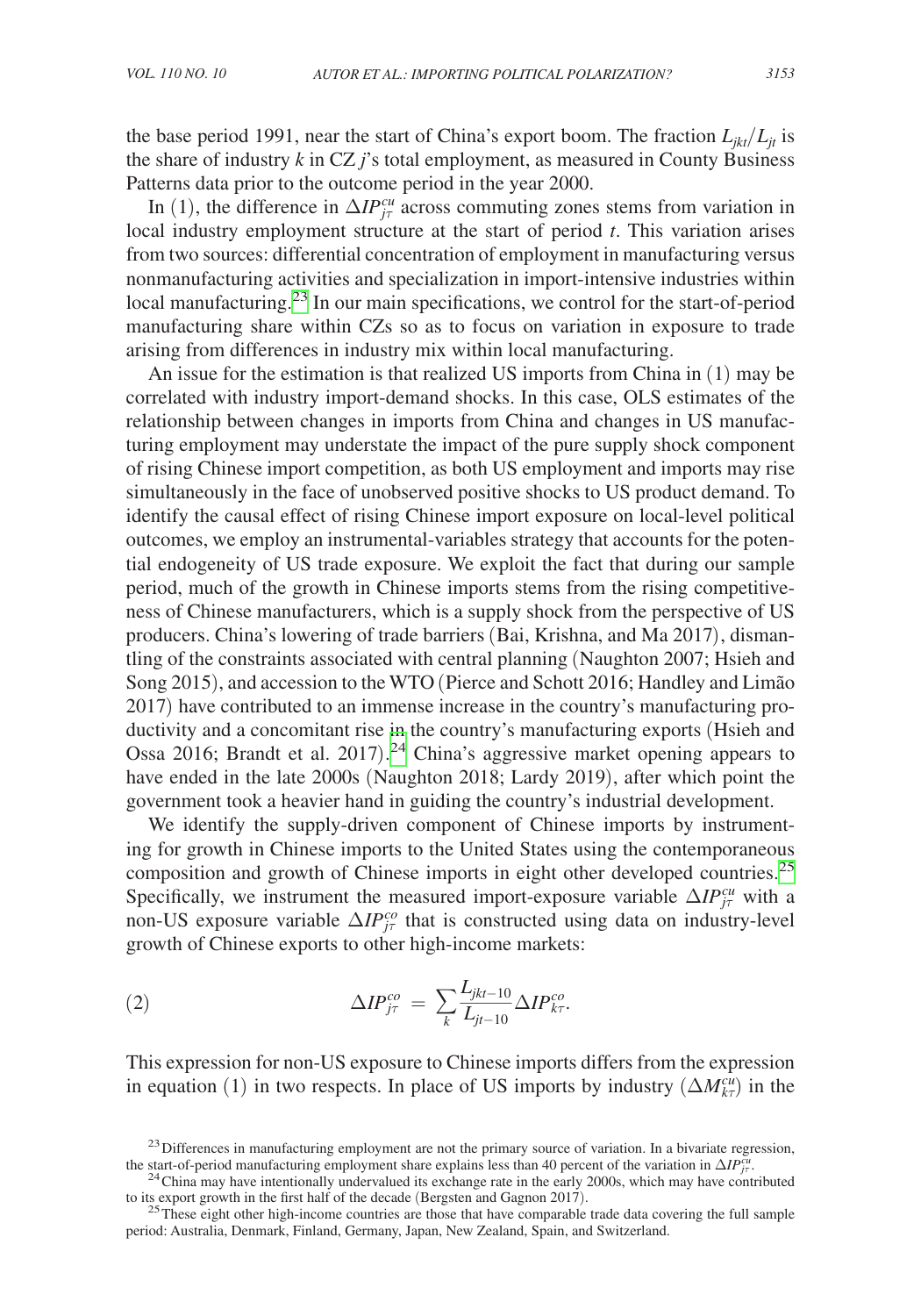the base period 1991, near the start of China's export boom. The fraction  $L_{ikt}/L_{it}$  is the share of industry  $k$  in CZ  $j$ 's total employment, as measured in County Business Patterns data prior to the outcome period in the year 2000.

In (1), the difference in  $\Delta IP_{j\tau}^{cu}$  across commuting zones stems from variation in local industry employment structure at the start of period *t*. This variation arises from two sources: differential concentration of employment in manufacturing versus nonmanufacturing activities and specialization in import-intensive industries within local manufacturing.<sup>23</sup> In our main specifications, we control for the start-of-period manufacturing share within CZs so as to focus on variation in exposure to trade arising from differences in industry mix within local manufacturing.

An issue for the estimation is that realized US imports from China in (1) may be correlated with industry import-demand shocks. In this case, OLS estimates of the relationship between changes in imports from China and changes in US manufacturing employment may understate the impact of the pure supply shock component of rising Chinese import competition, as both US employment and imports may rise simultaneously in the face of unobserved positive shocks to US product demand. To identify the causal effect of rising Chinese import exposure on local-level political outcomes, we employ an instrumental-variables strategy that accounts for the potential endogeneity of US trade exposure. We exploit the fact that during our sample period, much of the growth in Chinese imports stems from the rising competitiveness of Chinese manufacturers, which is a supply shock from the perspective of US producers. China's lowering of trade barriers (Bai, Krishna, and Ma 2017), dismantling of the constraints associated with central planning (Naughton 2007; Hsieh and Song 2015), and accession to the WTO (Pierce and Schott 2016; Handley and Limão 2017) have contributed to an immense increase in the country's manufacturing productivity and a concomitant rise in the country's manufacturing exports (Hsieh and Ossa 2016; Brandt et al. 2017).<sup>[24](#page-14-1)</sup> China's aggressive market opening appears to have ended in the late 2000s (Naughton 2018; Lardy 2019), after which point the government took a heavier hand in guiding the country's industrial development.

We identify the supply-driven component of Chinese imports by instrumenting for growth in Chinese imports to the United States using the contemporaneous composition and growth of Chinese imports in eight other developed countries.<sup>[25](#page-14-2)</sup> Specifically, we instrument the measured import-exposure variable  $\Delta IP_{j\tau}^{cu}$  with a non-US exposure variable  $\Delta IP_{j\tau}^{co}$  that is constructed using data on industry-level growth of Chinese exports to other high-income markets:

(2) 
$$
\Delta IP_{j\tau}^{co} = \sum_{k} \frac{L_{jkt-10}}{L_{j\tau-10}} \Delta IP_{k\tau}^{co}.
$$

This expression for non-US exposure to Chinese imports differs from the expression in equation (1) in two respects. In place of US imports by industry  $(\Delta M_{k\tau}^{cu})$  in the

<span id="page-14-0"></span><sup>&</sup>lt;sup>23</sup> Differences in manufacturing employment are not the primary source of variation. In a bivariate regression, the start-of-period manufacturing employment share explains less than 40 percent of the variation in  $\Delta IP_{j\tau}^{cu}$ 

<span id="page-14-1"></span> $^{24}$ China may have intentionally undervalued its exchange rate in the early 2000s, which may have contributed to its export growth in the first half of the decade (Bergsten and Gagnon 2017).

<span id="page-14-2"></span> $125$  These eight other high-income countries are those that have comparable trade data covering the full sample period: Australia, Denmark, Finland, Germany, Japan, New Zealand, Spain, and Switzerland.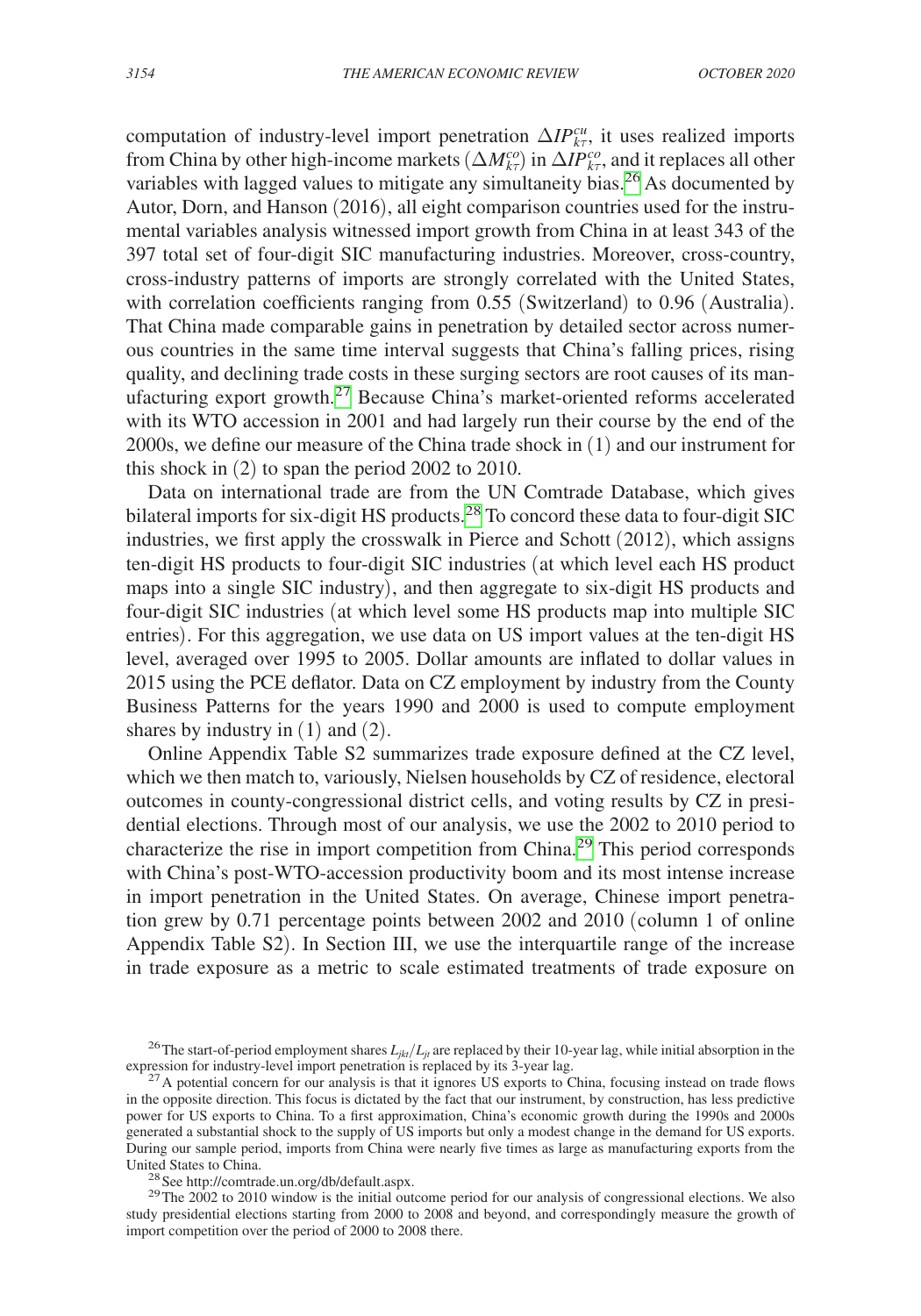computation of industry-level import penetration  $\Delta IP_{k\tau}^{cu}$ , it uses realized imports from China by other high-income markets  $(\Delta M_{k\tau}^{co})$  in  $\Delta IP_{k\tau}^{co}$ , and it replaces all other variables with lagged values to mitigate any simultaneity bias.<sup>26</sup> As documented by Autor, Dorn, and Hanson (2016), all eight comparison countries used for the instrumental variables analysis witnessed import growth from China in at least 343 of the 397 total set of four-digit SIC manufacturing industries. Moreover, cross-country, cross-industry patterns of imports are strongly correlated with the United States, with correlation coefficients ranging from 0.55 (Switzerland) to 0.96 (Australia). That China made comparable gains in penetration by detailed sector across numerous countries in the same time interval suggests that China's falling prices, rising quality, and declining trade costs in these surging sectors are root causes of its manufacturing export growth.<sup>27</sup> Because China's market-oriented reforms accelerated with its WTO accession in 2001 and had largely run their course by the end of the 2000s, we define our measure of the China trade shock in (1) and our instrument for this shock in (2) to span the period 2002 to 2010.

Data on international trade are from the UN Comtrade Database, which gives bilateral imports for six-digit HS products.<sup>[28](#page-15-2)</sup> To concord these data to four-digit SIC industries, we first apply the crosswalk in Pierce and Schott (2012), which assigns ten-digit HS products to four-digit SIC industries (at which level each HS product maps into a single SIC industry), and then aggregate to six-digit HS products and four-digit SIC industries (at which level some HS products map into multiple SIC entries). For this aggregation, we use data on US import values at the ten-digit HS level, averaged over 1995 to 2005. Dollar amounts are inflated to dollar values in 2015 using the PCE deflator. Data on CZ employment by industry from the County Business Patterns for the years 1990 and 2000 is used to compute employment shares by industry in  $(1)$  and  $(2)$ .

Online Appendix Table S2 summarizes trade exposure defined at the CZ level, which we then match to, variously, Nielsen households by CZ of residence, electoral outcomes in county-congressional district cells, and voting results by CZ in presidential elections. Through most of our analysis, we use the 2002 to 2010 period to characterize the rise in import competition from China.[29](#page-15-3) This period corresponds with China's post-WTO-accession productivity boom and its most intense increase in import penetration in the United States. On average, Chinese import penetration grew by 0.71 percentage points between 2002 and 2010 (column 1 of online Appendix Table S2). In Section III, we use the interquartile range of the increase in trade exposure as a metric to scale estimated treatments of trade exposure on

<span id="page-15-0"></span><sup>&</sup>lt;sup>26</sup> The start-of-period employment shares  $L_{jkt}/L_{jt}$  are replaced by their 10-year lag, while initial absorption in the

<span id="page-15-1"></span>expression for industry-level import penetration is replaced by its 3-year lag. <sup>27</sup>A potential concern for our analysis is that it ignores US exports to China, focusing instead on trade flows in the opposite direction. This focus is dictated by the fact that our instrument, by construction, has less predictive power for US exports to China. To a first approximation, China's economic growth during the 1990s and 2000s generated a substantial shock to the supply of US imports but only a modest change in the demand for US exports. During our sample period, imports from China were nearly five times as large as manufacturing exports from the

<span id="page-15-3"></span><span id="page-15-2"></span>

<sup>&</sup>lt;sup>28</sup> See [http://comtrade.un.org/db/default.aspx.](http://comtrade.un.org/db/default.aspx)<br><sup>29</sup>The 2002 to 2010 window is the initial outcome period for our analysis of congressional elections. We also study presidential elections starting from 2000 to 2008 and beyond, and correspondingly measure the growth of import competition over the period of 2000 to 2008 there.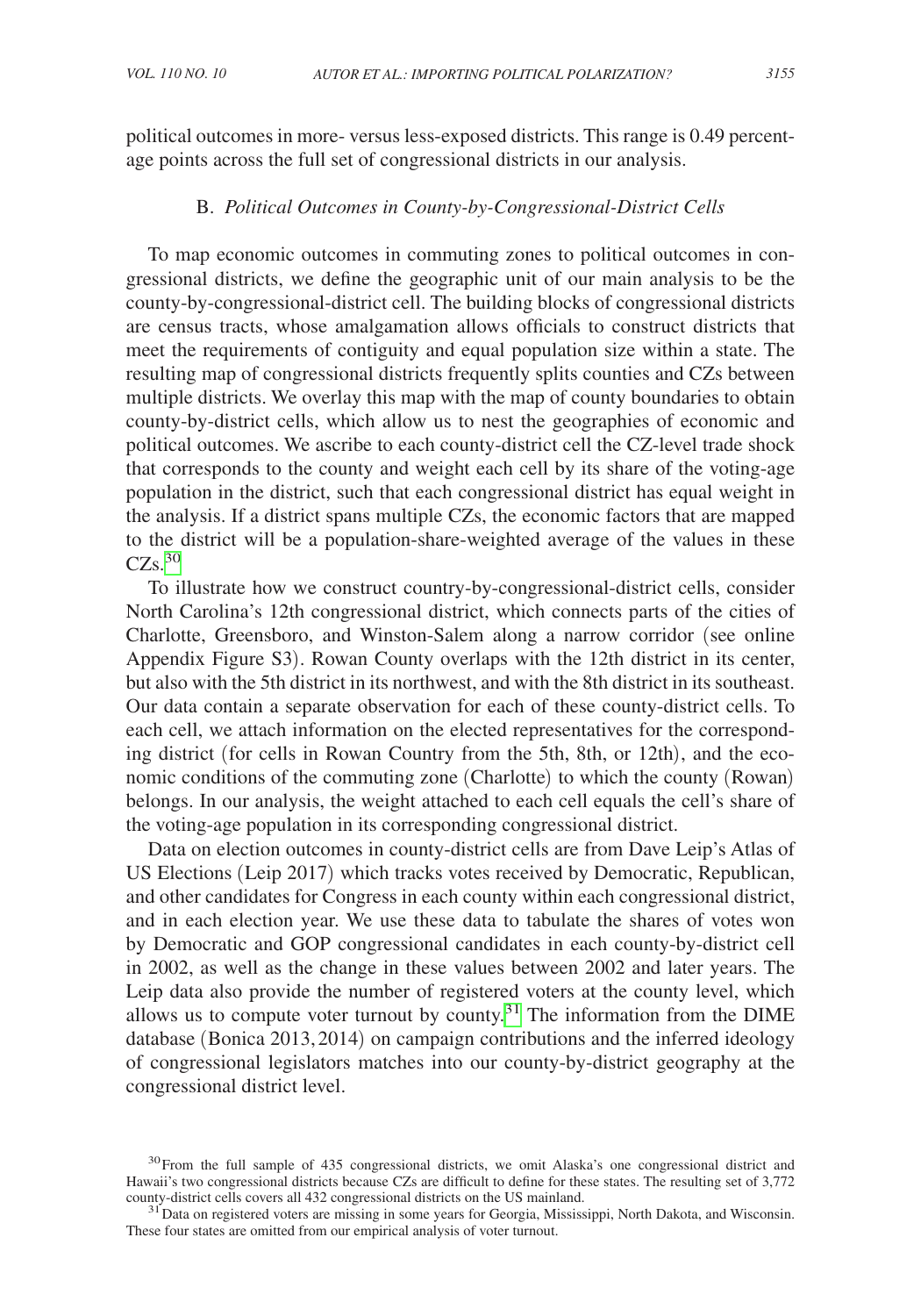political outcomes in more- versus less-exposed districts. This range is 0.49 percentage points across the full set of congressional districts in our analysis.

# B. *Political Outcomes in County-by-Congressional-District Cells*

To map economic outcomes in commuting zones to political outcomes in congressional districts, we define the geographic unit of our main analysis to be the county-by-congressional-district cell. The building blocks of congressional districts are census tracts, whose amalgamation allows officials to construct districts that meet the requirements of contiguity and equal population size within a state. The resulting map of congressional districts frequently splits counties and CZs between multiple districts. We overlay this map with the map of county boundaries to obtain county-by-district cells, which allow us to nest the geographies of economic and political outcomes. We ascribe to each county-district cell the CZ-level trade shock that corresponds to the county and weight each cell by its share of the voting-age population in the district, such that each congressional district has equal weight in the analysis. If a district spans multiple CZs, the economic factors that are mapped to the district will be a population-share-weighted average of the values in these  $CZs$ .<sup>[30](#page-16-0)</sup>

To illustrate how we construct country-by-congressional-district cells, consider North Carolina's 12th congressional district, which connects parts of the cities of Charlotte, Greensboro, and Winston-Salem along a narrow corridor (see online Appendix Figure S3). Rowan County overlaps with the 12th district in its center, but also with the 5th district in its northwest, and with the 8th district in its southeast. Our data contain a separate observation for each of these county-district cells. To each cell, we attach information on the elected representatives for the corresponding district (for cells in Rowan Country from the 5th, 8th, or 12th), and the economic conditions of the commuting zone (Charlotte) to which the county (Rowan) belongs. In our analysis, the weight attached to each cell equals the cell's share of the voting-age population in its corresponding congressional district.

Data on election outcomes in county-district cells are from Dave Leip's Atlas of US Elections (Leip 2017) which tracks votes received by Democratic, Republican, and other candidates for Congress in each county within each congressional district, and in each election year. We use these data to tabulate the shares of votes won by Democratic and GOP congressional candidates in each county-by-district cell in 2002, as well as the change in these values between 2002 and later years. The Leip data also provide the number of registered voters at the county level, which allows us to compute voter turnout by county.<sup>[31](#page-16-1)</sup> The information from the DIME database (Bonica 2013, 2014) on campaign contributions and the inferred ideology of congressional legislators matches into our county-by-district geography at the congressional district level.

<span id="page-16-0"></span><sup>&</sup>lt;sup>30</sup>From the full sample of 435 congressional districts, we omit Alaska's one congressional district and Hawaii's two congressional districts because CZs are difficult to define for these states. The resulting set of 3,772 county-district cells covers all 432 congressional districts on the US mainland.

<span id="page-16-1"></span><sup>&</sup>lt;sup>31</sup> Data on registered voters are missing in some years for Georgia, Mississippi, North Dakota, and Wisconsin. These four states are omitted from our empirical analysis of voter turnout.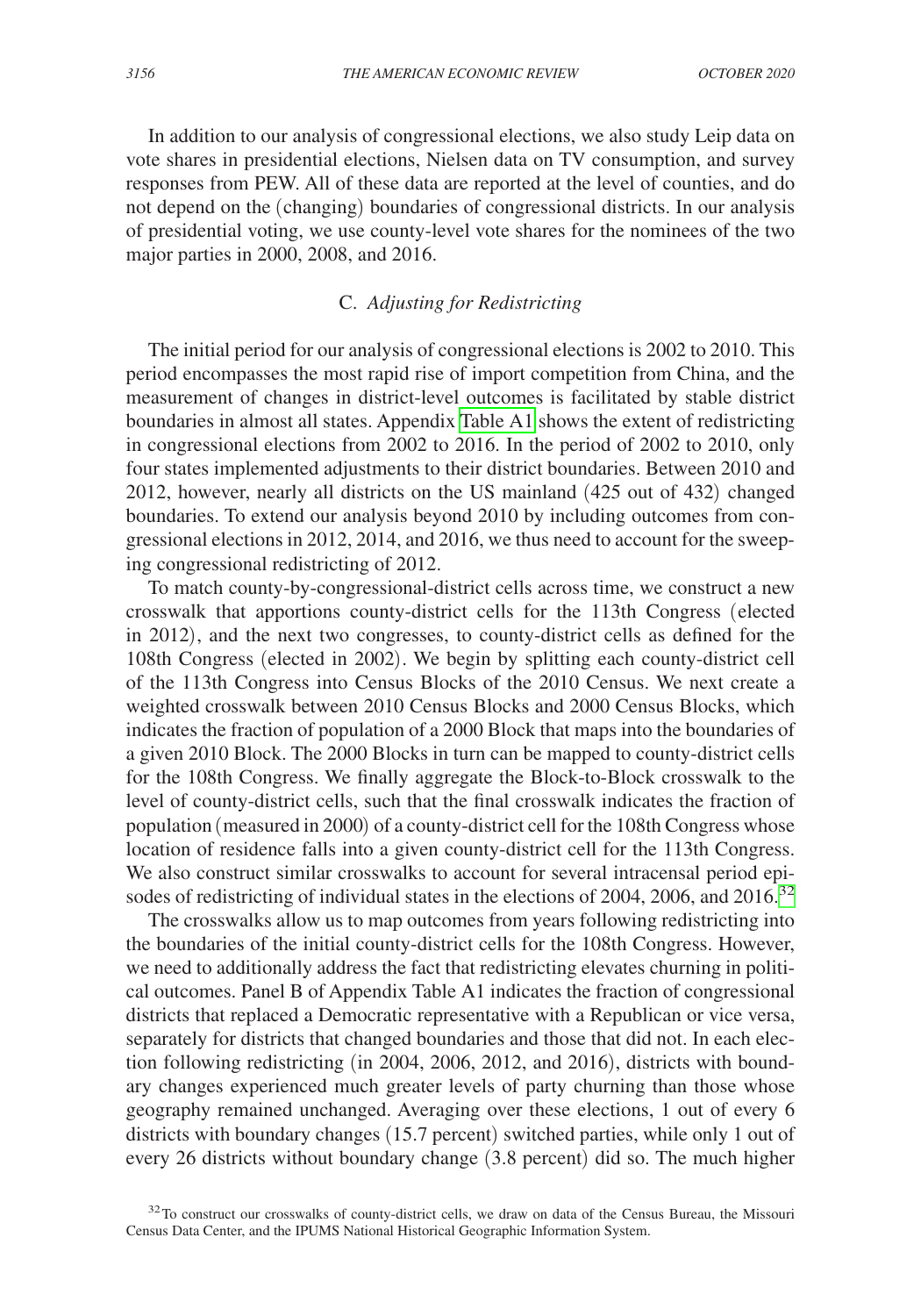In addition to our analysis of congressional elections, we also study Leip data on vote shares in presidential elections, Nielsen data on TV consumption, and survey responses from PEW. All of these data are reported at the level of counties, and do not depend on the (changing) boundaries of congressional districts. In our analysis of presidential voting, we use county-level vote shares for the nominees of the two major parties in 2000, 2008, and 2016.

# C. *Adjusting for Redistricting*

The initial period for our analysis of congressional elections is 2002 to 2010. This period encompasses the most rapid rise of import competition from China, and the measurement of changes in district-level outcomes is facilitated by stable district boundaries in almost all states. Appendix [Table A1](#page-40-0) shows the extent of redistricting in congressional elections from 2002 to 2016. In the period of 2002 to 2010, only four states implemented adjustments to their district boundaries. Between 2010 and 2012, however, nearly all districts on the US mainland (425 out of 432) changed boundaries. To extend our analysis beyond 2010 by including outcomes from congressional elections in 2012, 2014, and 2016, we thus need to account for the sweeping congressional redistricting of 2012.

To match county-by-congressional-district cells across time, we construct a new crosswalk that apportions county-district cells for the 113th Congress (elected in 2012), and the next two congresses, to county-district cells as defined for the 108th Congress (elected in 2002). We begin by splitting each county-district cell of the 113th Congress into Census Blocks of the 2010 Census. We next create a weighted crosswalk between 2010 Census Blocks and 2000 Census Blocks, which indicates the fraction of population of a 2000 Block that maps into the boundaries of a given 2010 Block. The 2000 Blocks in turn can be mapped to county-district cells for the 108th Congress. We finally aggregate the Block-to-Block crosswalk to the level of county-district cells, such that the final crosswalk indicates the fraction of population (measured in 2000) of a county-district cell for the 108th Congress whose location of residence falls into a given county-district cell for the 113th Congress. We also construct similar crosswalks to account for several intracensal period epi-sodes of redistricting of individual states in the elections of 2004, 2006, and 2016.<sup>[32](#page-17-0)</sup>

The crosswalks allow us to map outcomes from years following redistricting into the boundaries of the initial county-district cells for the 108th Congress. However, we need to additionally address the fact that redistricting elevates churning in political outcomes. Panel B of Appendix Table A1 indicates the fraction of congressional districts that replaced a Democratic representative with a Republican or vice versa, separately for districts that changed boundaries and those that did not. In each election following redistricting (in 2004, 2006, 2012, and 2016), districts with boundary changes experienced much greater levels of party churning than those whose geography remained unchanged. Averaging over these elections, 1 out of every 6 districts with boundary changes (15.7 percent) switched parties, while only 1 out of every 26 districts without boundary change (3.8 percent) did so. The much higher

<span id="page-17-0"></span><sup>&</sup>lt;sup>32</sup>To construct our crosswalks of county-district cells, we draw on data of the Census Bureau, the Missouri Census Data Center, and the IPUMS National Historical Geographic Information System.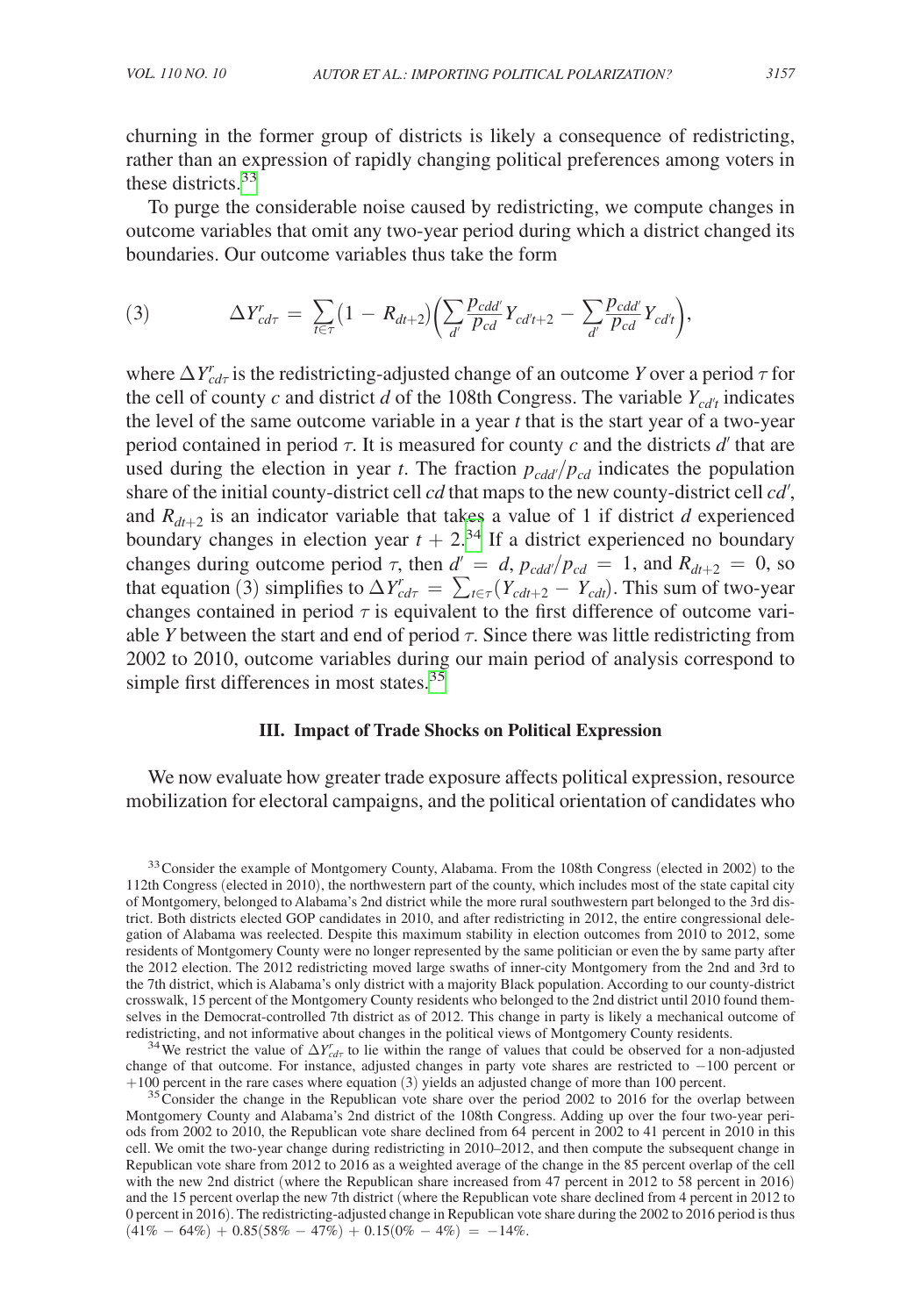churning in the former group of districts is likely a consequence of redistricting, rather than an expression of rapidly changing political preferences among voters in these districts.<sup>[33](#page-18-0)</sup>

To purge the considerable noise caused by redistricting, we compute changes in outcome variables that omit any two-year period during which a district changed its boundaries. Our outcome variables thus take the form

(3) 
$$
\Delta Y_{cd\tau}^r = \sum_{t \in \tau} (1 - R_{dt+2}) \left( \sum_{d'} \frac{p_{cdd'}}{p_{cd}} Y_{cd't+2} - \sum_{d'} \frac{p_{cdd'}}{p_{cd}} Y_{cd't} \right),
$$

where  $\Delta Y^r_{cd\tau}$  is the redistricting-adjusted change of an outcome *Y* over a period  $\tau$  for the cell of county *c* and district *d* of the 108th Congress. The variable  $Y_{cd't}$  indicates the level of the same outcome variable in a year *t* that is the start year of a two-year period contained in period  $\tau$ . It is measured for county *c* and the districts *d'* that are used during the election in year *t*. The fraction  $p_{cdd'}/p_{cd}$  indicates the population share of the initial county-district cell *cd* that maps to the new county-district cell *cd*′, and  $R_{dt+2}$  is an indicator variable that takes a value of 1 if district *d* experienced boundary changes in election year  $t + 2^{34}$  If a district experienced no boundary changes during outcome period  $\tau$ , then  $d' = d$ ,  $p_{cdd'}/p_{cd} = 1$ , and  $R_{dt+2} = 0$ , so that equation (3) simplifies to  $\Delta Y_{cd\tau}^r = \sum_{t \in \tau} (Y_{cdt+2} - Y_{cdt})$ . This sum of two-year changes contained in period  $\tau$  is equivalent to the first difference of outcome variable *Y* between the start and end of period  $\tau$ . Since there was little redistricting from 2002 to 2010, outcome variables during our main period of analysis correspond to simple first differences in most states. $35$ 

# **III. Impact of Trade Shocks on Political Expression**

We now evaluate how greater trade exposure affects political expression, resource mobilization for electoral campaigns, and the political orientation of candidates who

<span id="page-18-1"></span>redistricting, and not informative about changes in the political views of Montgomery County residents.<br><sup>34</sup> We restrict the value of  $\Delta Y_{cdr}^r$  to lie within the range of values that could be observed for a non-adjusted change of that outcome. For instance, adjusted changes in party vote shares are restricted to −100 percent or +100 percent in the rare cases where equation (3) yields an adjusted change of more than 100 percent.

<span id="page-18-2"></span> $35$  Consider the change in the Republican vote share over the period 2002 to 2016 for the overlap between Montgomery County and Alabama's 2nd district of the 108th Congress. Adding up over the four two-year periods from 2002 to 2010, the Republican vote share declined from 64 percent in 2002 to 41 percent in 2010 in this cell. We omit the two-year change during redistricting in 2010–2012, and then compute the subsequent change in Republican vote share from 2012 to 2016 as a weighted average of the change in the 85 percent overlap of the cell with the new 2nd district (where the Republican share increased from 47 percent in 2012 to 58 percent in 2016) and the 15 percent overlap the new 7th district (where the Republican vote share declined from 4 percent in 2012 to 0 percent in 2016). The redistricting-adjusted change in Republican vote share during the 2002 to 2016 period is thus  $(41\% - 64\%) + 0.85(58\% - 47\%) + 0.15(0\% - 4\%) = -14\%.$ 

<span id="page-18-0"></span><sup>&</sup>lt;sup>33</sup> Consider the example of Montgomery County, Alabama. From the 108th Congress (elected in 2002) to the 112th Congress (elected in 2010), the northwestern part of the county, which includes most of the state capital city of Montgomery, belonged to Alabama's 2nd district while the more rural southwestern part belonged to the 3rd district. Both districts elected GOP candidates in 2010, and after redistricting in 2012, the entire congressional delegation of Alabama was reelected. Despite this maximum stability in election outcomes from 2010 to 2012, some residents of Montgomery County were no longer represented by the same politician or even the by same party after the 2012 election. The 2012 redistricting moved large swaths of inner-city Montgomery from the 2nd and 3rd to the 7th district, which is Alabama's only district with a majority Black population. According to our county-district crosswalk, 15 percent of the Montgomery County residents who belonged to the 2nd district until 2010 found themselves in the Democrat-controlled 7th district as of 2012. This change in party is likely a mechanical outcome of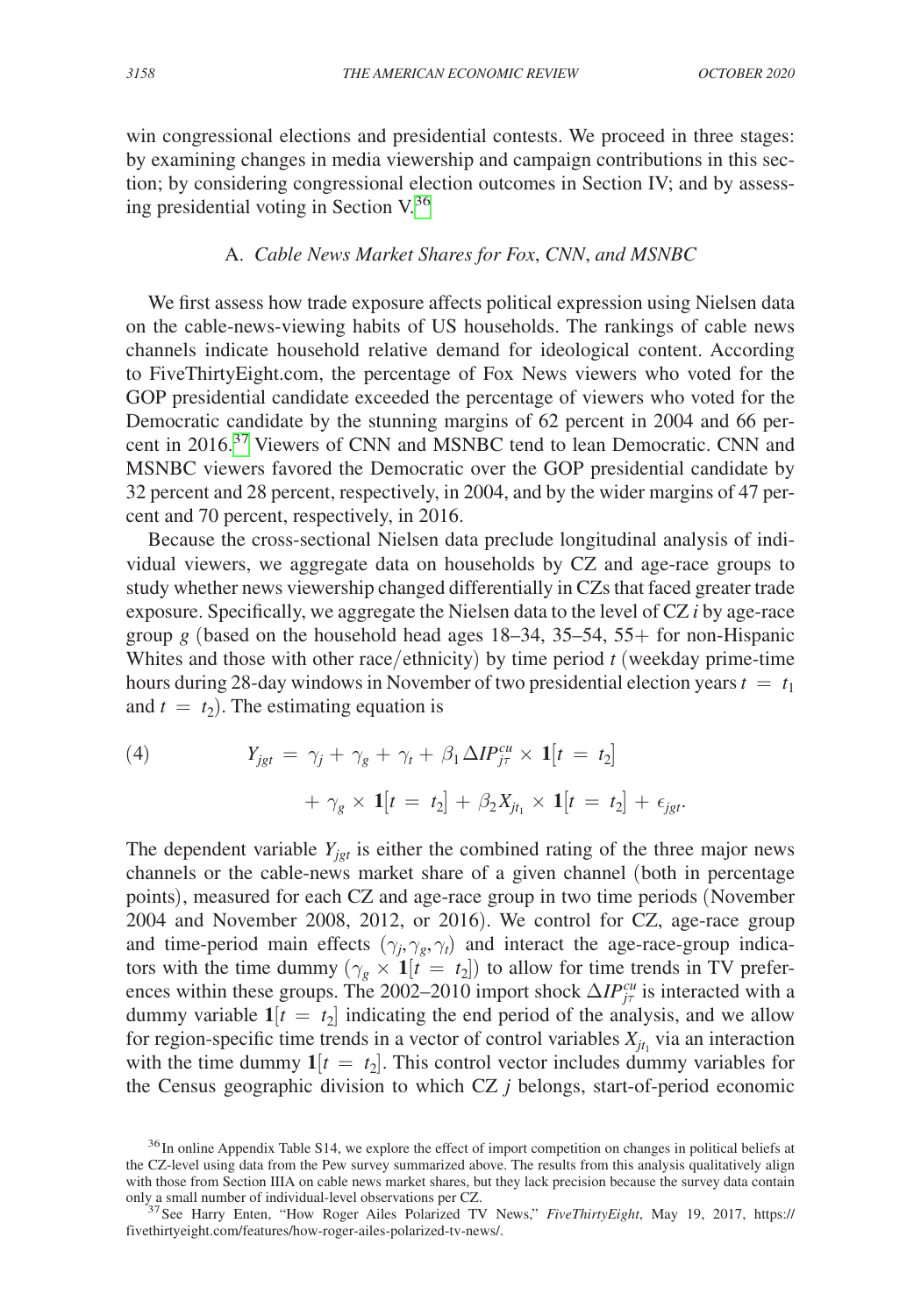win congressional elections and presidential contests. We proceed in three stages: by examining changes in media viewership and campaign contributions in this section; by considering congressional election outcomes in Section IV; and by assessing presidential voting in Section V.[36](#page-19-0)

# A. *Cable News Market Shares for Fox*, *CNN*, *and MSNBC*

We first assess how trade exposure affects political expression using Nielsen data on the cable-news-viewing habits of US households. The rankings of cable news channels indicate household relative demand for ideological content. According to [FiveThirtyEight.com](http://FiveThirtyEight.com), the percentage of Fox News viewers who voted for the GOP presidential candidate exceeded the percentage of viewers who voted for the Democratic candidate by the stunning margins of 62 percent in 2004 and 66 per-cent in 2016.<sup>[37](#page-19-1)</sup> Viewers of CNN and MSNBC tend to lean Democratic. CNN and MSNBC viewers favored the Democratic over the GOP presidential candidate by 32 percent and 28 percent, respectively, in 2004, and by the wider margins of 47 percent and 70 percent, respectively, in 2016.

Because the cross-sectional Nielsen data preclude longitudinal analysis of individual viewers, we aggregate data on households by CZ and age-race groups to study whether news viewership changed differentially in CZs that faced greater trade exposure. Specifically, we aggregate the Nielsen data to the level of CZ *i* by age-race group  $g$  (based on the household head ages 18–34, 35–54, 55+ for non-Hispanic Whites and those with other race/ethnicity) by time period *t* (weekday prime-time hours during 28-day windows in November of two presidential election years  $t = t_1$ and  $t = t_2$ ). The estimating equation is

(4) 
$$
Y_{jgt} = \gamma_j + \gamma_g + \gamma_t + \beta_1 \Delta IP_{j\tau}^{cu} \times \mathbf{1}[t = t_2] + \gamma_g \times \mathbf{1}[t = t_2] + \beta_2 X_{j t_1} \times \mathbf{1}[t = t_2] + \epsilon_{jgt}.
$$

The dependent variable  $Y_{jgt}$  is either the combined rating of the three major news channels or the cable-news market share of a given channel (both in percentage points), measured for each CZ and age-race group in two time periods (November 2004 and November 2008, 2012, or 2016). We control for CZ, age-race group and time-period main effects  $(\gamma_j, \gamma_g, \gamma_t)$  and interact the age-race-group indicators with the time dummy  $(\gamma_g \times \mathbf{1}[t] = t_2])$  to allow for time trends in TV preferences within these groups. The 2002–2010 import shock  $\Delta IP_{j\tau}^{cu}$  is interacted with a dummy variable  $1[t = t_2]$  indicating the end period of the analysis, and we allow for region-specific time trends in a vector of control variables  $X_{jt_1}$  via an interaction with the time dummy  $\mathbf{1}[t = t_2]$ . This control vector includes dummy variables for the Census geographic division to which CZ *j* belongs, start-of-period economic

<span id="page-19-0"></span><sup>&</sup>lt;sup>36</sup> In online Appendix Table S14, we explore the effect of import competition on changes in political beliefs at the CZ-level using data from the Pew survey summarized above. The results from this analysis qualitatively align with those from Section IIIA on cable news market shares, but they lack precision because the survey data contain only a small number of individual-level observations per CZ.

<span id="page-19-1"></span><sup>&</sup>lt;sup>37</sup> See Harry Enten, "How Roger Ailes Polarized TV News," *FiveThirtyEight*, May 19, 2017, [https://](https://fivethirtyeight.com/features/�how-roger-ailes-polarized-tv-news/) [fivethirtyeight.com/features/how-roger-ailes-polarized-tv-news/.](https://fivethirtyeight.com/features/�how-roger-ailes-polarized-tv-news/)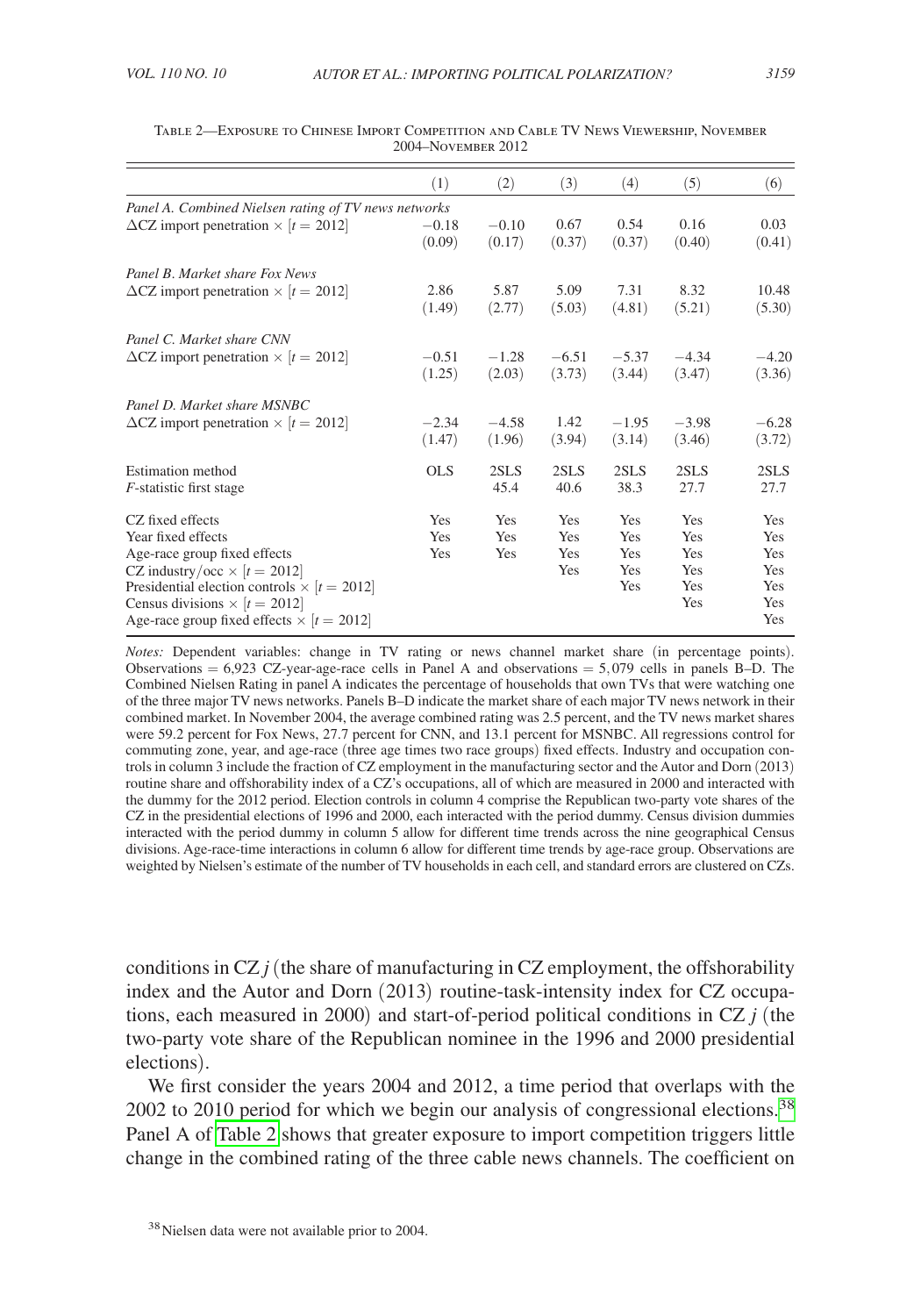|                                                        | (1)        | (2)     | (3)     | (4)     | (5)     | (6)     |
|--------------------------------------------------------|------------|---------|---------|---------|---------|---------|
| Panel A. Combined Nielsen rating of TV news networks   |            |         |         |         |         |         |
| $\Delta$ CZ import penetration $\times$ [ $t = 2012$ ] | $-0.18$    | $-0.10$ | 0.67    | 0.54    | 0.16    | 0.03    |
|                                                        | (0.09)     | (0.17)  | (0.37)  | (0.37)  | (0.40)  | (0.41)  |
| Panel B. Market share Fox News                         |            |         |         |         |         |         |
| $\Delta$ CZ import penetration $\times$ [ $t = 2012$ ] | 2.86       | 5.87    | 5.09    | 7.31    | 8.32    | 10.48   |
|                                                        | (1.49)     | (2.77)  | (5.03)  | (4.81)  | (5.21)  | (5.30)  |
| Panel C. Market share CNN                              |            |         |         |         |         |         |
| $\Delta$ CZ import penetration $\times$ [t = 2012]     | $-0.51$    | $-1.28$ | $-6.51$ | $-5.37$ | $-4.34$ | $-4.20$ |
|                                                        | (1.25)     | (2.03)  | (3.73)  | (3.44)  | (3.47)  | (3.36)  |
| Panel D. Market share MSNBC                            |            |         |         |         |         |         |
| $\Delta$ CZ import penetration $\times$ [t = 2012]     | $-2.34$    | $-4.58$ | 1.42    | $-1.95$ | $-3.98$ | $-6.28$ |
|                                                        | (1.47)     | (1.96)  | (3.94)  | (3.14)  | (3.46)  | (3.72)  |
| Estimation method                                      | <b>OLS</b> | 2SLS    | 2SLS    | 2SLS    | 2SLS    | 2SLS    |
| <i>F</i> -statistic first stage                        |            | 45.4    | 40.6    | 38.3    | 27.7    | 27.7    |
| CZ fixed effects                                       | Yes        | Yes     | Yes     | Yes     | Yes     | Yes     |
| Year fixed effects                                     | Yes        | Yes     | Yes     | Yes     | Yes     | Yes     |
| Age-race group fixed effects                           | Yes        | Yes     | Yes     | Yes     | Yes     | Yes     |
| CZ industry/occ $\times$ [ $t = 2012$ ]                |            |         | Yes     | Yes     | Yes     | Yes     |
| Presidential election controls $\times$ [t = 2012]     |            |         |         | Yes     | Yes     | Yes     |
| Census divisions $\times$ [t = 2012]                   |            |         |         |         | Yes     | Yes     |
| Age-race group fixed effects $\times$ [ $t = 2012$ ]   |            |         |         |         |         | Yes     |

Table 2—Exposure to Chinese Import Competition and Cable TV News Viewership, November 2004–November 2012

*Notes:* Dependent variables: change in TV rating or news channel market share (in percentage points). Observations  $= 6.923$  CZ-year-age-race cells in Panel A and observations  $= 5.079$  cells in panels B-D. The Combined Nielsen Rating in panel A indicates the percentage of households that own TVs that were watching one of the three major TV news networks. Panels B–D indicate the market share of each major TV news network in their combined market. In November 2004, the average combined rating was 2.5 percent, and the TV news market shares were 59.2 percent for Fox News, 27.7 percent for CNN, and 13.1 percent for MSNBC. All regressions control for commuting zone, year, and age-race (three age times two race groups) fixed effects. Industry and occupation controls in column 3 include the fraction of CZ employment in the manufacturing sector and the Autor and Dorn (2013) routine share and offshorability index of a CZ's occupations, all of which are measured in 2000 and interacted with the dummy for the 2012 period. Election controls in column 4 comprise the Republican two-party vote shares of the CZ in the presidential elections of 1996 and 2000, each interacted with the period dummy. Census division dummies interacted with the period dummy in column 5 allow for different time trends across the nine geographical Census divisions. Age-race-time interactions in column 6 allow for different time trends by age-race group. Observations are weighted by Nielsen's estimate of the number of TV households in each cell, and standard errors are clustered on CZs.

conditions in CZ  $j$  (the share of manufacturing in CZ employment, the offshorability index and the Autor and Dorn (2013) routine-task-intensity index for CZ occupations, each measured in 2000) and start-of-period political conditions in CZ *j* (the two-party vote share of the Republican nominee in the 1996 and 2000 presidential elections).

We first consider the years 2004 and 2012, a time period that overlaps with the  $2002$  to 2010 period for which we begin our analysis of congressional elections.<sup>38</sup> Panel A of Table 2 shows that greater exposure to import competition triggers little change in the combined rating of the three cable news channels. The coefficient on

<span id="page-20-0"></span><sup>38</sup>Nielsen data were not available prior to 2004.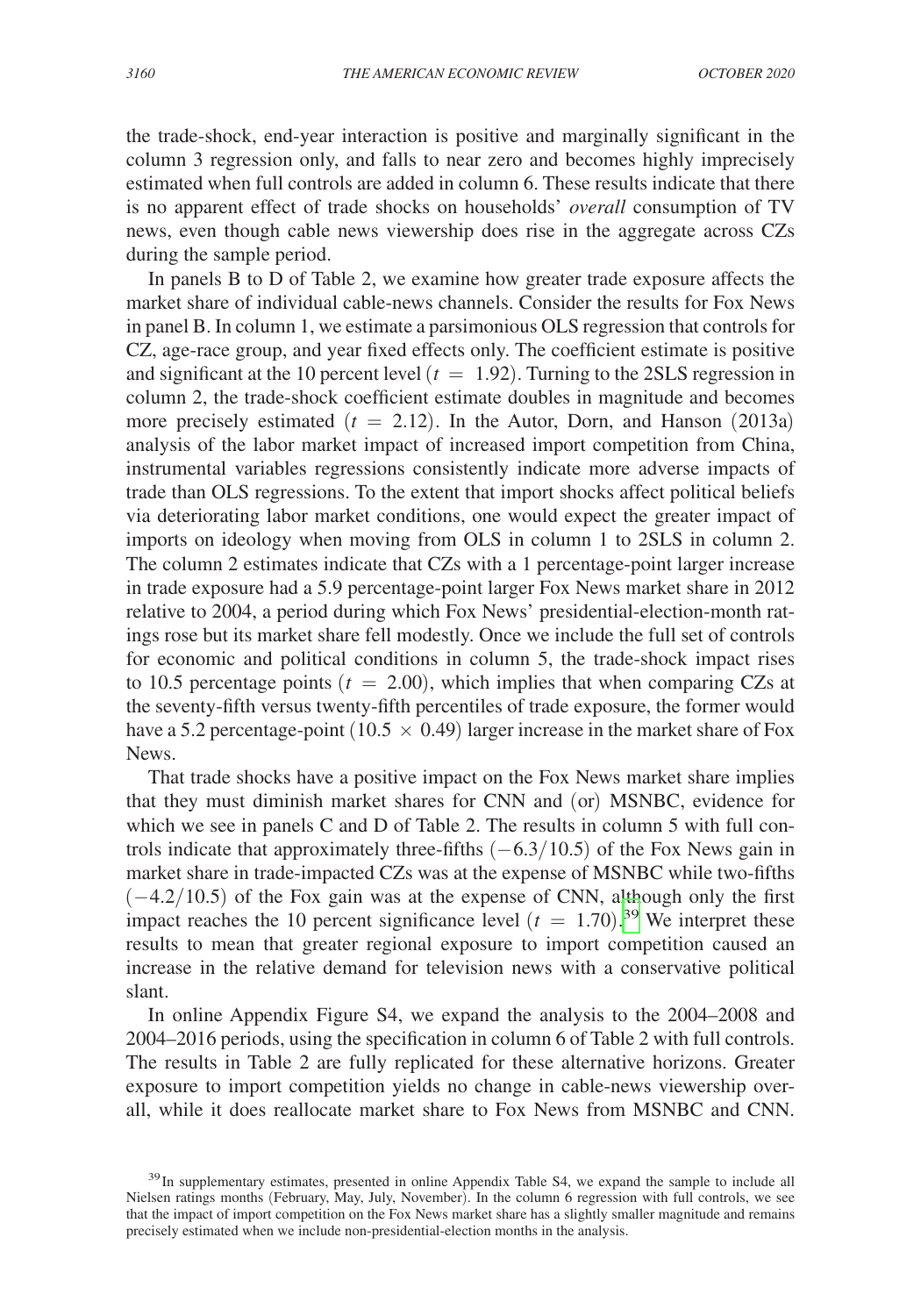the trade-shock, end-year interaction is positive and marginally significant in the column 3 regression only, and falls to near zero and becomes highly imprecisely estimated when full controls are added in column 6. These results indicate that there is no apparent effect of trade shocks on households' *overall* consumption of TV news, even though cable news viewership does rise in the aggregate across CZs during the sample period.

In panels B to D of Table 2, we examine how greater trade exposure affects the market share of individual cable-news channels. Consider the results for Fox News in panel B. In column 1, we estimate a parsimonious OLS regression that controls for CZ, age-race group, and year fixed effects only. The coefficient estimate is positive and significant at the 10 percent level  $(t = 1.92)$ . Turning to the 2SLS regression in column 2, the trade-shock coefficient estimate doubles in magnitude and becomes more precisely estimated  $(t = 2.12)$ . In the Autor, Dorn, and Hanson (2013a) analysis of the labor market impact of increased import competition from China, instrumental variables regressions consistently indicate more adverse impacts of trade than OLS regressions. To the extent that import shocks affect political beliefs via deteriorating labor market conditions, one would expect the greater impact of imports on ideology when moving from OLS in column 1 to 2SLS in column 2. The column 2 estimates indicate that CZs with a 1 percentage-point larger increase in trade exposure had a 5.9 percentage-point larger Fox News market share in 2012 relative to 2004, a period during which Fox News' presidential-election-month ratings rose but its market share fell modestly. Once we include the full set of controls for economic and political conditions in column 5, the trade-shock impact rises to 10.5 percentage points  $(t = 2.00)$ , which implies that when comparing CZs at the seventy-fifth versus twenty-fifth percentiles of trade exposure, the former would have a 5.2 percentage-point (10.5  $\times$  0.49) larger increase in the market share of Fox News.

That trade shocks have a positive impact on the Fox News market share implies that they must diminish market shares for CNN and (or) MSNBC, evidence for which we see in panels C and D of Table 2. The results in column 5 with full controls indicate that approximately three-fifths  $(-6.3/10.5)$  of the Fox News gain in market share in trade-impacted CZs was at the expense of MSNBC while two-fifths  $(-4.2/10.5)$  of the Fox gain was at the expense of CNN, although only the first impact reaches the 10 percent significance level  $(t = 1.70)$ .<sup>39</sup> We interpret these results to mean that greater regional exposure to import competition caused an increase in the relative demand for television news with a conservative political slant.

In online Appendix Figure S4, we expand the analysis to the 2004–2008 and 2004–2016 periods, using the specification in column 6 of Table 2 with full controls. The results in Table 2 are fully replicated for these alternative horizons. Greater exposure to import competition yields no change in cable-news viewership overall, while it does reallocate market share to Fox News from MSNBC and CNN.

<span id="page-21-0"></span><sup>&</sup>lt;sup>39</sup>In supplementary estimates, presented in online Appendix Table S4, we expand the sample to include all Nielsen ratings months (February, May, July, November). In the column 6 regression with full controls, we see that the impact of import competition on the Fox News market share has a slightly smaller magnitude and remains precisely estimated when we include non-presidential-election months in the analysis.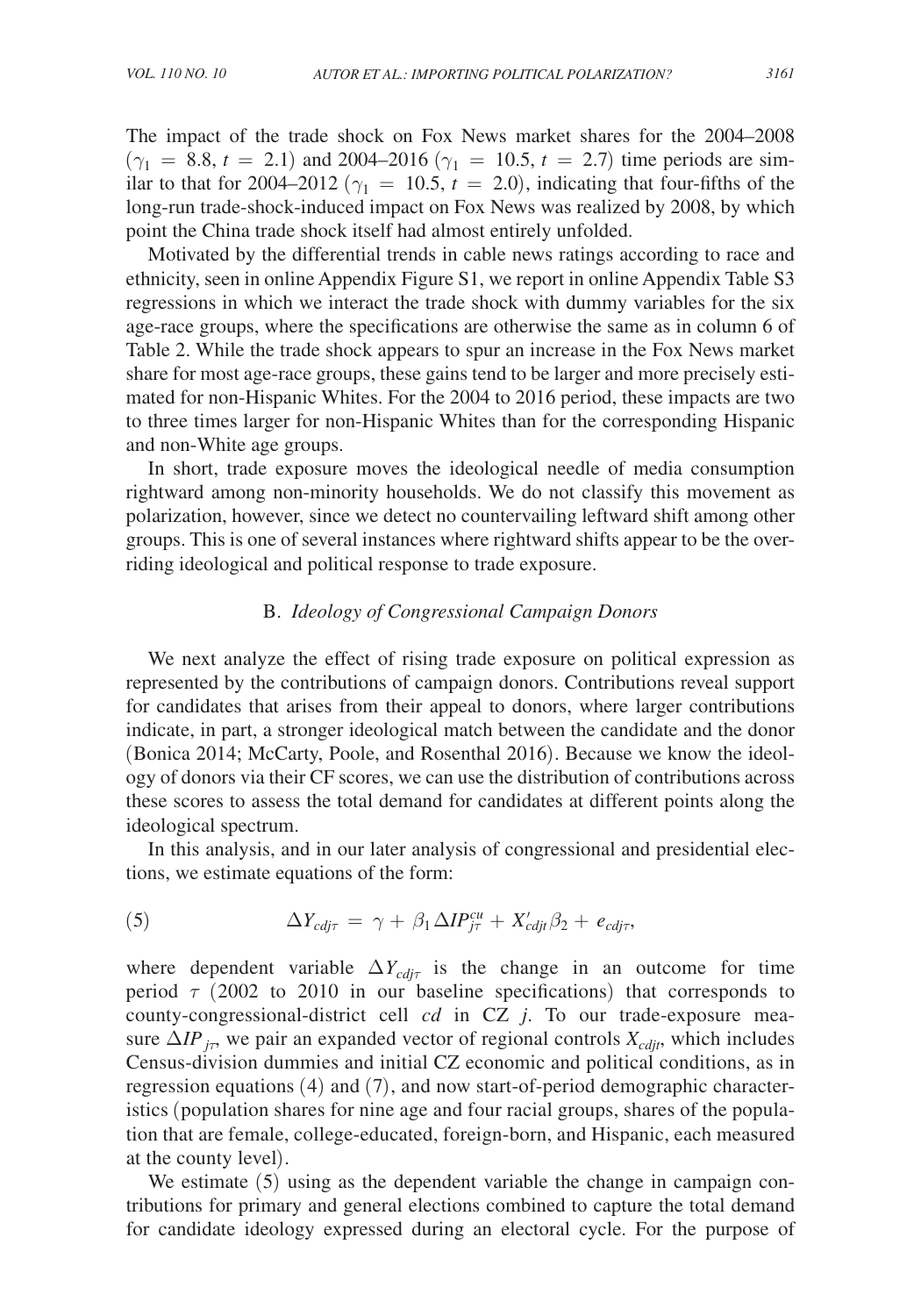The impact of the trade shock on Fox News market shares for the 2004–2008  $(\gamma_1 = 8.8, t = 2.1)$  and 2004–2016  $(\gamma_1 = 10.5, t = 2.7)$  time periods are similar to that for 2004–2012 ( $\gamma_1 = 10.5$ ,  $t = 2.0$ ), indicating that four-fifths of the long-run trade-shock-induced impact on Fox News was realized by 2008, by which point the China trade shock itself had almost entirely unfolded.

Motivated by the differential trends in cable news ratings according to race and ethnicity, seen in online Appendix Figure S1, we report in online Appendix Table S3 regressions in which we interact the trade shock with dummy variables for the six age-race groups, where the specifications are otherwise the same as in column 6 of Table 2. While the trade shock appears to spur an increase in the Fox News market share for most age-race groups, these gains tend to be larger and more precisely estimated for non-Hispanic Whites. For the 2004 to 2016 period, these impacts are two to three times larger for non-Hispanic Whites than for the corresponding Hispanic and non-White age groups.

In short, trade exposure moves the ideological needle of media consumption rightward among non-minority households. We do not classify this movement as polarization, however, since we detect no countervailing leftward shift among other groups. This is one of several instances where rightward shifts appear to be the overriding ideological and political response to trade exposure.

# B. *Ideology of Congressional Campaign Donors*

We next analyze the effect of rising trade exposure on political expression as represented by the contributions of campaign donors. Contributions reveal support for candidates that arises from their appeal to donors, where larger contributions indicate, in part, a stronger ideological match between the candidate and the donor (Bonica 2014; McCarty, Poole, and Rosenthal 2016). Because we know the ideology of donors via their CF scores, we can use the distribution of contributions across these scores to assess the total demand for candidates at different points along the ideological spectrum.

In this analysis, and in our later analysis of congressional and presidential elections, we estimate equations of the form:

(5) 
$$
\Delta Y_{cdj\tau} = \gamma + \beta_1 \Delta IP_{j\tau}^{cu} + X'_{cdjt} \beta_2 + e_{cdj\tau},
$$

where dependent variable  $\Delta Y_{cdj\tau}$  is the change in an outcome for time period  $\tau$  (2002 to 2010 in our baseline specifications) that corresponds to county-congressional-district cell *cd* in CZ *j*. To our trade-exposure measure  $\Delta IP_{j\tau}$ , we pair an expanded vector of regional controls  $X_{cdit}$ , which includes Census-division dummies and initial CZ economic and political conditions, as in regression equations (4) and (7), and now start-of-period demographic characteristics (population shares for nine age and four racial groups, shares of the population that are female, college-educated, foreign-born, and Hispanic, each measured at the county level).

We estimate  $(5)$  using as the dependent variable the change in campaign contributions for primary and general elections combined to capture the total demand for candidate ideology expressed during an electoral cycle. For the purpose of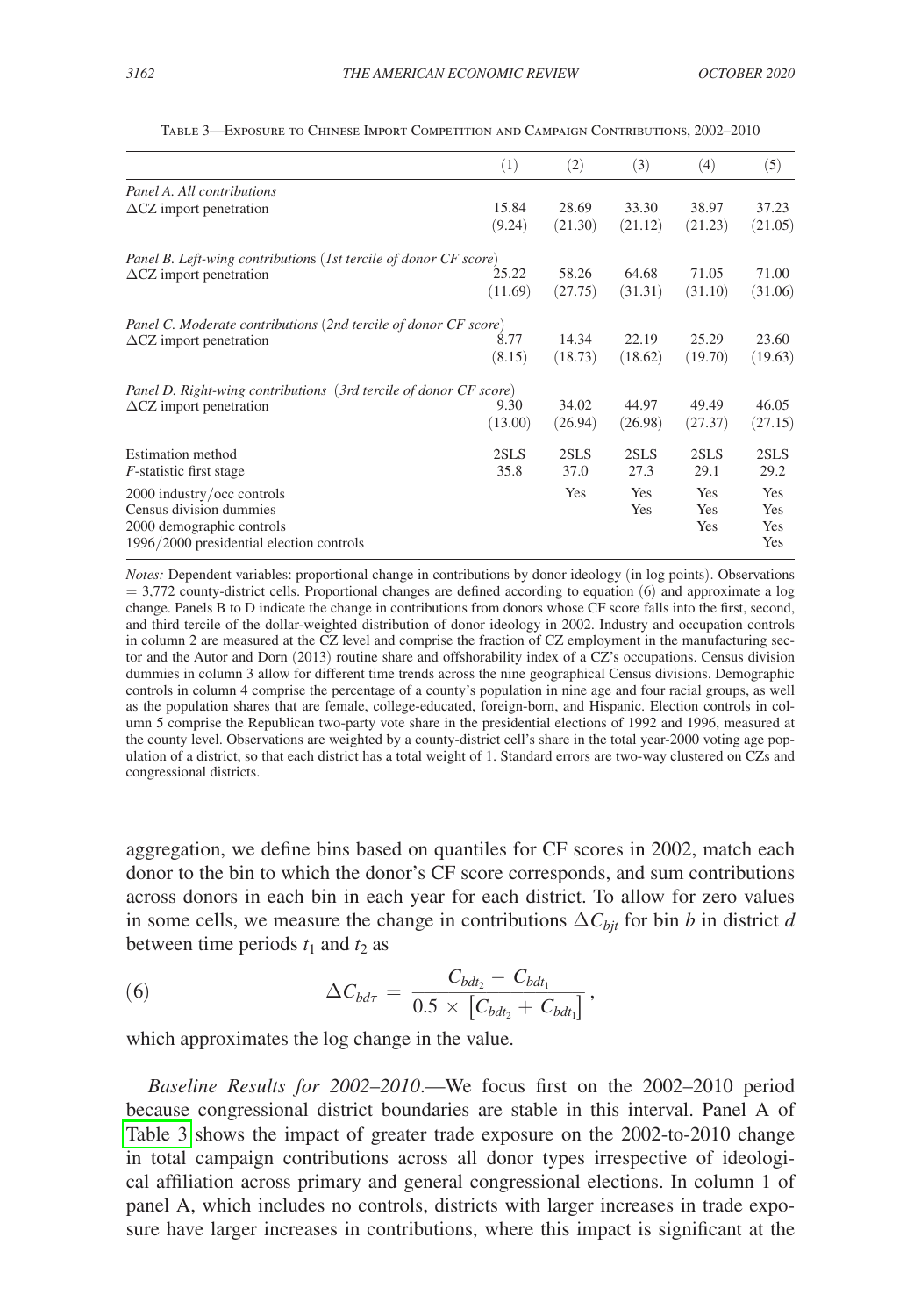|                                                                   | (1)     | (2)     | (3)     | (4)     | (5)        |
|-------------------------------------------------------------------|---------|---------|---------|---------|------------|
| Panel A. All contributions                                        |         |         |         |         |            |
| $\Delta$ CZ import penetration                                    | 15.84   | 28.69   | 33.30   | 38.97   | 37.23      |
|                                                                   | (9.24)  | (21.30) | (21.12) | (21.23) | (21.05)    |
| Panel B. Left-wing contributions (1st tercile of donor CF score)  |         |         |         |         |            |
| $\Delta$ CZ import penetration                                    | 25.22   | 58.26   | 64.68   | 71.05   | 71.00      |
|                                                                   | (11.69) | (27.75) | (31.31) | (31.10) | (31.06)    |
| Panel C. Moderate contributions (2nd tercile of donor CF score)   |         |         |         |         |            |
| $\Delta$ CZ import penetration                                    | 8.77    | 14.34   | 22.19   | 25.29   | 23.60      |
|                                                                   | (8.15)  | (18.73) | (18.62) | (19.70) | (19.63)    |
| Panel D. Right-wing contributions (3rd tercile of donor CF score) |         |         |         |         |            |
| $\Delta$ CZ import penetration                                    | 9.30    | 34.02   | 44.97   | 49.49   | 46.05      |
|                                                                   | (13.00) | (26.94) | (26.98) | (27.37) | (27.15)    |
| Estimation method                                                 | 2SLS    | 2SLS    | 2SLS    | 2SLS    | 2SLS       |
| <i>F</i> -statistic first stage                                   | 35.8    | 37.0    | 27.3    | 29.1    | 29.2       |
| 2000 industry/occ controls                                        |         | Yes     | Yes     | Yes     | Yes        |
| Census division dummies                                           |         |         | Yes     | Yes     | Yes        |
| 2000 demographic controls                                         |         |         |         | Yes     | <b>Yes</b> |
| 1996/2000 presidential election controls                          |         |         |         |         | Yes        |

Table 3—Exposure to Chinese Import Competition and Campaign Contributions, 2002–2010

*Notes:* Dependent variables: proportional change in contributions by donor ideology (in log points). Observations  $= 3,772$  county-district cells. Proportional changes are defined according to equation (6) and approximate a log change. Panels B to D indicate the change in contributions from donors whose CF score falls into the first, second, and third tercile of the dollar-weighted distribution of donor ideology in 2002. Industry and occupation controls in column 2 are measured at the CZ level and comprise the fraction of CZ employment in the manufacturing sector and the Autor and Dorn (2013) routine share and offshorability index of a CZ's occupations. Census division dummies in column 3 allow for different time trends across the nine geographical Census divisions. Demographic controls in column 4 comprise the percentage of a county's population in nine age and four racial groups, as well as the population shares that are female, college-educated, foreign-born, and Hispanic. Election controls in column 5 comprise the Republican two-party vote share in the presidential elections of 1992 and 1996, measured at the county level. Observations are weighted by a county-district cell's share in the total year-2000 voting age population of a district, so that each district has a total weight of 1. Standard errors are two-way clustered on CZs and congressional districts.

aggregation, we define bins based on quantiles for CF scores in 2002, match each donor to the bin to which the donor's CF score corresponds, and sum contributions across donors in each bin in each year for each district. To allow for zero values in some cells, we measure the change in contributions  $\Delta C_{bit}$  for bin *b* in district *d* between time periods  $t_1$  and  $t_2$  as

between time periods 
$$
t_1
$$
 and  $t_2$  as  
\n(6) 
$$
\Delta C_{bd\tau} = \frac{C_{bdt_2} - C_{bdt_1}}{0.5 \times \left[C_{bdt_2} + C_{bdt_1}\right]},
$$
\nwhich converges in the value

which approximates the log change in the value.

*Baseline Results for 2002*–*2010*.—We focus first on the 2002–2010 period because congressional district boundaries are stable in this interval. Panel A of Table 3 shows the impact of greater trade exposure on the 2002-to-2010 change in total campaign contributions across all donor types irrespective of ideological affiliation across primary and general congressional elections. In column 1 of panel A, which includes no controls, districts with larger increases in trade exposure have larger increases in contributions, where this impact is significant at the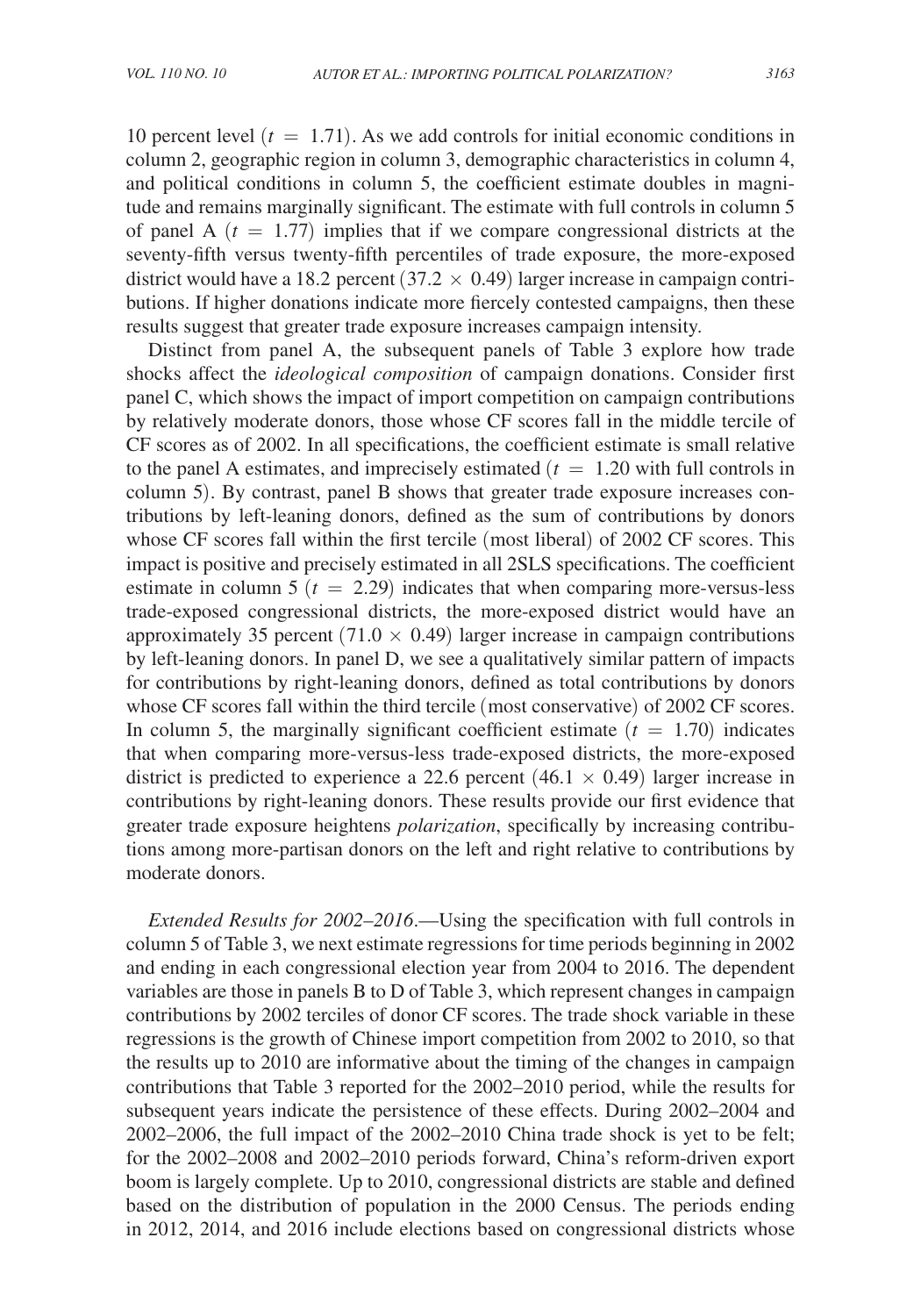10 percent level  $(t = 1.71)$ . As we add controls for initial economic conditions in column 2, geographic region in column 3, demographic characteristics in column 4, and political conditions in column 5, the coefficient estimate doubles in magnitude and remains marginally significant. The estimate with full controls in column 5 of panel A  $(t = 1.77)$  implies that if we compare congressional districts at the seventy-fifth versus twenty-fifth percentiles of trade exposure, the more-exposed district would have a 18.2 percent  $(37.2 \times 0.49)$  larger increase in campaign contributions. If higher donations indicate more fiercely contested campaigns, then these results suggest that greater trade exposure increases campaign intensity.

Distinct from panel A, the subsequent panels of Table 3 explore how trade shocks affect the *ideological composition* of campaign donations. Consider first panel C, which shows the impact of import competition on campaign contributions by relatively moderate donors, those whose CF scores fall in the middle tercile of CF scores as of 2002. In all specifications, the coefficient estimate is small relative to the panel A estimates, and imprecisely estimated  $(t = 1.20$  with full controls in column 5). By contrast, panel B shows that greater trade exposure increases contributions by left-leaning donors, defined as the sum of contributions by donors whose CF scores fall within the first tercile (most liberal) of 2002 CF scores. This impact is positive and precisely estimated in all 2SLS specifications. The coefficient estimate in column 5  $(t = 2.29)$  indicates that when comparing more-versus-less trade-exposed congressional districts, the more-exposed district would have an approximately 35 percent (71.0  $\times$  0.49) larger increase in campaign contributions by left-leaning donors. In panel D, we see a qualitatively similar pattern of impacts for contributions by right-leaning donors, defined as total contributions by donors whose CF scores fall within the third tercile (most conservative) of 2002 CF scores. In column 5, the marginally significant coefficient estimate  $(t = 1.70)$  indicates that when comparing more-versus-less trade-exposed districts, the more-exposed district is predicted to experience a 22.6 percent  $(46.1 \times 0.49)$  larger increase in contributions by right-leaning donors. These results provide our first evidence that greater trade exposure heightens *polarization*, specifically by increasing contributions among more-partisan donors on the left and right relative to contributions by moderate donors.

*Extended Results for 2002*–*2016*.—Using the specification with full controls in column 5 of Table 3, we next estimate regressions for time periods beginning in 2002 and ending in each congressional election year from 2004 to 2016. The dependent variables are those in panels B to D of Table 3, which represent changes in campaign contributions by 2002 terciles of donor CF scores. The trade shock variable in these regressions is the growth of Chinese import competition from 2002 to 2010, so that the results up to 2010 are informative about the timing of the changes in campaign contributions that Table 3 reported for the 2002–2010 period, while the results for subsequent years indicate the persistence of these effects. During 2002–2004 and 2002–2006, the full impact of the 2002–2010 China trade shock is yet to be felt; for the 2002–2008 and 2002–2010 periods forward, China's reform-driven export boom is largely complete. Up to 2010, congressional districts are stable and defined based on the distribution of population in the 2000 Census. The periods ending in 2012, 2014, and 2016 include elections based on congressional districts whose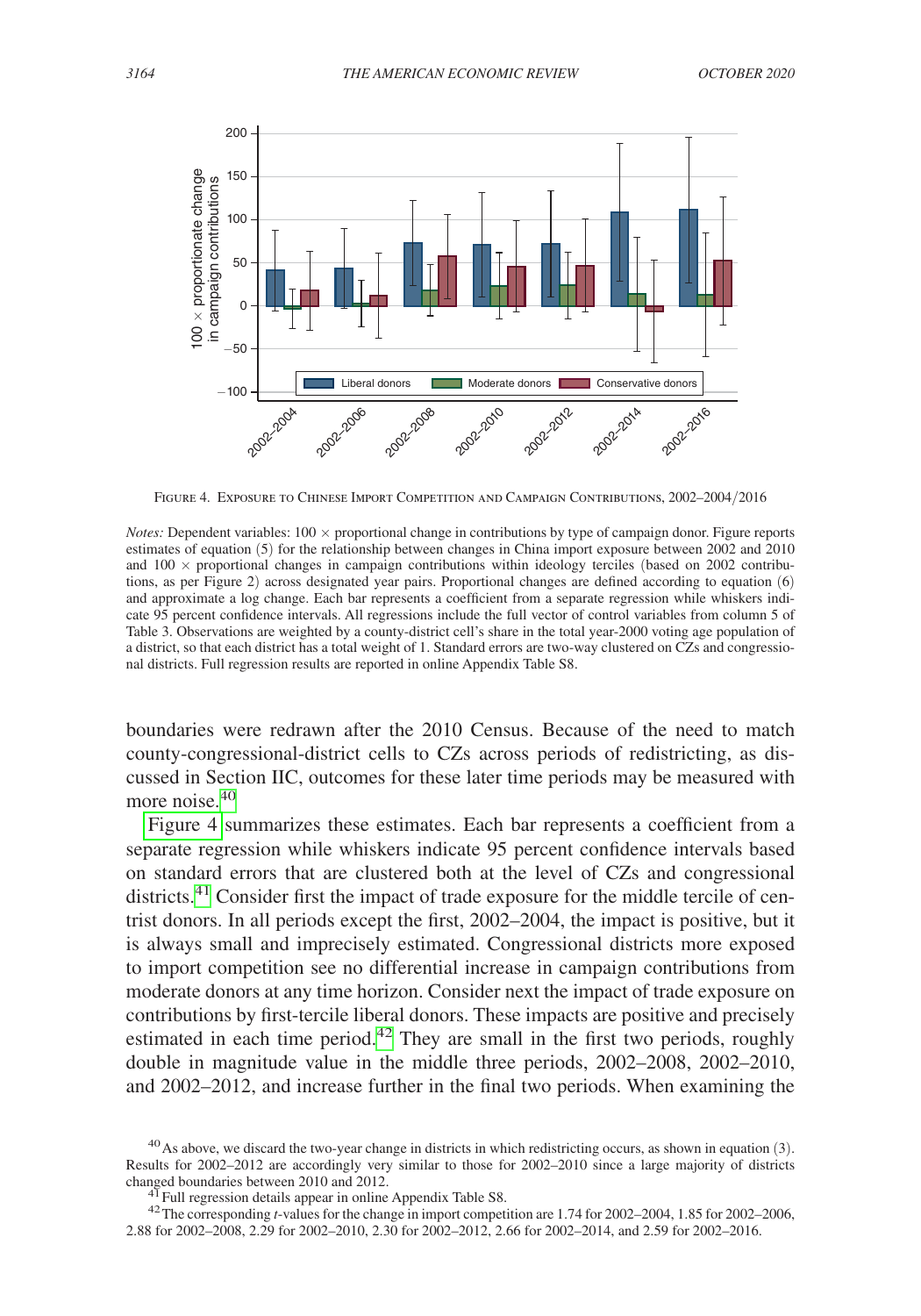

Figure 4. Exposure to Chinese Import Competition and Campaign Contributions, 2002–2004/2016

*Notes:* Dependent variables:  $100 \times$  proportional change in contributions by type of campaign donor. Figure reports estimates of equation (5) for the relationship between changes in China import exposure between 2002 and 2010 and  $100 \times$  proportional changes in campaign contributions within ideology terciles (based on 2002 contributions, as per Figure 2) across designated year pairs. Proportional changes are defined according to equation (6) and approximate a log change. Each bar represents a coefficient from a separate regression while whiskers indicate 95 percent confidence intervals. All regressions include the full vector of control variables from column 5 of Table 3. Observations are weighted by a county-district cell's share in the total year-2000 voting age population of a district, so that each district has a total weight of 1. Standard errors are two-way clustered on CZs and congressional districts. Full regression results are reported in online Appendix Table S8.

boundaries were redrawn after the 2010 Census. Because of the need to match county-congressional-district cells to CZs across periods of redistricting, as discussed in Section IIC, outcomes for these later time periods may be measured with more noise.<sup>40</sup>

Figure 4 summarizes these estimates. Each bar represents a coefficient from a separate regression while whiskers indicate 95 percent confidence intervals based on standard errors that are clustered both at the level of CZs and congressional districts.<sup>[41](#page-25-1)</sup> Consider first the impact of trade exposure for the middle tercile of centrist donors. In all periods except the first, 2002–2004, the impact is positive, but it is always small and imprecisely estimated. Congressional districts more exposed to import competition see no differential increase in campaign contributions from moderate donors at any time horizon. Consider next the impact of trade exposure on contributions by first-tercile liberal donors. These impacts are positive and precisely estimated in each time period.<sup>42</sup> They are small in the first two periods, roughly double in magnitude value in the middle three periods, 2002–2008, 2002–2010, and 2002–2012, and increase further in the final two periods. When examining the

<span id="page-25-0"></span> $^{40}$ As above, we discard the two-year change in districts in which redistricting occurs, as shown in equation (3). Results for 2002–2012 are accordingly very similar to those for 2002–2010 since a large majority of districts changed boundaries between 2010 and 2012.

<span id="page-25-2"></span><span id="page-25-1"></span>

<sup>&</sup>lt;sup>4T</sup> Full regression details appear in online Appendix Table S8.<br><sup>42</sup>The corresponding *t*-values for the change in import competition are 1.74 for 2002–2004, 1.85 for 2002–2006, 2.88 for 2002–2008, 2.29 for 2002–2010, 2.30 for 2002–2012, 2.66 for 2002–2014, and 2.59 for 2002–2016.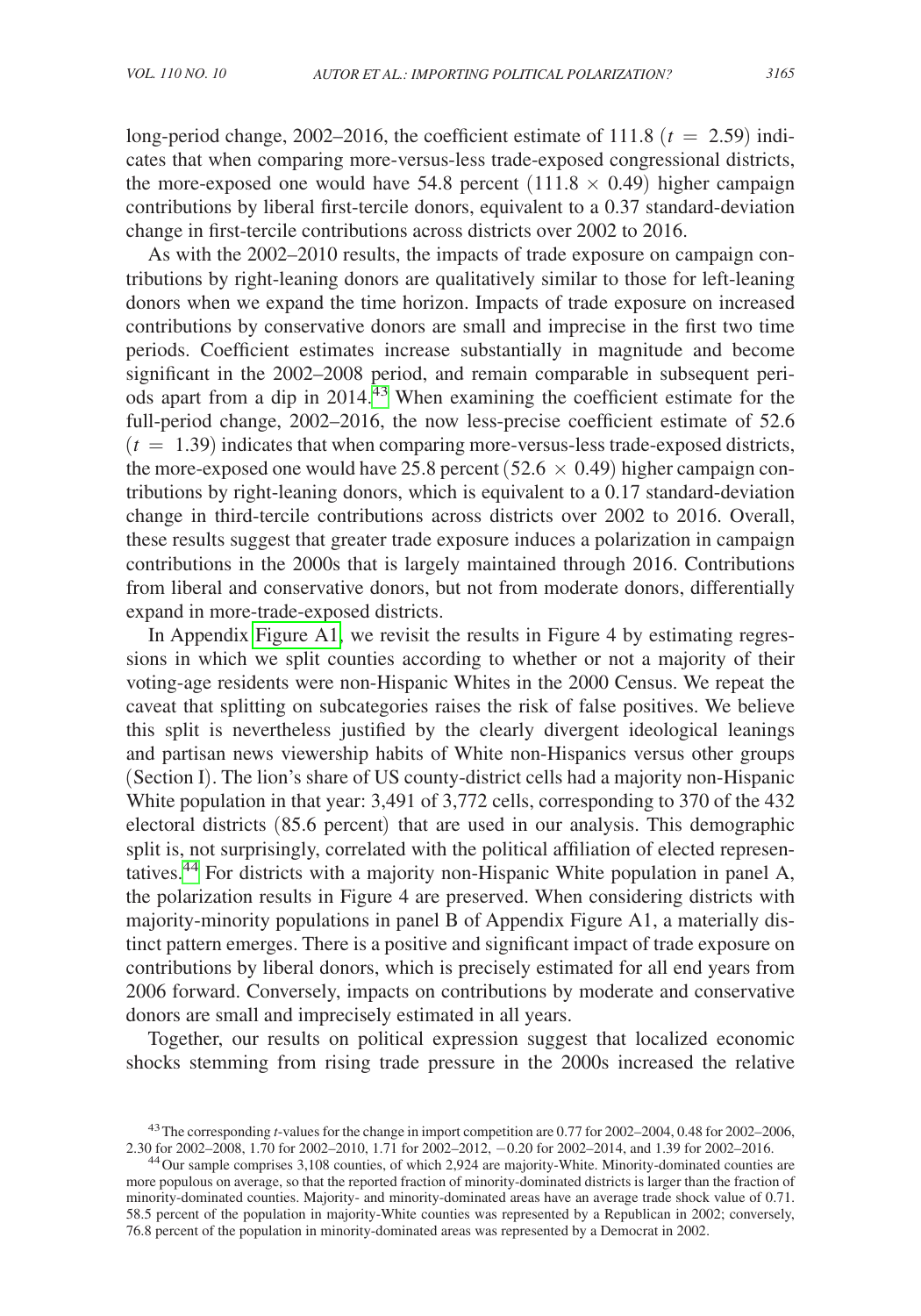long-period change,  $2002-2016$ , the coefficient estimate of 111.8 ( $t = 2.59$ ) indicates that when comparing more-versus-less trade-exposed congressional districts, the more-exposed one would have 54.8 percent (111.8  $\times$  0.49) higher campaign contributions by liberal first-tercile donors, equivalent to a 0.37 standard-deviation change in first-tercile contributions across districts over 2002 to 2016.

As with the 2002–2010 results, the impacts of trade exposure on campaign contributions by right-leaning donors are qualitatively similar to those for left-leaning donors when we expand the time horizon. Impacts of trade exposure on increased contributions by conservative donors are small and imprecise in the first two time periods. Coefficient estimates increase substantially in magnitude and become significant in the 2002–2008 period, and remain comparable in subsequent periods apart from a dip in  $2014<sup>43</sup>$  When examining the coefficient estimate for the full-period change, 2002–2016, the now less-precise coefficient estimate of 52.6  $(t = 1.39)$  indicates that when comparing more-versus-less trade-exposed districts, the more-exposed one would have 25.8 percent ( $52.6 \times 0.49$ ) higher campaign contributions by right-leaning donors, which is equivalent to a 0.17 standard-deviation change in third-tercile contributions across districts over 2002 to 2016. Overall, these results suggest that greater trade exposure induces a polarization in campaign contributions in the 2000s that is largely maintained through 2016. Contributions from liberal and conservative donors, but not from moderate donors, differentially expand in more-trade-exposed districts.

In Appendix [Figure A1,](#page-39-0) we revisit the results in Figure 4 by estimating regressions in which we split counties according to whether or not a majority of their voting-age residents were non-Hispanic Whites in the 2000 Census. We repeat the caveat that splitting on subcategories raises the risk of false positives. We believe this split is nevertheless justified by the clearly divergent ideological leanings and partisan news viewership habits of White non-Hispanics versus other groups (Section I). The lion's share of US county-district cells had a majority non-Hispanic White population in that year: 3,491 of 3,772 cells, corresponding to 370 of the 432 electoral districts (85.6 percent) that are used in our analysis. This demographic split is, not surprisingly, correlated with the political affiliation of elected representatives[.44](#page-26-1) For districts with a majority non-Hispanic White population in panel A, the polarization results in Figure 4 are preserved. When considering districts with majority-minority populations in panel B of Appendix Figure A1, a materially distinct pattern emerges. There is a positive and significant impact of trade exposure on contributions by liberal donors, which is precisely estimated for all end years from 2006 forward. Conversely, impacts on contributions by moderate and conservative donors are small and imprecisely estimated in all years.

Together, our results on political expression suggest that localized economic shocks stemming from rising trade pressure in the 2000s increased the relative

<span id="page-26-0"></span><sup>&</sup>lt;sup>43</sup> The corresponding *t*-values for the change in import competition are 0.77 for 2002–2004, 0.48 for 2002–2006, 2.30 for 2002–2008, 1.70 for 2002–2010, 1.71 for 2002–2012, -0.20 for 2002–2014, and 1.39 for 2002–2016.

<span id="page-26-1"></span><sup>&</sup>lt;sup>44</sup> Our sample comprises 3,108 counties, of which 2,924 are majority-White. Minority-dominated counties are more populous on average, so that the reported fraction of minority-dominated districts is larger than the fraction of minority-dominated counties. Majority- and minority-dominated areas have an average trade shock value of 0.71. 58.5 percent of the population in majority-White counties was represented by a Republican in 2002; conversely, 76.8 percent of the population in minority-dominated areas was represented by a Democrat in 2002.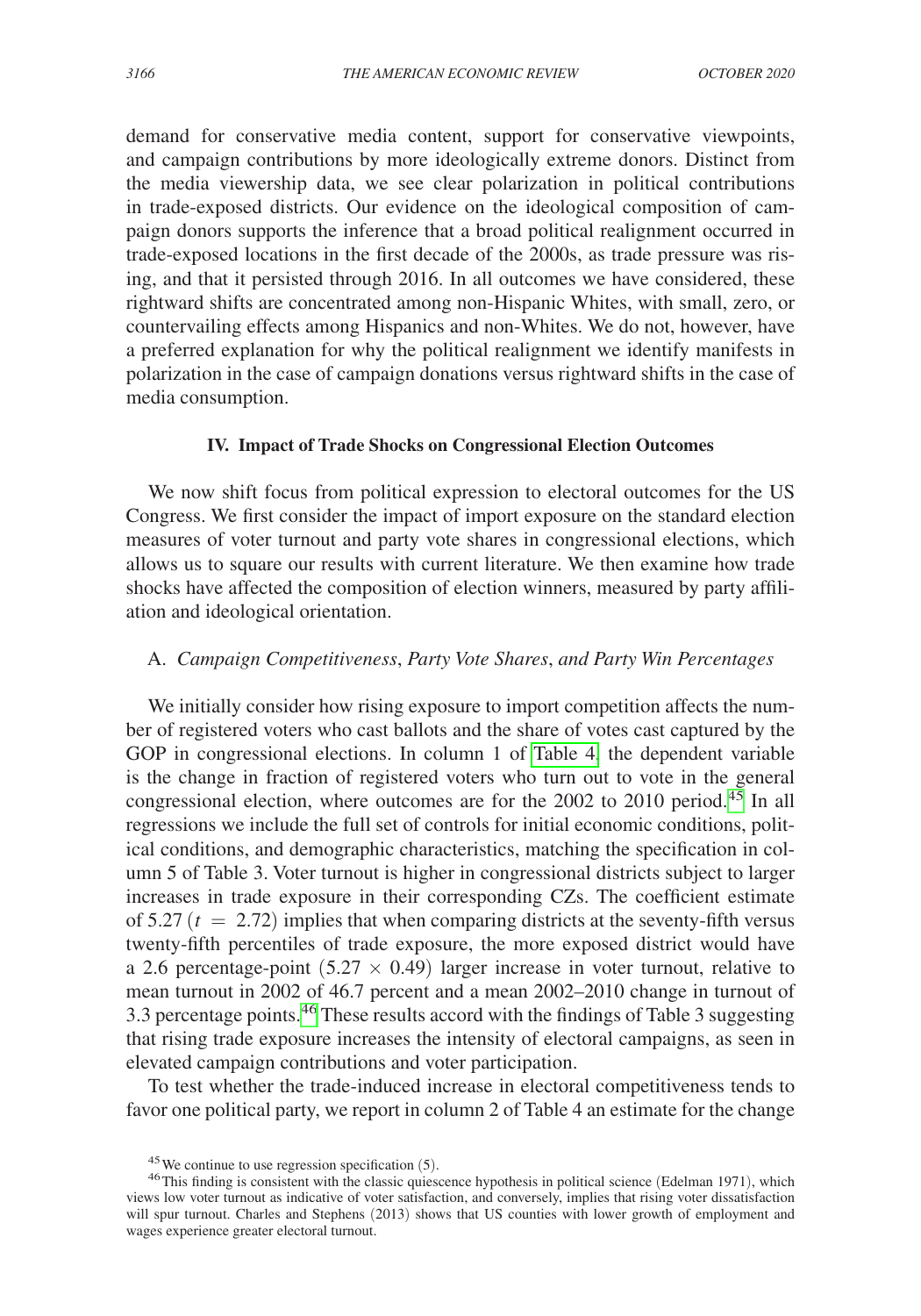demand for conservative media content, support for conservative viewpoints, and campaign contributions by more ideologically extreme donors. Distinct from the media viewership data, we see clear polarization in political contributions in trade-exposed districts. Our evidence on the ideological composition of campaign donors supports the inference that a broad political realignment occurred in trade-exposed locations in the first decade of the 2000s, as trade pressure was rising, and that it persisted through 2016. In all outcomes we have considered, these rightward shifts are concentrated among non-Hispanic Whites, with small, zero, or countervailing effects among Hispanics and non-Whites. We do not, however, have a preferred explanation for why the political realignment we identify manifests in polarization in the case of campaign donations versus rightward shifts in the case of media consumption.

# **IV. Impact of Trade Shocks on Congressional Election Outcomes**

We now shift focus from political expression to electoral outcomes for the US Congress. We first consider the impact of import exposure on the standard election measures of voter turnout and party vote shares in congressional elections, which allows us to square our results with current literature. We then examine how trade shocks have affected the composition of election winners, measured by party affiliation and ideological orientation.

# A. *Campaign Competitiveness*, *Party Vote Shares*, *and Party Win Percentages*

We initially consider how rising exposure to import competition affects the number of registered voters who cast ballots and the share of votes cast captured by the GOP in congressional elections. In column 1 of [Table 4,](#page-28-0) the dependent variable is the change in fraction of registered voters who turn out to vote in the general congressional election, where outcomes are for the  $2002$  to  $2010$  period.<sup>45</sup> In all regressions we include the full set of controls for initial economic conditions, political conditions, and demographic characteristics, matching the specification in column 5 of Table 3. Voter turnout is higher in congressional districts subject to larger increases in trade exposure in their corresponding CZs. The coefficient estimate of 5.27  $(t = 2.72)$  implies that when comparing districts at the seventy-fifth versus twenty-fifth percentiles of trade exposure, the more exposed district would have a 2.6 percentage-point  $(5.27 \times 0.49)$  larger increase in voter turnout, relative to mean turnout in 2002 of 46.7 percent and a mean 2002–2010 change in turnout of 3.3 percentage points.<sup>46</sup> These results accord with the findings of Table 3 suggesting that rising trade exposure increases the intensity of electoral campaigns, as seen in elevated campaign contributions and voter participation.

To test whether the trade-induced increase in electoral competitiveness tends to favor one political party, we report in column 2 of Table 4 an estimate for the change

<span id="page-27-1"></span><span id="page-27-0"></span>

<sup>&</sup>lt;sup>45</sup>We continue to use regression specification (5).<br><sup>46</sup>This finding is consistent with the classic quiescence hypothesis in political science (Edelman 1971), which views low voter turnout as indicative of voter satisfaction, and conversely, implies that rising voter dissatisfaction will spur turnout. Charles and Stephens (2013) shows that US counties with lower growth of employment and wages experience greater electoral turnout.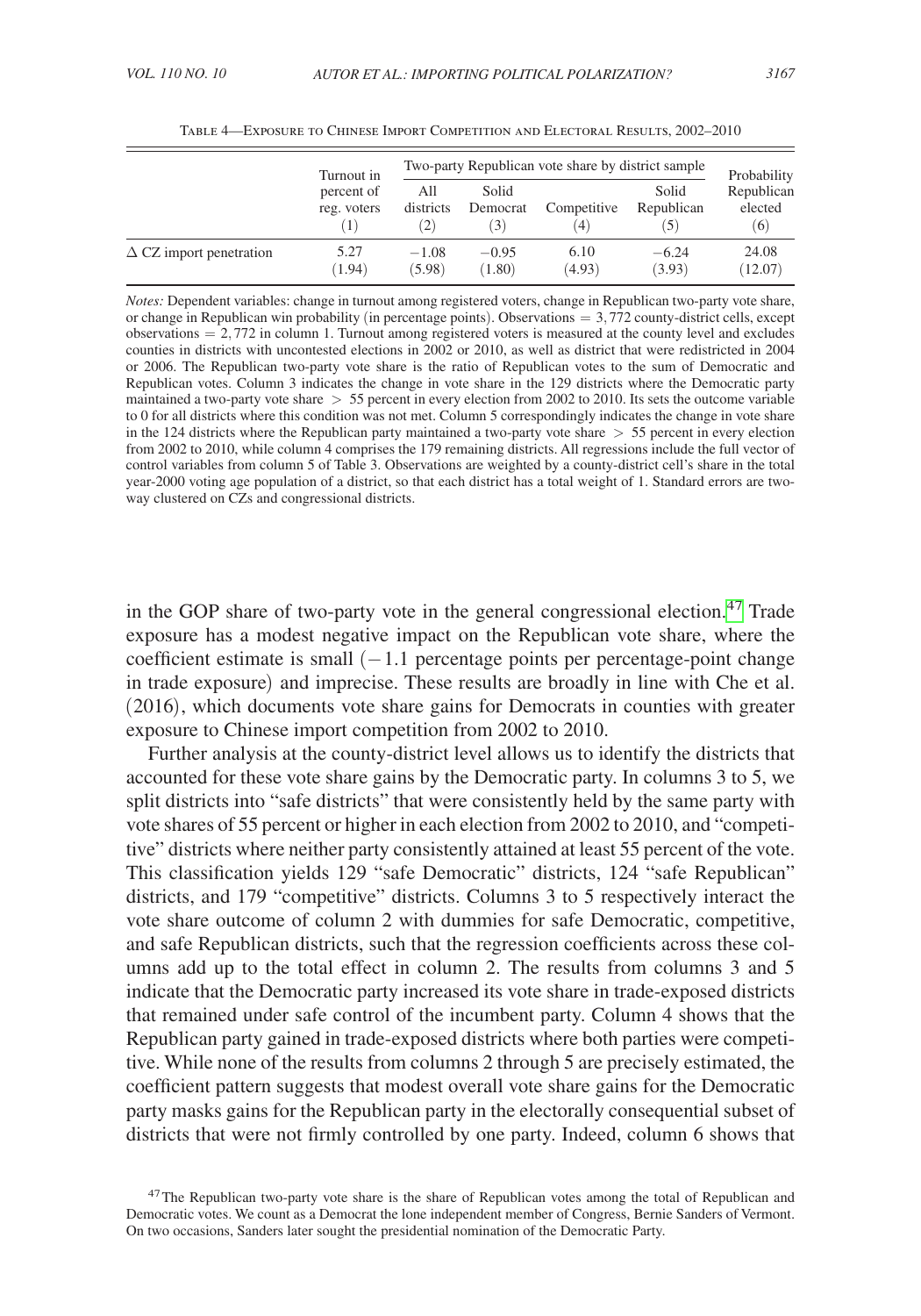<span id="page-28-0"></span>

|                                | Turnout in                |                         | Two-party Republican vote share by district sample |                         |                     |                                             |
|--------------------------------|---------------------------|-------------------------|----------------------------------------------------|-------------------------|---------------------|---------------------------------------------|
|                                | percent of<br>reg. voters | All<br>districts<br>(2) | Solid<br>Democrat<br>(3)                           | Competitive<br>$^{(4)}$ | Solid<br>Republican | Probability<br>Republican<br>elected<br>(6) |
| $\Delta$ CZ import penetration | 5.27<br>(1.94)            | $-1.08$<br>(5.98)       | $-0.95$<br>(1.80)                                  | 6.10<br>(4.93)          | $-6.24$<br>(3.93)   | 24.08<br>(12.07)                            |

Table 4—Exposure to Chinese Import Competition and Electoral Results, 2002–2010

*Notes:* Dependent variables: change in turnout among registered voters, change in Republican two-party vote share, or change in Republican win probability (in percentage points). Observations = 3,772 county-district cells, except  $observation = 2,772$  in column 1. Turnout among registered voters is measured at the county level and excludes counties in districts with uncontested elections in 2002 or 2010, as well as district that were redistricted in 2004 or 2006. The Republican two-party vote share is the ratio of Republican votes to the sum of Democratic and Republican votes. Column 3 indicates the change in vote share in the 129 districts where the Democratic party maintained a two-party vote share  $> 55$  percent in every election from 2002 to 2010. Its sets the outcome variable to 0 for all districts where this condition was not met. Column 5 correspondingly indicates the change in vote share in the 124 districts where the Republican party maintained a two-party vote share  $> 55$  percent in every election from 2002 to 2010, while column 4 comprises the 179 remaining districts. All regressions include the full vector of control variables from column 5 of Table 3. Observations are weighted by a county-district cell's share in the total year-2000 voting age population of a district, so that each district has a total weight of 1. Standard errors are twoway clustered on CZs and congressional districts.

in the GOP share of two-party vote in the general congressional election.<sup>[47](#page-28-1)</sup> Trade exposure has a modest negative impact on the Republican vote share, where the coefficient estimate is small  $(-1.1)$  percentage points per percentage-point change in trade exposure) and imprecise. These results are broadly in line with Che et al. (2016), which documents vote share gains for Democrats in counties with greater exposure to Chinese import competition from 2002 to 2010.

Further analysis at the county-district level allows us to identify the districts that accounted for these vote share gains by the Democratic party. In columns 3 to 5, we split districts into "safe districts" that were consistently held by the same party with vote shares of 55 percent or higher in each election from 2002 to 2010, and "competitive" districts where neither party consistently attained at least 55 percent of the vote. This classification yields 129 "safe Democratic" districts, 124 "safe Republican" districts, and 179 "competitive" districts. Columns 3 to 5 respectively interact the vote share outcome of column 2 with dummies for safe Democratic, competitive, and safe Republican districts, such that the regression coefficients across these columns add up to the total effect in column 2. The results from columns 3 and 5 indicate that the Democratic party increased its vote share in trade-exposed districts that remained under safe control of the incumbent party. Column 4 shows that the Republican party gained in trade-exposed districts where both parties were competitive. While none of the results from columns 2 through 5 are precisely estimated, the coefficient pattern suggests that modest overall vote share gains for the Democratic party masks gains for the Republican party in the electorally consequential subset of districts that were not firmly controlled by one party. Indeed, column 6 shows that

<span id="page-28-1"></span><sup>&</sup>lt;sup>47</sup>The Republican two-party vote share is the share of Republican votes among the total of Republican and Democratic votes. We count as a Democrat the lone independent member of Congress, Bernie Sanders of Vermont. On two occasions, Sanders later sought the presidential nomination of the Democratic Party.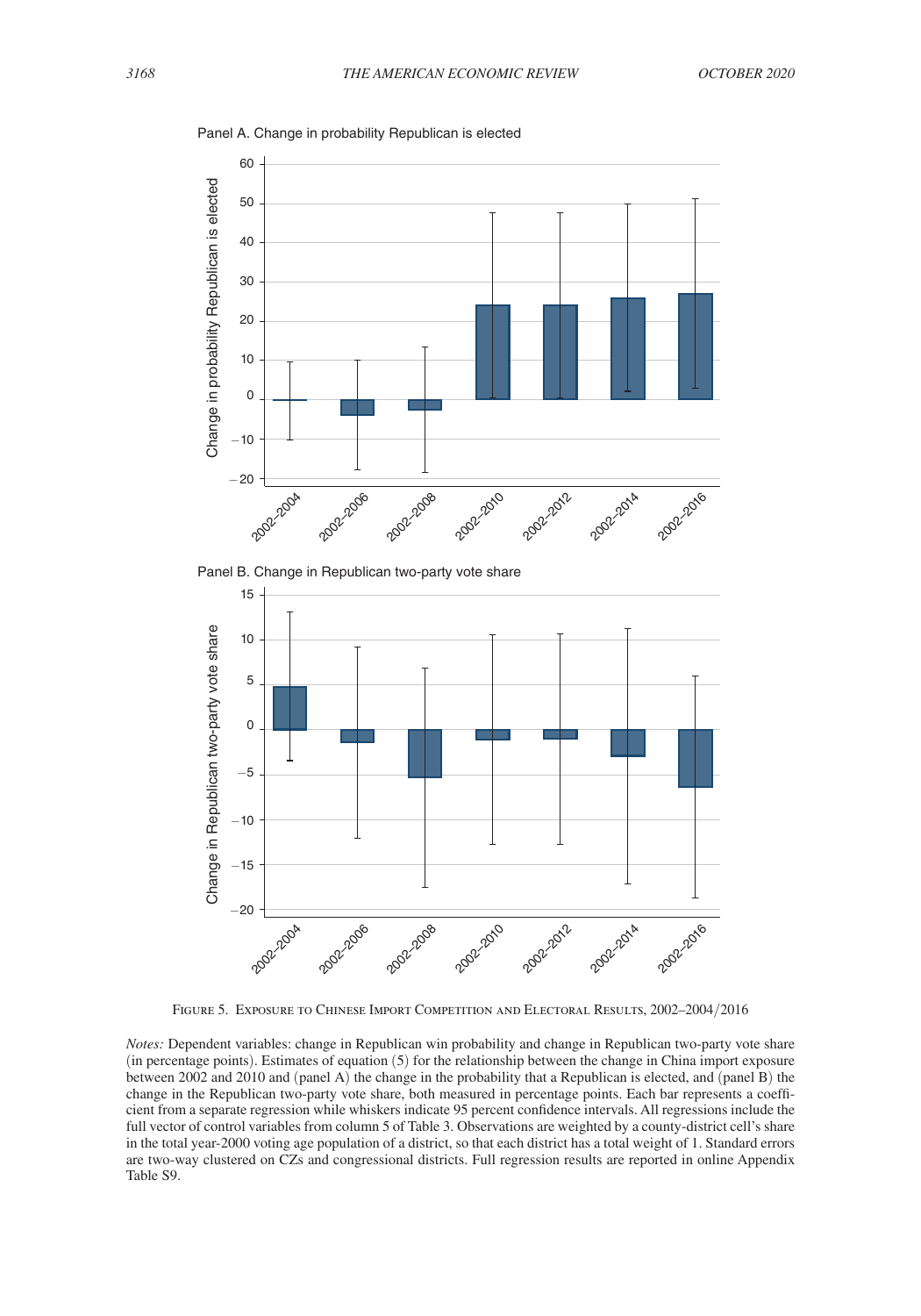

<span id="page-29-0"></span>Panel A. Change in probability Republican is elected





Figure 5. Exposure to Chinese Import Competition and Electoral Results, 2002–2004/2016

*Notes:* Dependent variables: change in Republican win probability and change in Republican two-party vote share (in percentage points). Estimates of equation (5) for the relationship between the change in China import exposure between 2002 and 2010 and (panel A) the change in the probability that a Republican is elected, and (panel B) the change in the Republican two-party vote share, both measured in percentage points. Each bar represents a coefficient from a separate regression while whiskers indicate 95 percent confidence intervals. All regressions include the full vector of control variables from column 5 of Table 3. Observations are weighted by a county-district cell's share in the total year-2000 voting age population of a district, so that each district has a total weight of 1. Standard errors are two-way clustered on CZs and congressional districts. Full regression results are reported in online Appendix Table S9.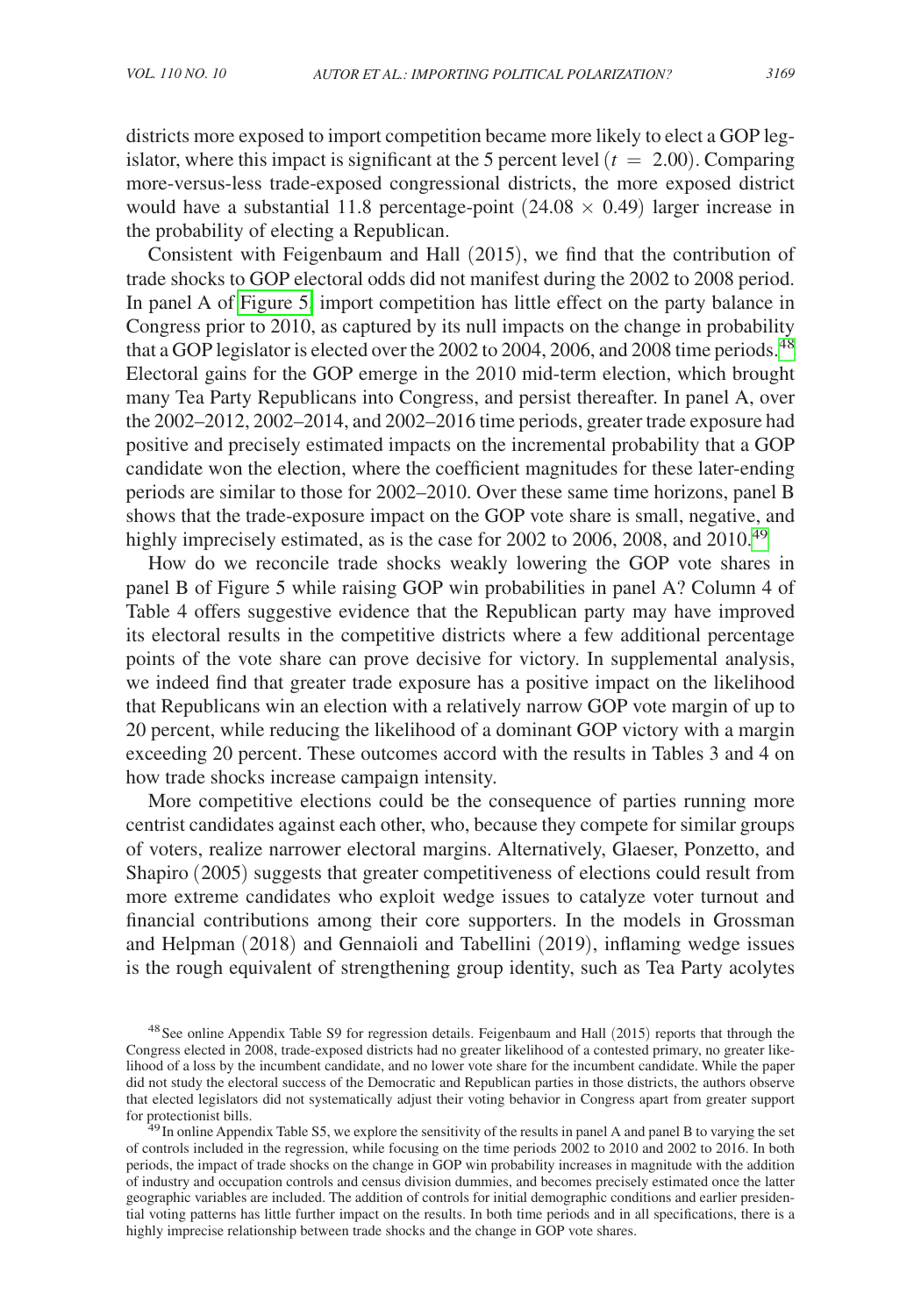districts more exposed to import competition became more likely to elect a GOP legislator, where this impact is significant at the 5 percent level  $(t = 2.00)$ . Comparing more-versus-less trade-exposed congressional districts, the more exposed district would have a substantial 11.8 percentage-point  $(24.08 \times 0.49)$  larger increase in the probability of electing a Republican.

Consistent with Feigenbaum and Hall (2015), we find that the contribution of trade shocks to GOP electoral odds did not manifest during the 2002 to 2008 period. In panel A of [Figure 5,](#page-29-0) import competition has little effect on the party balance in Congress prior to 2010, as captured by its null impacts on the change in probability that a GOP legislator is elected over the 2002 to 2004, 2006, and 2008 time periods.<sup>[48](#page-30-0)</sup> Electoral gains for the GOP emerge in the 2010 mid-term election, which brought many Tea Party Republicans into Congress, and persist thereafter. In panel A, over the 2002–2012, 2002–2014, and 2002–2016 time periods, greater trade exposure had positive and precisely estimated impacts on the incremental probability that a GOP candidate won the election, where the coefficient magnitudes for these later-ending periods are similar to those for 2002–2010. Over these same time horizons, panel B shows that the trade-exposure impact on the GOP vote share is small, negative, and highly imprecisely estimated, as is the case for 2002 to 2006, 2008, and 2010.<sup>[49](#page-30-1)</sup>

How do we reconcile trade shocks weakly lowering the GOP vote shares in panel B of Figure 5 while raising GOP win probabilities in panel A? Column 4 of Table 4 offers suggestive evidence that the Republican party may have improved its electoral results in the competitive districts where a few additional percentage points of the vote share can prove decisive for victory. In supplemental analysis, we indeed find that greater trade exposure has a positive impact on the likelihood that Republicans win an election with a relatively narrow GOP vote margin of up to 20 percent, while reducing the likelihood of a dominant GOP victory with a margin exceeding 20 percent. These outcomes accord with the results in Tables 3 and 4 on how trade shocks increase campaign intensity.

More competitive elections could be the consequence of parties running more centrist candidates against each other, who, because they compete for similar groups of voters, realize narrower electoral margins. Alternatively, Glaeser, Ponzetto, and Shapiro (2005) suggests that greater competitiveness of elections could result from more extreme candidates who exploit wedge issues to catalyze voter turnout and financial contributions among their core supporters. In the models in Grossman and Helpman (2018) and Gennaioli and Tabellini (2019), inflaming wedge issues is the rough equivalent of strengthening group identity, such as Tea Party acolytes

<span id="page-30-0"></span><sup>&</sup>lt;sup>48</sup> See online Appendix Table S9 for regression details. Feigenbaum and Hall (2015) reports that through the Congress elected in 2008, trade-exposed districts had no greater likelihood of a contested primary, no greater likelihood of a loss by the incumbent candidate, and no lower vote share for the incumbent candidate. While the paper did not study the electoral success of the Democratic and Republican parties in those districts, the authors observe that elected legislators did not systematically adjust their voting behavior in Congress apart from greater support for protectionist bills. <sup>49</sup>In online Appendix Table S5, we explore the sensitivity of the results in panel A and panel B to varying the set

<span id="page-30-1"></span>of controls included in the regression, while focusing on the time periods 2002 to 2010 and 2002 to 2016. In both periods, the impact of trade shocks on the change in GOP win probability increases in magnitude with the addition of industry and occupation controls and census division dummies, and becomes precisely estimated once the latter geographic variables are included. The addition of controls for initial demographic conditions and earlier presidential voting patterns has little further impact on the results. In both time periods and in all specifications, there is a highly imprecise relationship between trade shocks and the change in GOP vote shares.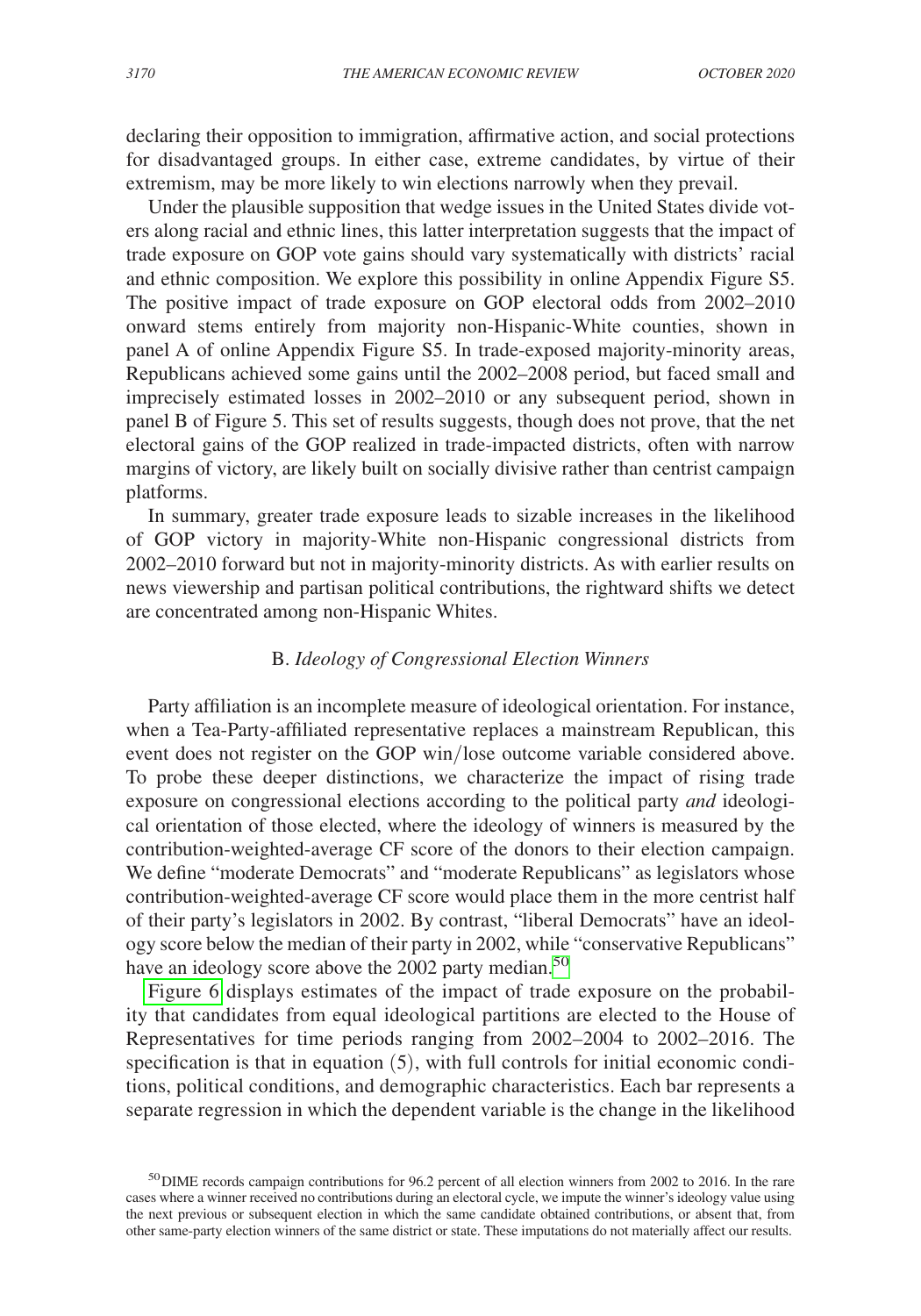declaring their opposition to immigration, affirmative action, and social protections for disadvantaged groups. In either case, extreme candidates, by virtue of their extremism, may be more likely to win elections narrowly when they prevail.

Under the plausible supposition that wedge issues in the United States divide voters along racial and ethnic lines, this latter interpretation suggests that the impact of trade exposure on GOP vote gains should vary systematically with districts' racial and ethnic composition. We explore this possibility in online Appendix Figure S5. The positive impact of trade exposure on GOP electoral odds from 2002–2010 onward stems entirely from majority non-Hispanic-White counties, shown in panel A of online Appendix Figure S5. In trade-exposed majority-minority areas, Republicans achieved some gains until the 2002–2008 period, but faced small and imprecisely estimated losses in 2002–2010 or any subsequent period, shown in panel B of Figure 5. This set of results suggests, though does not prove, that the net electoral gains of the GOP realized in trade-impacted districts, often with narrow margins of victory, are likely built on socially divisive rather than centrist campaign platforms.

In summary, greater trade exposure leads to sizable increases in the likelihood of GOP victory in majority-White non-Hispanic congressional districts from 2002–2010 forward but not in majority-minority districts. As with earlier results on news viewership and partisan political contributions, the rightward shifts we detect are concentrated among non-Hispanic Whites.

# B. *Ideology of Congressional Election Winners*

Party affiliation is an incomplete measure of ideological orientation. For instance, when a Tea-Party-affiliated representative replaces a mainstream Republican, this event does not register on the GOP win/lose outcome variable considered above. To probe these deeper distinctions, we characterize the impact of rising trade exposure on congressional elections according to the political party *and* ideological orientation of those elected, where the ideology of winners is measured by the contribution-weighted-average CF score of the donors to their election campaign. We define "moderate Democrats" and "moderate Republicans" as legislators whose contribution-weighted-average CF score would place them in the more centrist half of their party's legislators in 2002. By contrast, "liberal Democrats" have an ideology score below the median of their party in 2002, while "conservative Republicans" have an ideology score above the 2002 party median.<sup>[50](#page-31-0)</sup>

[Figure 6](#page-32-0) displays estimates of the impact of trade exposure on the probability that candidates from equal ideological partitions are elected to the House of Representatives for time periods ranging from 2002–2004 to 2002–2016. The specification is that in equation (5), with full controls for initial economic conditions, political conditions, and demographic characteristics. Each bar represents a separate regression in which the dependent variable is the change in the likelihood

<span id="page-31-0"></span><sup>50</sup>DIME records campaign contributions for 96.2 percent of all election winners from 2002 to 2016. In the rare cases where a winner received no contributions during an electoral cycle, we impute the winner's ideology value using the next previous or subsequent election in which the same candidate obtained contributions, or absent that, from other same-party election winners of the same district or state. These imputations do not materially affect our results.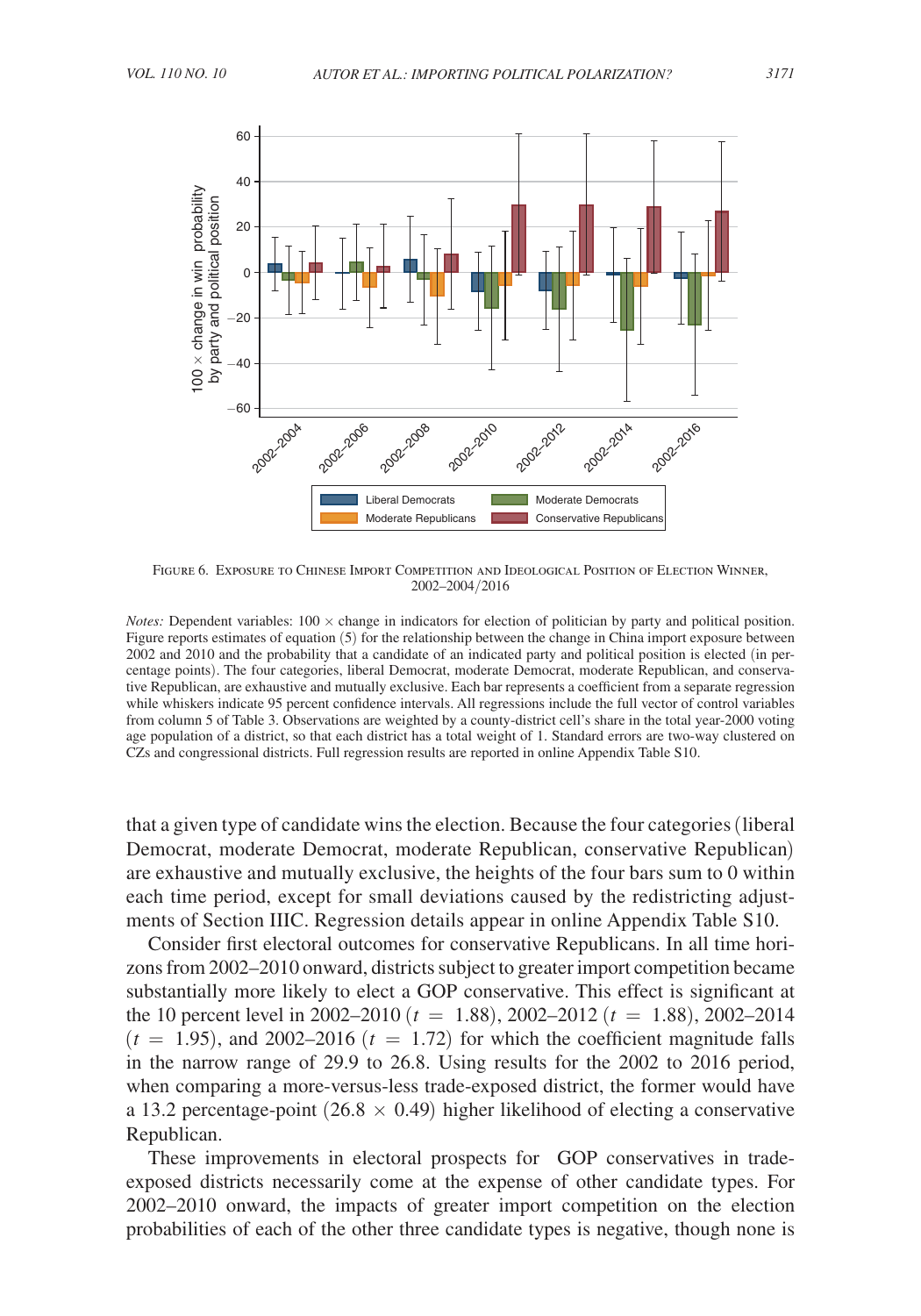<span id="page-32-0"></span>

Figure 6. Exposure to Chinese Import Competition and Ideological Position of Election Winner, 2002–2004/2016

*Notes:* Dependent variables: 100  $\times$  change in indicators for election of politician by party and political position. Figure reports estimates of equation (5) for the relationship between the change in China import exposure between 2002 and 2010 and the probability that a candidate of an indicated party and political position is elected (in percentage points). The four categories, liberal Democrat, moderate Democrat, moderate Republican, and conservative Republican, are exhaustive and mutually exclusive. Each bar represents a coefficient from a separate regression while whiskers indicate 95 percent confidence intervals. All regressions include the full vector of control variables from column 5 of Table 3. Observations are weighted by a county-district cell's share in the total year-2000 voting age population of a district, so that each district has a total weight of 1. Standard errors are two-way clustered on

that a given type of candidate wins the election. Because the four categories (liberal Democrat, moderate Democrat, moderate Republican, conservative Republican) are exhaustive and mutually exclusive, the heights of the four bars sum to 0 within each time period, except for small deviations caused by the redistricting adjustments of Section IIIC. Regression details appear in online Appendix Table S10.

Consider first electoral outcomes for conservative Republicans. In all time horizons from 2002–2010 onward, districts subject to greater import competition became substantially more likely to elect a GOP conservative. This effect is significant at the 10 percent level in 2002–2010 ( $t = 1.88$ ), 2002–2012 ( $t = 1.88$ ), 2002–2014  $(t = 1.95)$ , and 2002–2016  $(t = 1.72)$  for which the coefficient magnitude falls in the narrow range of 29.9 to 26.8. Using results for the 2002 to 2016 period, when comparing a more-versus-less trade-exposed district, the former would have a 13.2 percentage-point (26.8  $\times$  0.49) higher likelihood of electing a conservative Republican.

These improvements in electoral prospects for GOP conservatives in tradeexposed districts necessarily come at the expense of other candidate types. For 2002–2010 onward, the impacts of greater import competition on the election probabilities of each of the other three candidate types is negative, though none is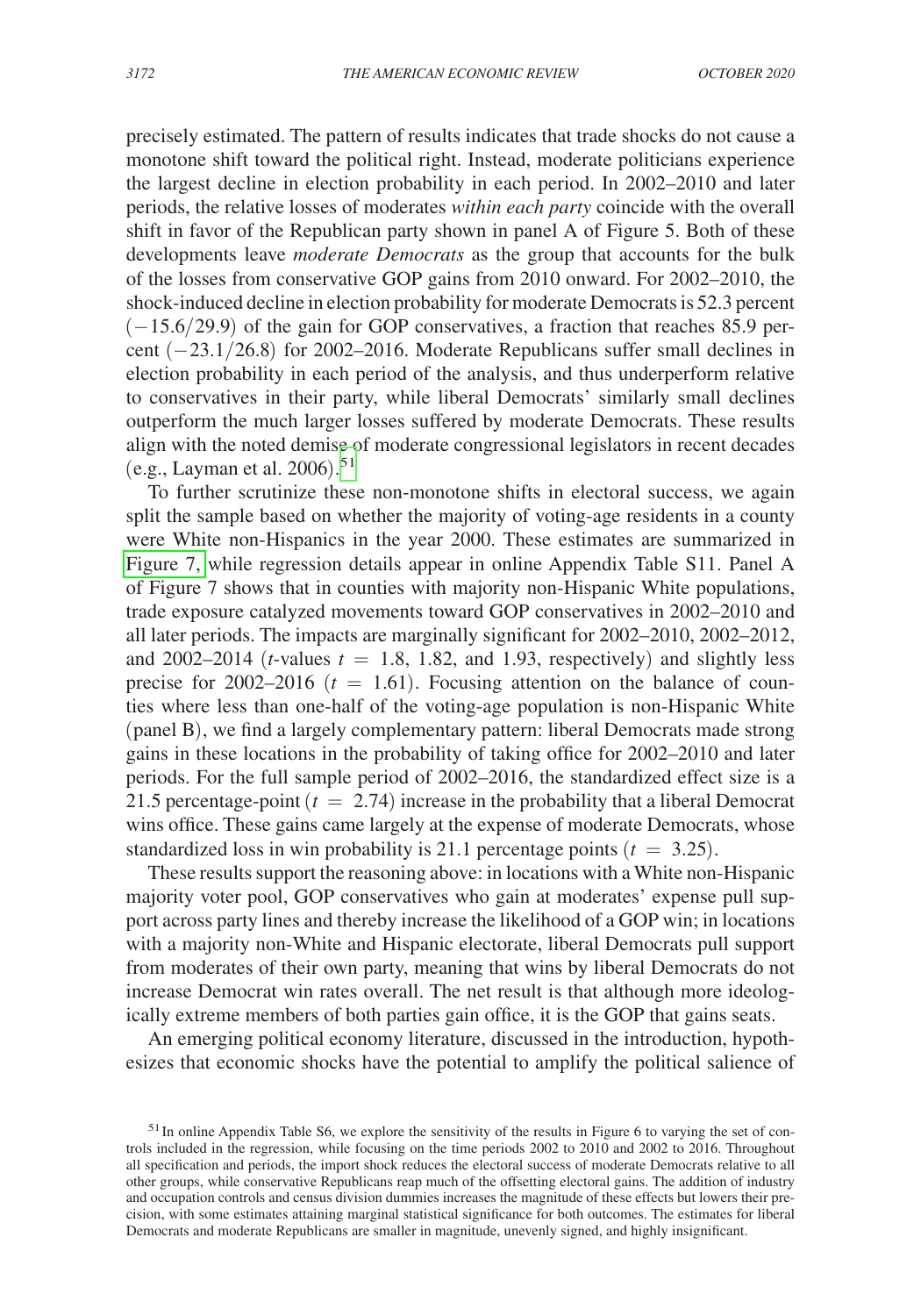precisely estimated. The pattern of results indicates that trade shocks do not cause a monotone shift toward the political right. Instead, moderate politicians experience the largest decline in election probability in each period. In 2002–2010 and later periods, the relative losses of moderates *within each party* coincide with the overall shift in favor of the Republican party shown in panel A of Figure 5. Both of these developments leave *moderate Democrats* as the group that accounts for the bulk of the losses from conservative GOP gains from 2010 onward. For 2002–2010, the shock-induced decline in election probability for moderate Democrats is 52.3 percent  $(-15.6/29.9)$  of the gain for GOP conservatives, a fraction that reaches 85.9 percent (−23.1/26.8) for 2002–2016. Moderate Republicans suffer small declines in election probability in each period of the analysis, and thus underperform relative to conservatives in their party, while liberal Democrats' similarly small declines outperform the much larger losses suffered by moderate Democrats. These results align with the noted demise of moderate congressional legislators in recent decades (e.g., Layman et al. 2006). [51](#page-33-0)

To further scrutinize these non-monotone shifts in electoral success, we again split the sample based on whether the majority of voting-age residents in a county were White non-Hispanics in the year 2000. These estimates are summarized in [Figure 7,](#page-34-0) while regression details appear in online Appendix Table S11. Panel A of Figure 7 shows that in counties with majority non-Hispanic White populations, trade exposure catalyzed movements toward GOP conservatives in 2002–2010 and all later periods. The impacts are marginally significant for 2002–2010, 2002–2012, and 2002–2014 ( $t$ -values  $t = 1.8$ , 1.82, and 1.93, respectively) and slightly less precise for  $2002-2016$  ( $t = 1.61$ ). Focusing attention on the balance of counties where less than one-half of the voting-age population is non-Hispanic White (panel B), we find a largely complementary pattern: liberal Democrats made strong gains in these locations in the probability of taking office for 2002–2010 and later periods. For the full sample period of 2002–2016, the standardized effect size is a 21.5 percentage-point  $(t = 2.74)$  increase in the probability that a liberal Democrat wins office. These gains came largely at the expense of moderate Democrats, whose standardized loss in win probability is 21.1 percentage points  $(t = 3.25)$ .

These results support the reasoning above: in locations with a White non-Hispanic majority voter pool, GOP conservatives who gain at moderates' expense pull support across party lines and thereby increase the likelihood of a GOP win; in locations with a majority non-White and Hispanic electorate, liberal Democrats pull support from moderates of their own party, meaning that wins by liberal Democrats do not increase Democrat win rates overall. The net result is that although more ideologically extreme members of both parties gain office, it is the GOP that gains seats.

An emerging political economy literature, discussed in the introduction, hypothesizes that economic shocks have the potential to amplify the political salience of

<span id="page-33-0"></span> $51$ In online Appendix Table S6, we explore the sensitivity of the results in Figure 6 to varying the set of controls included in the regression, while focusing on the time periods 2002 to 2010 and 2002 to 2016. Throughout all specification and periods, the import shock reduces the electoral success of moderate Democrats relative to all other groups, while conservative Republicans reap much of the offsetting electoral gains. The addition of industry and occupation controls and census division dummies increases the magnitude of these effects but lowers their precision, with some estimates attaining marginal statistical significance for both outcomes. The estimates for liberal Democrats and moderate Republicans are smaller in magnitude, unevenly signed, and highly insignificant.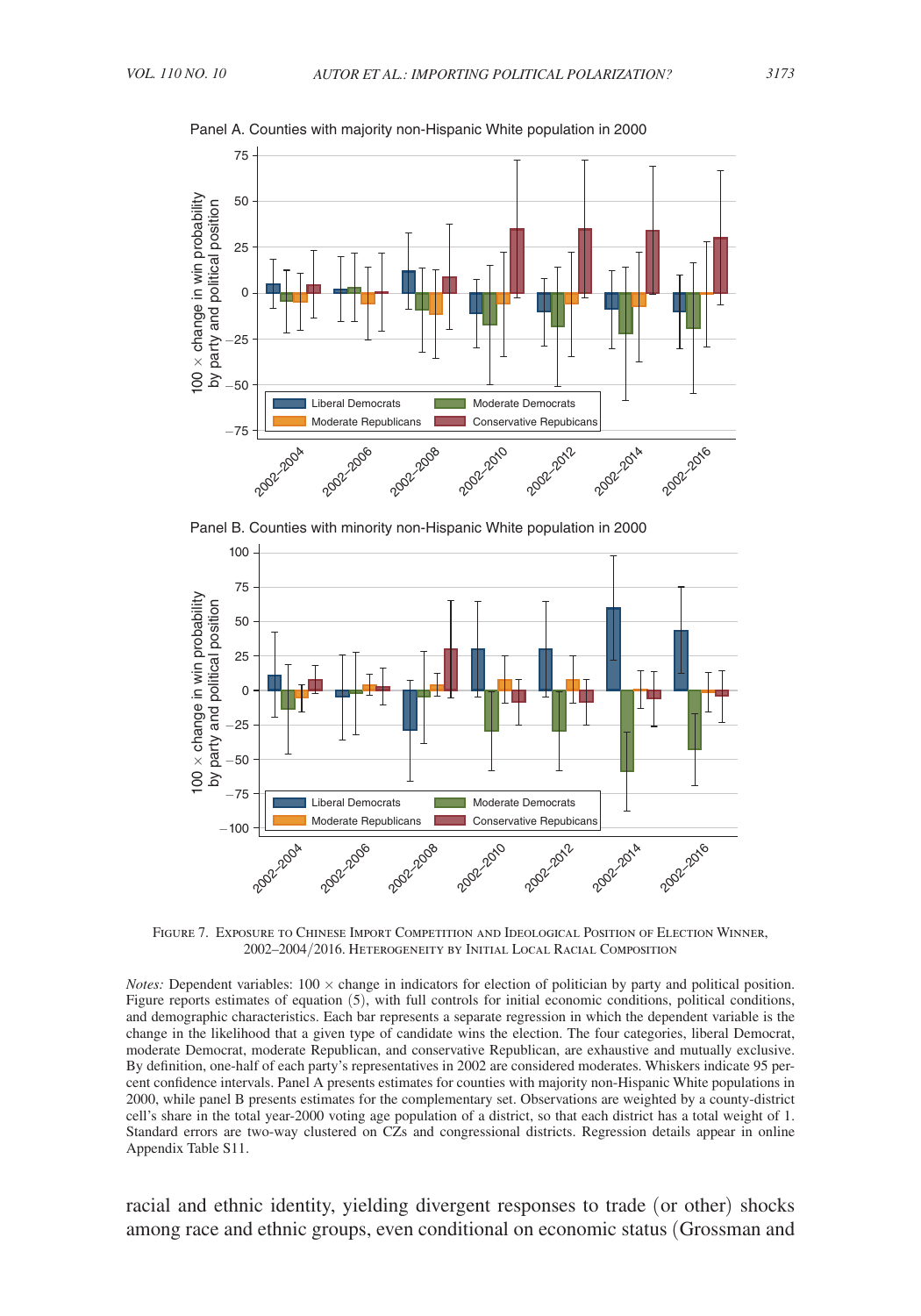

<span id="page-34-0"></span>Panel A. Counties with majority non-Hispanic White population in 2000





Figure 7. Exposure to Chinese Import Competition and Ideological Position of Election Winner, 2002–2004/2016. Heterogeneity by Initial Local Racial Composition

*Notes:* Dependent variables: 100 x change in indicators for election of politician by party and political position. Figure reports estimates of equation (5), with full controls for initial economic conditions, political conditions, and demographic characteristics. Each bar represents a separate regression in which the dependent variable is the change in the likelihood that a given type of candidate wins the election. The four categories, liberal Democrat, moderate Democrat, moderate Republican, and conservative Republican, are exhaustive and mutually exclusive. By definition, one-half of each party's representatives in 2002 are considered moderates. Whiskers indicate 95 percent confidence intervals. Panel A presents estimates for counties with majority non-Hispanic White populations in 2000, while panel B presents estimates for the complementary set. Observations are weighted by a county-district cell's share in the total year-2000 voting age population of a district, so that each district has a total weight of 1. Standard errors are two-way clustered on CZs and congressional districts. Regression details appear in online Appendix Table S11.

racial and ethnic identity, yielding divergent responses to trade (or other) shocks among race and ethnic groups, even conditional on economic status (Grossman and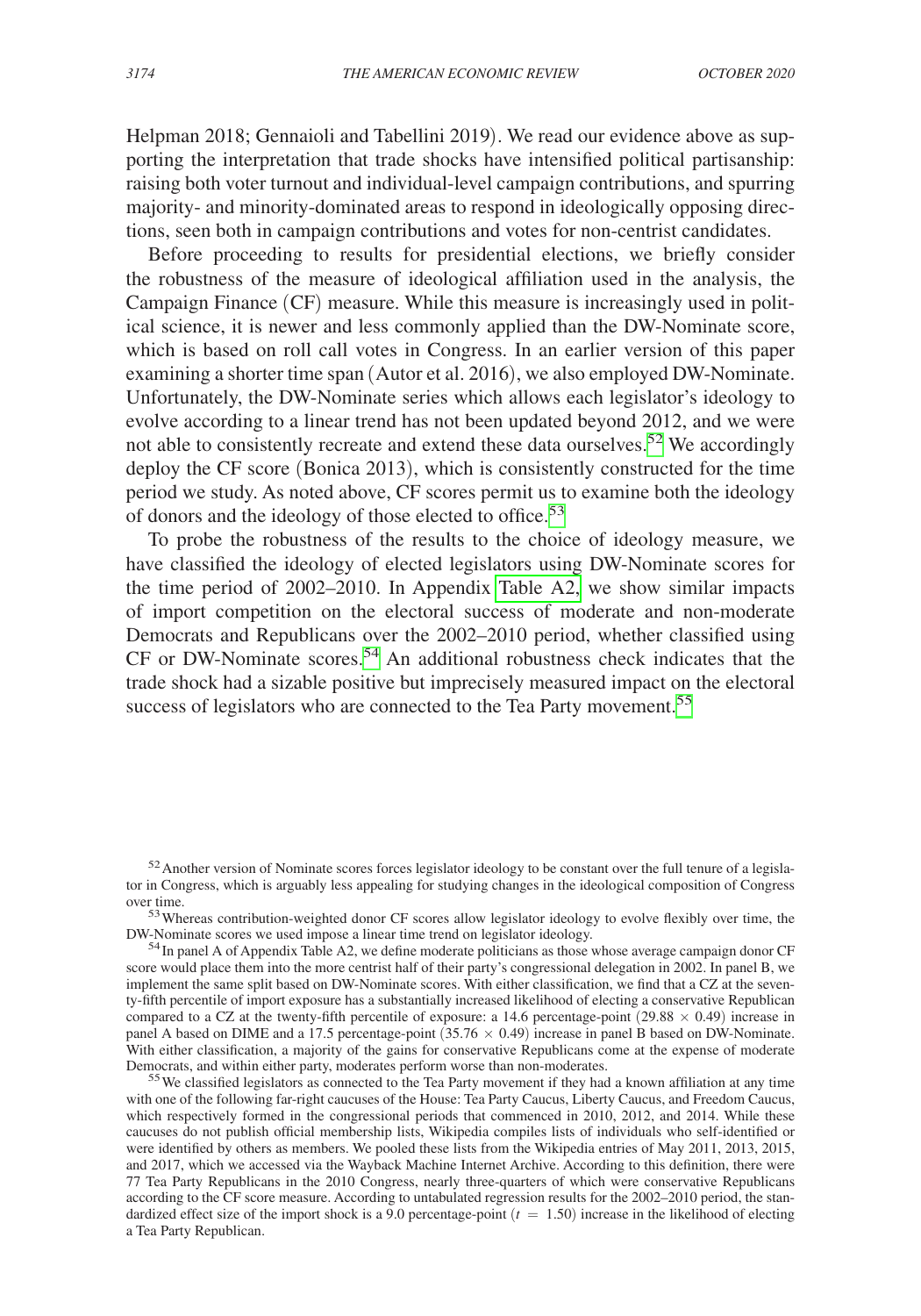Helpman 2018; Gennaioli and Tabellini 2019). We read our evidence above as supporting the interpretation that trade shocks have intensified political partisanship: raising both voter turnout and individual-level campaign contributions, and spurring majority- and minority-dominated areas to respond in ideologically opposing directions, seen both in campaign contributions and votes for non-centrist candidates.

Before proceeding to results for presidential elections, we briefly consider the robustness of the measure of ideological affiliation used in the analysis, the Campaign Finance (CF) measure. While this measure is increasingly used in political science, it is newer and less commonly applied than the DW-Nominate score, which is based on roll call votes in Congress. In an earlier version of this paper examining a shorter time span (Autor et al. 2016), we also employed DW-Nominate. Unfortunately, the DW-Nominate series which allows each legislator's ideology to evolve according to a linear trend has not been updated beyond 2012, and we were not able to consistently recreate and extend these data ourselves.<sup>52</sup> We accordingly deploy the CF score (Bonica 2013), which is consistently constructed for the time period we study. As noted above, CF scores permit us to examine both the ideology of donors and the ideology of those elected to office.<sup>[53](#page-35-1)</sup>

To probe the robustness of the results to the choice of ideology measure, we have classified the ideology of elected legislators using DW-Nominate scores for the time period of 2002–2010. In Appendix [Table A2,](#page-40-0) we show similar impacts of import competition on the electoral success of moderate and non-moderate Democrats and Republicans over the 2002–2010 period, whether classified using CF or DW-Nominate scores.<sup>54</sup> An additional robustness check indicates that the trade shock had a sizable positive but imprecisely measured impact on the electoral success of legislators who are connected to the Tea Party movement.<sup>[55](#page-35-3)</sup>

<span id="page-35-1"></span>over time.<br><sup>53</sup>Whereas contribution-weighted donor CF scores allow legislator ideology to evolve flexibly over time, the<br>DW-Nominate scores we used impose a linear time trend on legislator ideology.

<span id="page-35-2"></span> $<sup>54</sup>$  In panel A of Appendix Table A2, we define moderate politicians as those whose average campaign donor CF</sup> score would place them into the more centrist half of their party's congressional delegation in 2002. In panel B, we implement the same split based on DW-Nominate scores. With either classification, we find that a CZ at the seventy-fifth percentile of import exposure has a substantially increased likelihood of electing a conservative Republican compared to a CZ at the twenty-fifth percentile of exposure: a 14.6 percentage-point (29.88  $\times$  0.49) increase in panel A based on DIME and a 17.5 percentage-point  $(35.76 \times 0.49)$  increase in panel B based on DW-Nominate. With either classification, a majority of the gains for conservative Republicans come at the expense of moderate Democrats, and within either party, moderates perform worse than non-moderates.

<span id="page-35-3"></span> $55$  We classified legislators as connected to the Tea Party movement if they had a known affiliation at any time with one of the following far-right caucuses of the House: Tea Party Caucus, Liberty Caucus, and Freedom Caucus, which respectively formed in the congressional periods that commenced in 2010, 2012, and 2014. While these caucuses do not publish official membership lists, Wikipedia compiles lists of individuals who self-identified or were identified by others as members. We pooled these lists from the Wikipedia entries of May 2011, 2013, 2015, and 2017, which we accessed via the Wayback Machine Internet Archive. According to this definition, there were 77 Tea Party Republicans in the 2010 Congress, nearly three-quarters of which were conservative Republicans according to the CF score measure. According to untabulated regression results for the 2002–2010 period, the standardized effect size of the import shock is a 9.0 percentage-point  $(t = 1.50)$  increase in the likelihood of electing a Tea Party Republican.

<span id="page-35-0"></span><sup>&</sup>lt;sup>52</sup> Another version of Nominate scores forces legislator ideology to be constant over the full tenure of a legislator in Congress, which is arguably less appealing for studying changes in the ideological composition of Congress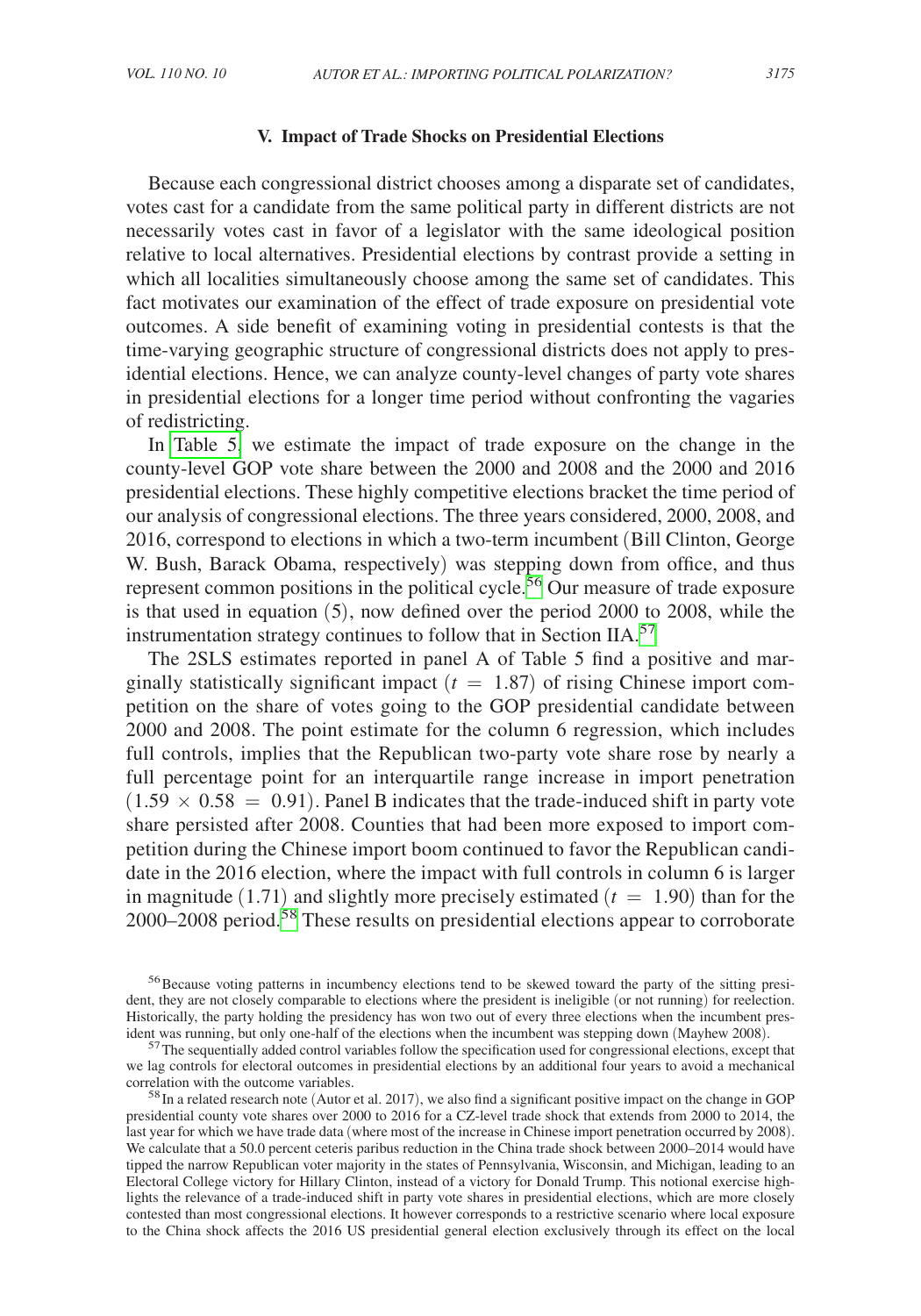### **V. Impact of Trade Shocks on Presidential Elections**

Because each congressional district chooses among a disparate set of candidates, votes cast for a candidate from the same political party in different districts are not necessarily votes cast in favor of a legislator with the same ideological position relative to local alternatives. Presidential elections by contrast provide a setting in which all localities simultaneously choose among the same set of candidates. This fact motivates our examination of the effect of trade exposure on presidential vote outcomes. A side benefit of examining voting in presidential contests is that the time-varying geographic structure of congressional districts does not apply to presidential elections. Hence, we can analyze county-level changes of party vote shares in presidential elections for a longer time period without confronting the vagaries of redistricting.

In [Table 5,](#page-37-0) we estimate the impact of trade exposure on the change in the county-level GOP vote share between the 2000 and 2008 and the 2000 and 2016 presidential elections. These highly competitive elections bracket the time period of our analysis of congressional elections. The three years considered, 2000, 2008, and 2016, correspond to elections in which a two-term incumbent (Bill Clinton, George W. Bush, Barack Obama, respectively) was stepping down from office, and thus represent common positions in the political cycle.<sup>56</sup> Our measure of trade exposure is that used in equation (5), now defined over the period 2000 to 2008, while the instrumentation strategy continues to follow that in Section IIA.<sup>[57](#page-36-1)</sup>

The 2SLS estimates reported in panel A of Table 5 find a positive and marginally statistically significant impact  $(t = 1.87)$  of rising Chinese import competition on the share of votes going to the GOP presidential candidate between 2000 and 2008. The point estimate for the column 6 regression, which includes full controls, implies that the Republican two-party vote share rose by nearly a full percentage point for an interquartile range increase in import penetration  $(1.59 \times 0.58 = 0.91)$ . Panel B indicates that the trade-induced shift in party vote share persisted after 2008. Counties that had been more exposed to import competition during the Chinese import boom continued to favor the Republican candidate in the 2016 election, where the impact with full controls in column 6 is larger in magnitude  $(1.71)$  and slightly more precisely estimated  $(t = 1.90)$  than for the 2000–2008 period.[58](#page-36-2) These results on presidential elections appear to corroborate

<span id="page-36-0"></span><sup>&</sup>lt;sup>56</sup>Because voting patterns in incumbency elections tend to be skewed toward the party of the sitting president, they are not closely comparable to elections where the president is ineligible (or not running) for reelection. Historically, the party holding the presidency has won two out of every three elections when the incumbent pres-<br>ident was running, but only one-half of the elections when the incumbent was stepping down (Mayhew 2008).

<span id="page-36-1"></span> $57$  The sequentially added control variables follow the specification used for congressional elections, except that we lag controls for electoral outcomes in presidential elections by an additional four years to avoid a mechanical correlation with the outcome variables.<br><sup>58</sup>In a related research note (Autor et al. 2017), we also find a significant positive impact on the change in GOP

<span id="page-36-2"></span>presidential county vote shares over 2000 to 2016 for a CZ-level trade shock that extends from 2000 to 2014, the last year for which we have trade data (where most of the increase in Chinese import penetration occurred by 2008). We calculate that a 50.0 percent ceteris paribus reduction in the China trade shock between 2000–2014 would have tipped the narrow Republican voter majority in the states of Pennsylvania, Wisconsin, and Michigan, leading to an Electoral College victory for Hillary Clinton, instead of a victory for Donald Trump. This notional exercise highlights the relevance of a trade-induced shift in party vote shares in presidential elections, which are more closely contested than most congressional elections. It however corresponds to a restrictive scenario where local exposure to the China shock affects the 2016 US presidential general election exclusively through its effect on the local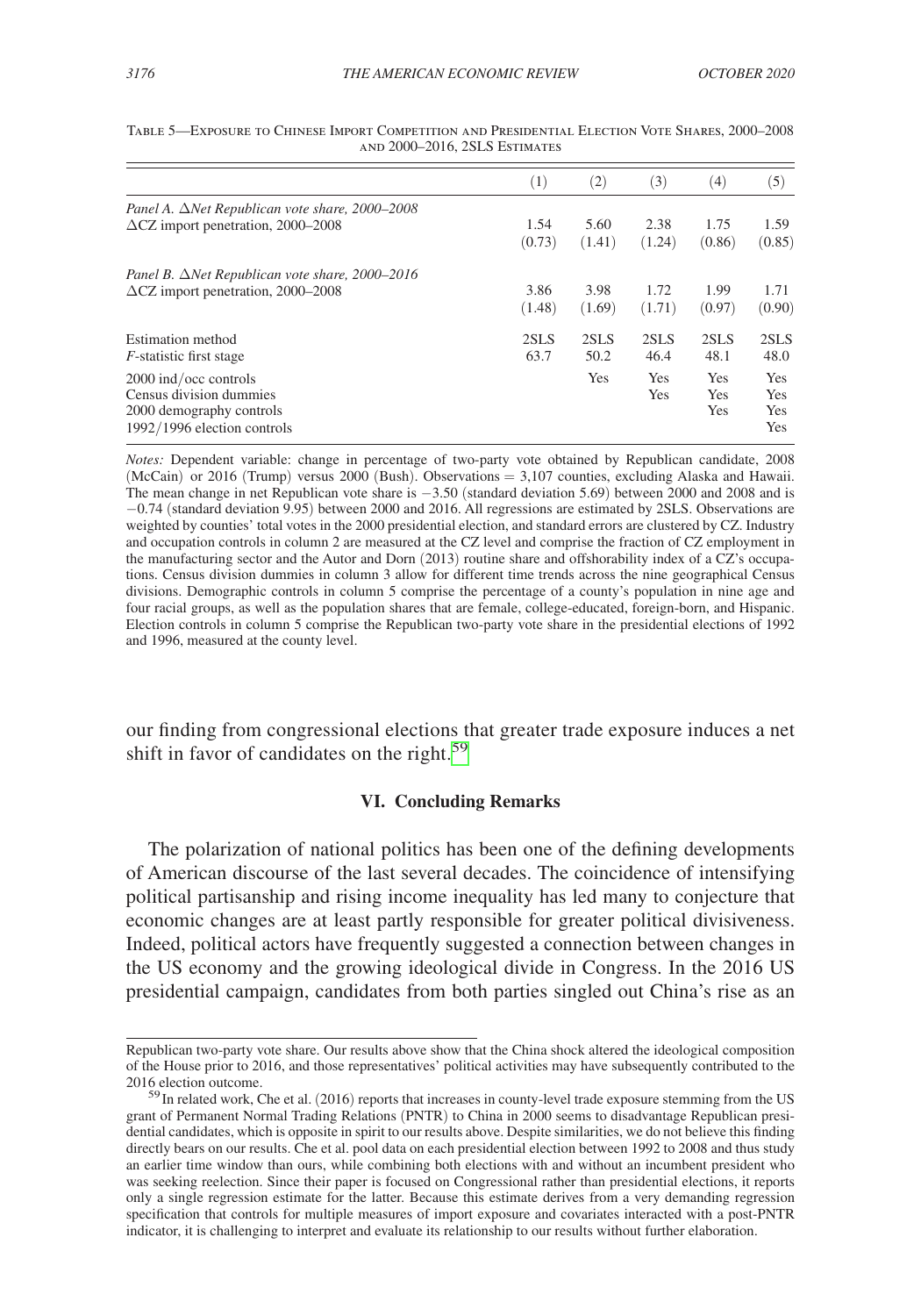|                                                        | $^{(1)}$ | (2)    | (3)    | (4)        | (5)        |
|--------------------------------------------------------|----------|--------|--------|------------|------------|
| Panel A. $\Delta$ Net Republican vote share, 2000–2008 |          |        |        |            |            |
| $\Delta$ CZ import penetration, 2000–2008              | 1.54     | 5.60   | 2.38   | 1.75       | 1.59       |
|                                                        | (0.73)   | (1.41) | (1.24) | (0.86)     | (0.85)     |
| Panel B. $\Delta$ Net Republican vote share, 2000–2016 |          |        |        |            |            |
| $\Delta$ CZ import penetration, 2000–2008              | 3.86     | 3.98   | 1.72   | 1.99       | 1.71       |
|                                                        | (1.48)   | (1.69) | (1.71) | (0.97)     | (0.90)     |
| Estimation method                                      | 2SLS     | 2SLS   | 2SLS   | 2SLS       | 2SLS       |
| <i>F</i> -statistic first stage                        | 63.7     | 50.2   | 46.4   | 48.1       | 48.0       |
| 2000 ind/occ controls                                  |          | Yes    | Yes    | Yes        | <b>Yes</b> |
| Census division dummies                                |          |        | Yes    | <b>Yes</b> | Yes        |
| 2000 demography controls                               |          |        |        | Yes        | Yes        |
| 1992/1996 election controls                            |          |        |        |            | Yes        |
|                                                        |          |        |        |            |            |

<span id="page-37-0"></span>Table 5—Exposure to Chinese Import Competition and Presidential Election Vote Shares, 2000–2008 and 2000–2016, 2SLS Estimates

*Notes:* Dependent variable: change in percentage of two-party vote obtained by Republican candidate, 2008 (McCain) or 2016 (Trump) versus 2000 (Bush). Observations = 3,107 counties, excluding Alaska and Hawaii. The mean change in net Republican vote share is −3.50 (standard deviation 5.69) between 2000 and 2008 and is −0.74 (standard deviation 9.95) between 2000 and 2016. All regressions are estimated by 2SLS. Observations are weighted by counties' total votes in the 2000 presidential election, and standard errors are clustered by CZ. Industry and occupation controls in column 2 are measured at the CZ level and comprise the fraction of CZ employment in the manufacturing sector and the Autor and Dorn (2013) routine share and offshorability index of a CZ's occupations. Census division dummies in column 3 allow for different time trends across the nine geographical Census divisions. Demographic controls in column 5 comprise the percentage of a county's population in nine age and four racial groups, as well as the population shares that are female, college-educated, foreign-born, and Hispanic. Election controls in column 5 comprise the Republican two-party vote share in the presidential elections of 1992 and 1996, measured at the county level.

our finding from congressional elections that greater trade exposure induces a net shift in favor of candidates on the right.<sup>[59](#page-37-1)</sup>

### **VI. Concluding Remarks**

The polarization of national politics has been one of the defining developments of American discourse of the last several decades. The coincidence of intensifying political partisanship and rising income inequality has led many to conjecture that economic changes are at least partly responsible for greater political divisiveness. Indeed, political actors have frequently suggested a connection between changes in the US economy and the growing ideological divide in Congress. In the 2016 US presidential campaign, candidates from both parties singled out China's rise as an

Republican two-party vote share. Our results above show that the China shock altered the ideological composition of the House prior to 2016, and those representatives' political activities may have subsequently contributed to the

<span id="page-37-1"></span><sup>2016</sup> election outcome.<br><sup>59</sup>In related work, Che et al. (2016) reports that increases in county-level trade exposure stemming from the US grant of Permanent Normal Trading Relations (PNTR) to China in 2000 seems to disadvantage Republican presidential candidates, which is opposite in spirit to our results above. Despite similarities, we do not believe this finding directly bears on our results. Che et al. pool data on each presidential election between 1992 to 2008 and thus study an earlier time window than ours, while combining both elections with and without an incumbent president who was seeking reelection. Since their paper is focused on Congressional rather than presidential elections, it reports only a single regression estimate for the latter. Because this estimate derives from a very demanding regression specification that controls for multiple measures of import exposure and covariates interacted with a post-PNTR indicator, it is challenging to interpret and evaluate its relationship to our results without further elaboration.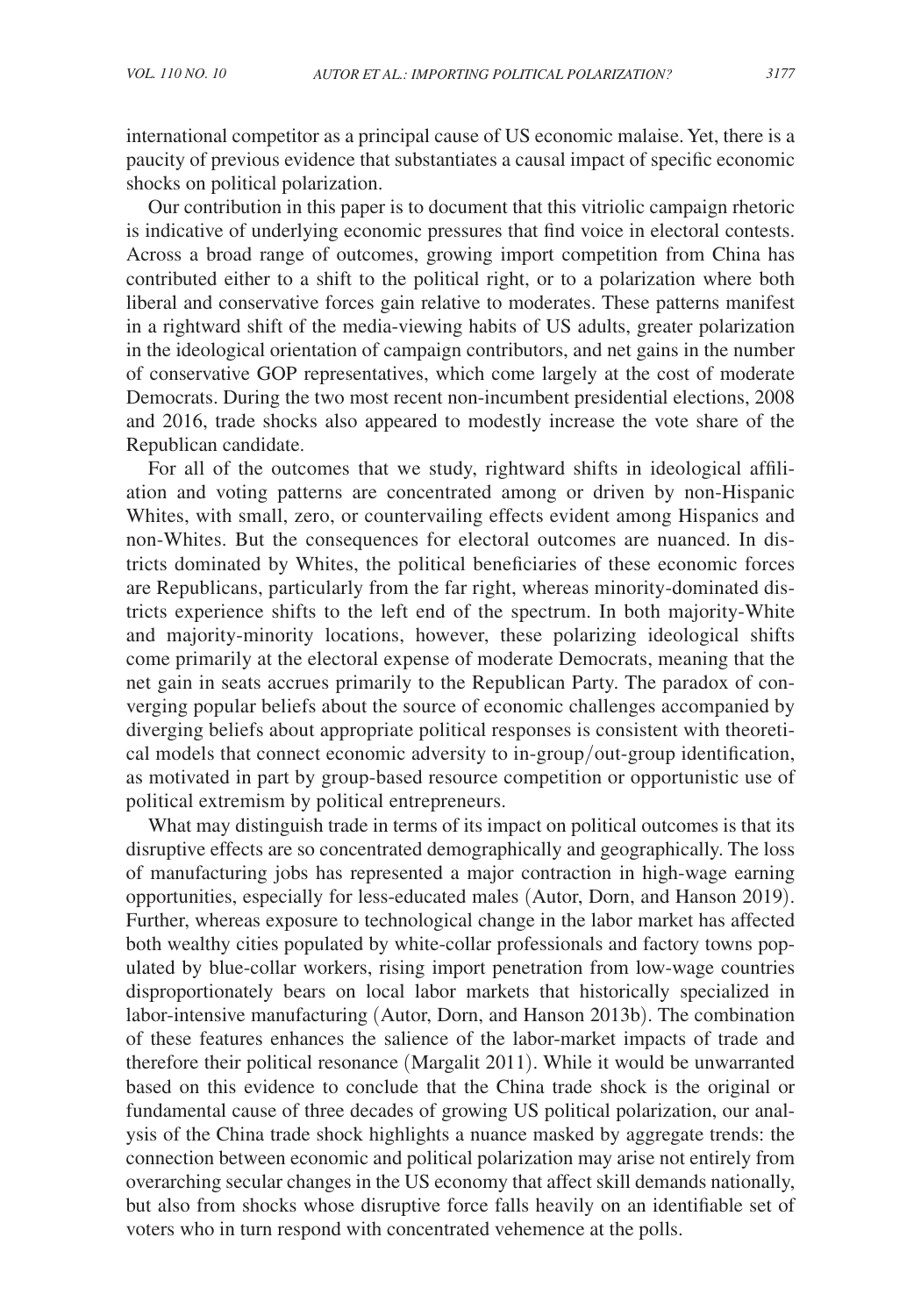international competitor as a principal cause of US economic malaise. Yet, there is a paucity of previous evidence that substantiates a causal impact of specific economic shocks on political polarization.

Our contribution in this paper is to document that this vitriolic campaign rhetoric is indicative of underlying economic pressures that find voice in electoral contests. Across a broad range of outcomes, growing import competition from China has contributed either to a shift to the political right, or to a polarization where both liberal and conservative forces gain relative to moderates. These patterns manifest in a rightward shift of the media-viewing habits of US adults, greater polarization in the ideological orientation of campaign contributors, and net gains in the number of conservative GOP representatives, which come largely at the cost of moderate Democrats. During the two most recent non-incumbent presidential elections, 2008 and 2016, trade shocks also appeared to modestly increase the vote share of the Republican candidate.

For all of the outcomes that we study, rightward shifts in ideological affiliation and voting patterns are concentrated among or driven by non-Hispanic Whites, with small, zero, or countervailing effects evident among Hispanics and non-Whites. But the consequences for electoral outcomes are nuanced. In districts dominated by Whites, the political beneficiaries of these economic forces are Republicans, particularly from the far right, whereas minority-dominated districts experience shifts to the left end of the spectrum. In both majority-White and majority-minority locations, however, these polarizing ideological shifts come primarily at the electoral expense of moderate Democrats, meaning that the net gain in seats accrues primarily to the Republican Party. The paradox of converging popular beliefs about the source of economic challenges accompanied by diverging beliefs about appropriate political responses is consistent with theoretical models that connect economic adversity to in-group/out-group identification, as motivated in part by group-based resource competition or opportunistic use of political extremism by political entrepreneurs.

What may distinguish trade in terms of its impact on political outcomes is that its disruptive effects are so concentrated demographically and geographically. The loss of manufacturing jobs has represented a major contraction in high-wage earning opportunities, especially for less-educated males (Autor, Dorn, and Hanson 2019). Further, whereas exposure to technological change in the labor market has affected both wealthy cities populated by white-collar professionals and factory towns populated by blue-collar workers, rising import penetration from low-wage countries disproportionately bears on local labor markets that historically specialized in labor-intensive manufacturing (Autor, Dorn, and Hanson 2013b). The combination of these features enhances the salience of the labor-market impacts of trade and therefore their political resonance (Margalit 2011). While it would be unwarranted based on this evidence to conclude that the China trade shock is the original or fundamental cause of three decades of growing US political polarization, our analysis of the China trade shock highlights a nuance masked by aggregate trends: the connection between economic and political polarization may arise not entirely from overarching secular changes in the US economy that affect skill demands nationally, but also from shocks whose disruptive force falls heavily on an identifiable set of voters who in turn respond with concentrated vehemence at the polls.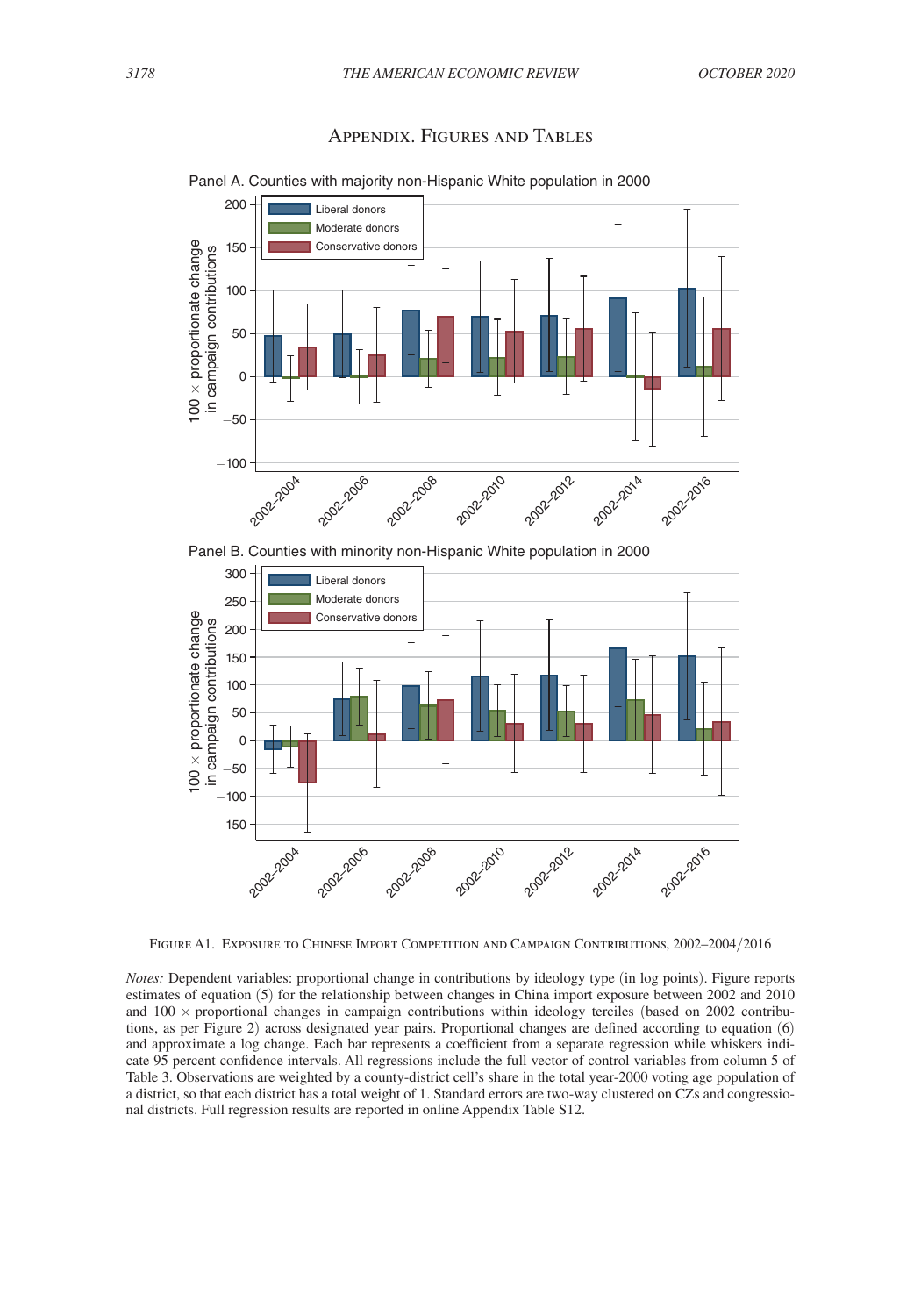<span id="page-39-0"></span>

### Appendix. Figures and Tables

Panel A. Counties with majority non-Hispanic White population in 2000





Figure A1. Exposure to Chinese Import Competition and Campaign Contributions, 2002–2004/2016

*Notes:* Dependent variables: proportional change in contributions by ideology type (in log points). Figure reports estimates of equation (5) for the relationship between changes in China import exposure between 2002 and 2010 and  $100 \times$  proportional changes in campaign contributions within ideology terciles (based on 2002 contributions, as per Figure 2) across designated year pairs. Proportional changes are defined according to equation (6) and approximate a log change. Each bar represents a coefficient from a separate regression while whiskers indicate 95 percent confidence intervals. All regressions include the full vector of control variables from column 5 of Table 3. Observations are weighted by a county-district cell's share in the total year-2000 voting age population of a district, so that each district has a total weight of 1. Standard errors are two-way clustered on CZs and congressional districts. Full regression results are reported in online Appendix Table S12.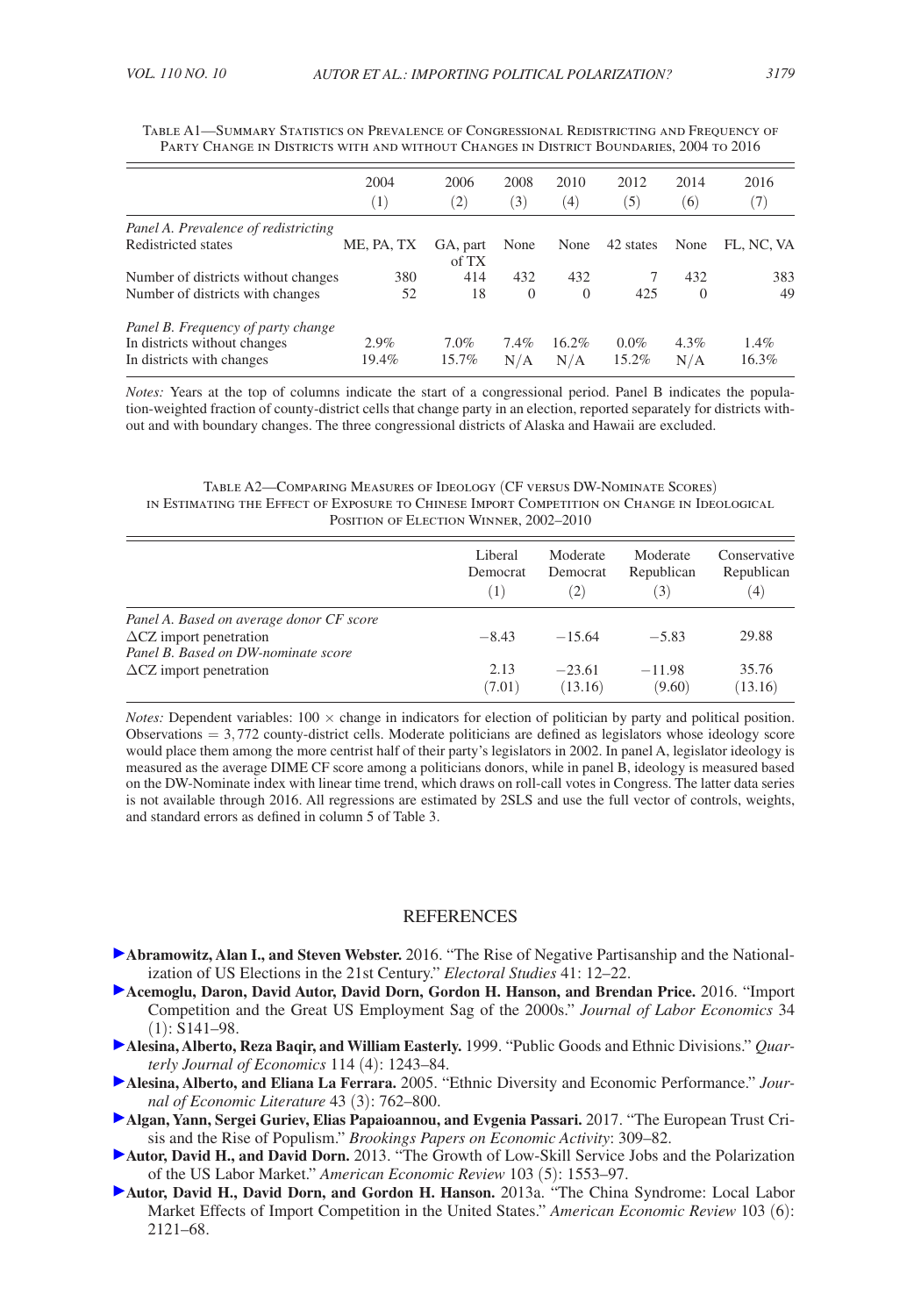|                                      | 2004<br>$^{(1)}$ | 2006<br>$\left( 2\right)$ | 2008<br>(3) | 2010<br>(4) | 2012<br>(5) | 2014<br>(6) | 2016<br>(7) |
|--------------------------------------|------------------|---------------------------|-------------|-------------|-------------|-------------|-------------|
| Panel A. Prevalence of redistricting |                  |                           |             |             |             |             |             |
| Redistricted states                  | ME, PA, TX       | GA, part<br>of TX         | None        | None        | 42 states   | None        | FL. NC. VA  |
| Number of districts without changes  | 380              | 414                       | 432         | 432         |             | 432         | 383         |
| Number of districts with changes     | 52               | 18                        | $\Omega$    | $\Omega$    | 425         | $\Omega$    | 49          |
| Panel B. Frequency of party change   |                  |                           |             |             |             |             |             |
| In districts without changes         | 2.9%             | 7.0%                      | 7.4%        | 16.2%       | $0.0\%$     | $4.3\%$     | 1.4%        |
| In districts with changes            | 19.4%            | 15.7%                     | N/A         | N/A         | 15.2%       | N/A         | 16.3%       |

<span id="page-40-0"></span>

| TABLE A1—SUMMARY STATISTICS ON PREVALENCE OF CONGRESSIONAL REDISTRICTING AND FREOUENCY OF |  |
|-------------------------------------------------------------------------------------------|--|
| PARTY CHANGE IN DISTRICTS WITH AND WITHOUT CHANGES IN DISTRICT BOUNDARIES, 2004 TO 2016   |  |

*Notes:* Years at the top of columns indicate the start of a congressional period. Panel B indicates the population-weighted fraction of county-district cells that change party in an election, reported separately for districts without and with boundary changes. The three congressional districts of Alaska and Hawaii are excluded.

#### Table A2—Comparing Measures of Ideology (CF versus DW-Nominate Scores) in Estimating the Effect of Exposure to Chinese Import Competition on Change in Ideological Position of Election Winner, 2002–2010

|                                                                                                                   | Liberal  | Moderate          | Moderate   | Conservative |
|-------------------------------------------------------------------------------------------------------------------|----------|-------------------|------------|--------------|
|                                                                                                                   | Democrat | Democrat          | Republican | Republican   |
|                                                                                                                   | [1]      | $\left( 2\right)$ | (3)        | (4)          |
| Panel A. Based on average donor CF score<br>$\Delta$ CZ import penetration<br>Panel B. Based on DW-nominate score | $-8.43$  | $-15.64$          | $-5.83$    | 29.88        |
| $\Delta$ CZ import penetration                                                                                    | 2.13     | $-23.61$          | $-11.98$   | 35.76        |
|                                                                                                                   | (7.01)   | (13.16)           | (9.60)     | (13.16)      |

*Notes:* Dependent variables:  $100 \times$  change in indicators for election of politician by party and political position. Observations  $= 3.772$  county-district cells. Moderate politicians are defined as legislators whose ideology score would place them among the more centrist half of their party's legislators in 2002. In panel A, legislator ideology is measured as the average DIME CF score among a politicians donors, while in panel B, ideology is measured based on the DW-Nominate index with linear time trend, which draws on roll-call votes in Congress. The latter data series is not available through 2016. All regressions are estimated by 2SLS and use the full vector of controls, weights, and standard errors as defined in column 5 of Table 3.

#### REFERENCES

- **Abramowitz, Alan I., and Steven Webster.** 2016. "The Rise of Negative Partisanship and the Nationalization of US Elections in the 21st Century." *Electoral Studies* 41: 12–22.
- **Acemoglu, Daron, David Autor, David Dorn, Gordon H. Hanson, and Brendan Price.** 2016. "Import Competition and the Great US Employment Sag of the 2000s." *Journal of Labor Economics* 34 (1): S141–98.
- **Alesina, Alberto, Reza Baqir, and William Easterly.** 1999. "Public Goods and Ethnic Divisions." *Quarterly Journal of Economics* 114 (4): 1243–84.
- **Alesina, Alberto, and Eliana La Ferrara.** 2005. "Ethnic Diversity and Economic Performance." *Journal of Economic Literature* 43 (3): 762–800.
- **Algan, Yann, Sergei Guriev, Elias Papaioannou, and Evgenia Passari.** 2017. "The European Trust Crisis and the Rise of Populism." *Brookings Papers on Economic Activity*: 309–82.
- **Autor, David H., and David Dorn.** 2013. "The Growth of Low-Skill Service Jobs and the Polarization of the US Labor Market." *American Economic Review* 103 (5): 1553–97.
- **Autor, David H., David Dorn, and Gordon H. Hanson.** 2013a. "The China Syndrome: Local Labor Market Effects of Import Competition in the United States." *American Economic Review* 103 (6): 2121–68.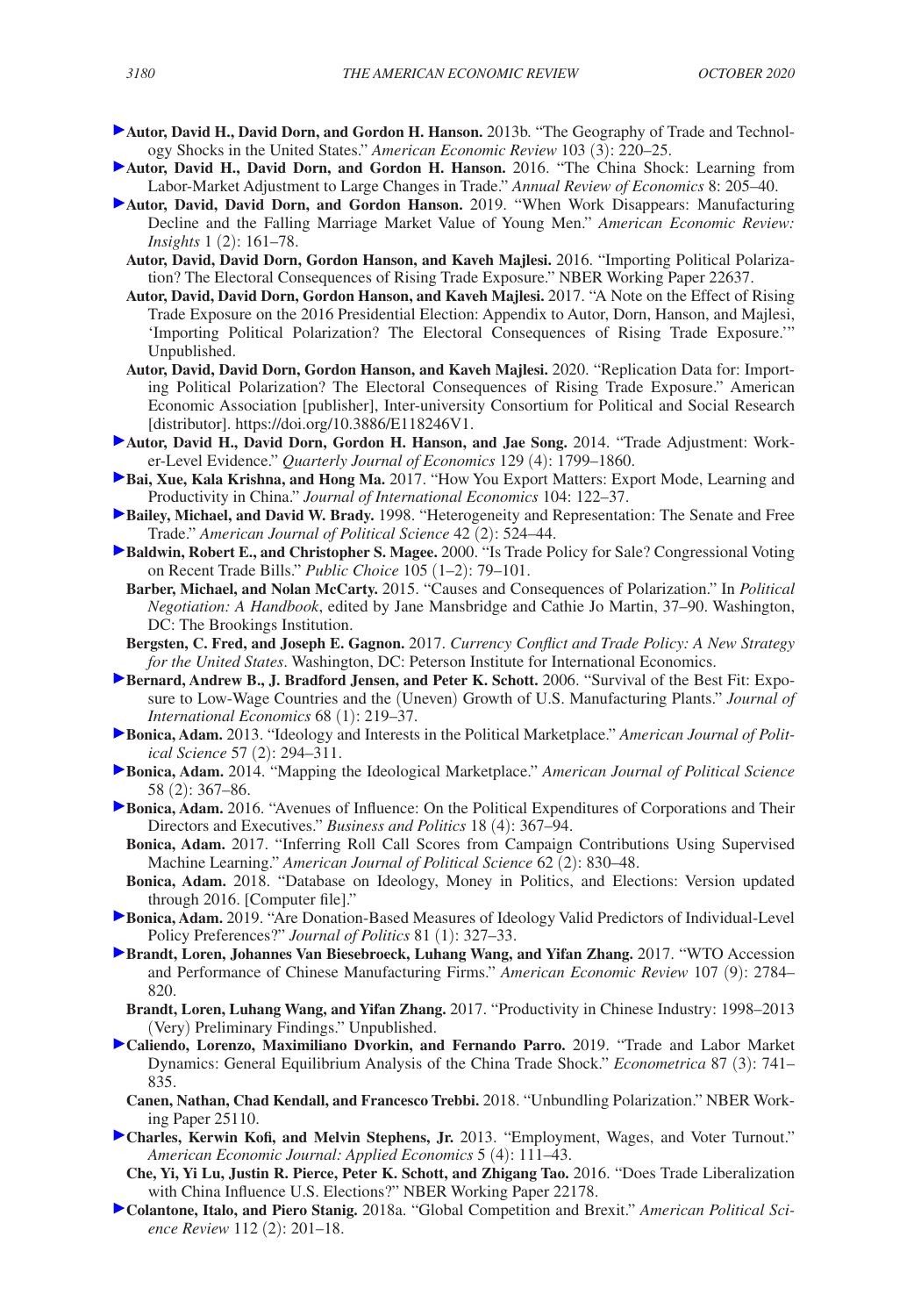- **Autor, David H., David Dorn, and Gordon H. Hanson.** 2013b. "The Geography of Trade and Technology Shocks in the United States." *American Economic Review* 103 (3): 220–25.
- **Autor, David H., David Dorn, and Gordon H. Hanson.** 2016. "The China Shock: Learning from Labor-Market Adjustment to Large Changes in Trade." *Annual Review of Economics* 8: 205–40.
- **Autor, David, David Dorn, and Gordon Hanson.** 2019. "When Work Disappears: Manufacturing Decline and the Falling Marriage Market Value of Young Men." *American Economic Review: Insights* 1 (2): 161–78.
	- **Autor, David, David Dorn, Gordon Hanson, and Kaveh Majlesi.** 2016. "Importing Political Polarization? The Electoral Consequences of Rising Trade Exposure." NBER Working Paper 22637.
	- **Autor, David, David Dorn, Gordon Hanson, and Kaveh Majlesi.** 2017. "A Note on the Effect of Rising Trade Exposure on the 2016 Presidential Election: Appendix to Autor, Dorn, Hanson, and Majlesi, 'Importing Political Polarization? The Electoral Consequences of Rising Trade Exposure.'" Unpublished.
	- **Autor, David, David Dorn, Gordon Hanson, and Kaveh Majlesi.** 2020. "Replication Data for: Importing Political Polarization? The Electoral Consequences of Rising Trade Exposure." American Economic Association [publisher], Inter-university Consortium for Political and Social Research [distributor]. https://doi.org/10.3886/E118246V1.
- **Autor, David H., David Dorn, Gordon H. Hanson, and Jae Song.** 2014. "Trade Adjustment: Worker-Level Evidence." *Quarterly Journal of Economics* 129 (4): 1799–1860.
- **Bai, Xue, Kala Krishna, and Hong Ma.** 2017. "How You Export Matters: Export Mode, Learning and Productivity in China." *Journal of International Economics* 104: 122–37.
- **Bailey, Michael, and David W. Brady.** 1998. "Heterogeneity and Representation: The Senate and Free Trade." *American Journal of Political Science* 42 (2): 524–44.
- **Baldwin, Robert E., and Christopher S. Magee.** 2000. "Is Trade Policy for Sale? Congressional Voting on Recent Trade Bills." *Public Choice* 105 (1–2): 79–101.
- **Barber, Michael, and Nolan McCarty.** 2015. "Causes and Consequences of Polarization." In *Political Negotiation: A Handbook*, edited by Jane Mansbridge and Cathie Jo Martin, 37–90. Washington, DC: The Brookings Institution.
- **Bergsten, C. Fred, and Joseph E. Gagnon.** 2017. *Currency Conflict and Trade Policy: A New Strategy for the United States*. Washington, DC: Peterson Institute for International Economics.
- **Bernard, Andrew B., J. Bradford Jensen, and Peter K. Schott. 2006. "Survival of the Best Fit: Expo**sure to Low-Wage Countries and the (Uneven) Growth of U.S. Manufacturing Plants." *Journal of International Economics* 68 (1): 219–37.
- **Bonica, Adam.** 2013. "Ideology and Interests in the Political Marketplace." *American Journal of Political Science* 57 (2): 294–311.
- **Bonica, Adam.** 2014. "Mapping the Ideological Marketplace." *American Journal of Political Science* 58 (2): 367–86.
- **Bonica, Adam.** 2016. "Avenues of Influence: On the Political Expenditures of Corporations and Their Directors and Executives." *Business and Politics* 18 (4): 367–94.
	- **Bonica, Adam.** 2017. "Inferring Roll Call Scores from Campaign Contributions Using Supervised Machine Learning." *American Journal of Political Science* 62 (2): 830–48.
- **Bonica, Adam.** 2018. "Database on Ideology, Money in Politics, and Elections: Version updated through 2016. [Computer file]."
- **Bonica, Adam.** 2019. "Are Donation-Based Measures of Ideology Valid Predictors of Individual-Level Policy Preferences?" *Journal of Politics* 81 (1): 327–33.
- **Brandt, Loren, Johannes Van Biesebroeck, Luhang Wang, and Yifan Zhang.** 2017. "WTO Accession and Performance of Chinese Manufacturing Firms." *American Economic Review* 107 (9): 2784– 820.
	- **Brandt, Loren, Luhang Wang, and Yifan Zhang.** 2017. "Productivity in Chinese Industry: 1998–2013 (Very) Preliminary Findings." Unpublished.
- **Caliendo, Lorenzo, Maximiliano Dvorkin, and Fernando Parro.** 2019. "Trade and Labor Market Dynamics: General Equilibrium Analysis of the China Trade Shock." *Econometrica* 87 (3): 741– 835.
	- **Canen, Nathan, Chad Kendall, and Francesco Trebbi.** 2018. "Unbundling Polarization." NBER Working Paper 25110.
- **Charles, Kerwin Kofi, and Melvin Stephens, Jr. 2013. "Employment, Wages, and Voter Turnout."** *American Economic Journal: Applied Economics* 5 (4): 111–43.
	- **Che, Yi, Yi Lu, Justin R. Pierce, Peter K. Schott, and Zhigang Tao.** 2016. "Does Trade Liberalization with China Influence U.S. Elections?" NBER Working Paper 22178.
- **Colantone, Italo, and Piero Stanig.** 2018a. "Global Competition and Brexit." *American Political Science Review* 112 (2): 201–18.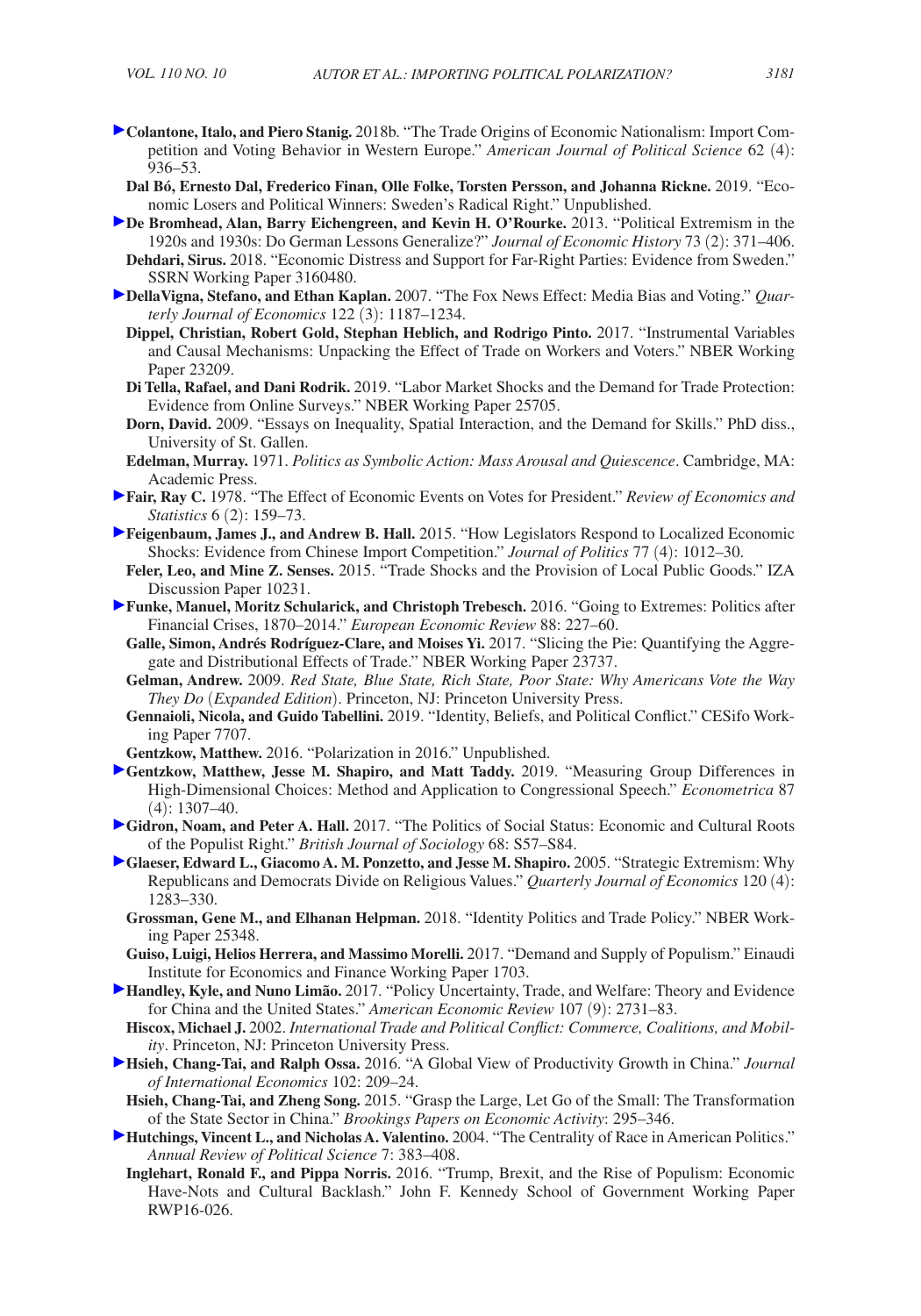- **Colantone, Italo, and Piero Stanig.** 2018b. "The Trade Origins of Economic Nationalism: Import Competition and Voting Behavior in Western Europe." *American Journal of Political Science* 62 (4): 936–53.
	- **Dal Bó, Ernesto Dal, Frederico Finan, Olle Folke, Torsten Persson, and Johanna Rickne.** 2019. "Economic Losers and Political Winners: Sweden's Radical Right." Unpublished.
- **De Bromhead, Alan, Barry Eichengreen, and Kevin H. O'Rourke.** 2013. "Political Extremism in the 1920s and 1930s: Do German Lessons Generalize?" *Journal of Economic History* 73 (2): 371–406. **Dehdari, Sirus.** 2018. "Economic Distress and Support for Far-Right Parties: Evidence from Sweden." SSRN Working Paper 3160480.
- **DellaVigna, Stefano, and Ethan Kaplan.** 2007. "The Fox News Effect: Media Bias and Voting." *Quarterly Journal of Economics* 122 (3): 1187–1234.
	- **Dippel, Christian, Robert Gold, Stephan Heblich, and Rodrigo Pinto.** 2017. "Instrumental Variables and Causal Mechanisms: Unpacking the Effect of Trade on Workers and Voters." NBER Working Paper 23209.
	- **Di Tella, Rafael, and Dani Rodrik.** 2019. "Labor Market Shocks and the Demand for Trade Protection: Evidence from Online Surveys." NBER Working Paper 25705.
	- **Dorn, David.** 2009. "Essays on Inequality, Spatial Interaction, and the Demand for Skills." PhD diss., University of St. Gallen.
	- **Edelman, Murray.** 1971. *Politics as Symbolic Action: Mass Arousal and Quiescence*. Cambridge, MA: Academic Press.
- **Fair, Ray C.** 1978. "The Effect of Economic Events on Votes for President." *Review of Economics and Statistics* 6 (2): 159–73.
- **Feigenbaum, James J., and Andrew B. Hall.** 2015. "How Legislators Respond to Localized Economic Shocks: Evidence from Chinese Import Competition." *Journal of Politics* 77 (4): 1012–30.
	- **Feler, Leo, and Mine Z. Senses.** 2015. "Trade Shocks and the Provision of Local Public Goods." IZA Discussion Paper 10231.
- **Funke, Manuel, Moritz Schularick, and Christoph Trebesch.** 2016. "Going to Extremes: Politics after Financial Crises, 1870–2014." *European Economic Review* 88: 227–60.
- **Galle, Simon, Andrés Rodríguez-Clare, and Moises Yi.** 2017. "Slicing the Pie: Quantifying the Aggregate and Distributional Effects of Trade." NBER Working Paper 23737.
- **Gelman, Andrew.** 2009. *Red State, Blue State, Rich State, Poor State: Why Americans Vote the Way They Do* (*Expanded Edition*). Princeton, NJ: Princeton University Press.
- **Gennaioli, Nicola, and Guido Tabellini.** 2019. "Identity, Beliefs, and Political Conflict." CESifo Working Paper 7707.
- **Gentzkow, Matthew.** 2016. "Polarization in 2016." Unpublished.
- **Gentzkow, Matthew, Jesse M. Shapiro, and Matt Taddy.** 2019. "Measuring Group Differences in High-Dimensional Choices: Method and Application to Congressional Speech." *Econometrica* 87 (4): 1307–40.
- **Gidron, Noam, and Peter A. Hall.** 2017. "The Politics of Social Status: Economic and Cultural Roots of the Populist Right." *British Journal of Sociology* 68: S57–S84.
- **Glaeser, Edward L., Giacomo A. M. Ponzetto, and Jesse M. Shapiro.** 2005. "Strategic Extremism: Why Republicans and Democrats Divide on Religious Values." *Quarterly Journal of Economics* 120 (4): 1283–330.
	- **Grossman, Gene M., and Elhanan Helpman.** 2018. "Identity Politics and Trade Policy." NBER Working Paper 25348.
	- **Guiso, Luigi, Helios Herrera, and Massimo Morelli.** 2017. "Demand and Supply of Populism." Einaudi Institute for Economics and Finance Working Paper 1703.
- **Handley, Kyle, and Nuno Limão.** 2017. "Policy Uncertainty, Trade, and Welfare: Theory and Evidence for China and the United States." *American Economic Review* 107 (9): 2731–83.
- **Hiscox, Michael J.** 2002. *International Trade and Political Conflict: Commerce, Coalitions, and Mobility*. Princeton, NJ: Princeton University Press.
- **Hsieh, Chang-Tai, and Ralph Ossa.** 2016. "A Global View of Productivity Growth in China." *Journal of International Economics* 102: 209–24.
- **Hsieh, Chang-Tai, and Zheng Song.** 2015. "Grasp the Large, Let Go of the Small: The Transformation of the State Sector in China." *Brookings Papers on Economic Activity*: 295–346.
- **Hutchings, Vincent L., and Nicholas A. Valentino.** 2004. "The Centrality of Race in American Politics." *Annual Review of Political Science* 7: 383–408.
	- **Inglehart, Ronald F., and Pippa Norris.** 2016. "Trump, Brexit, and the Rise of Populism: Economic Have-Nots and Cultural Backlash." John F. Kennedy School of Government Working Paper RWP16-026.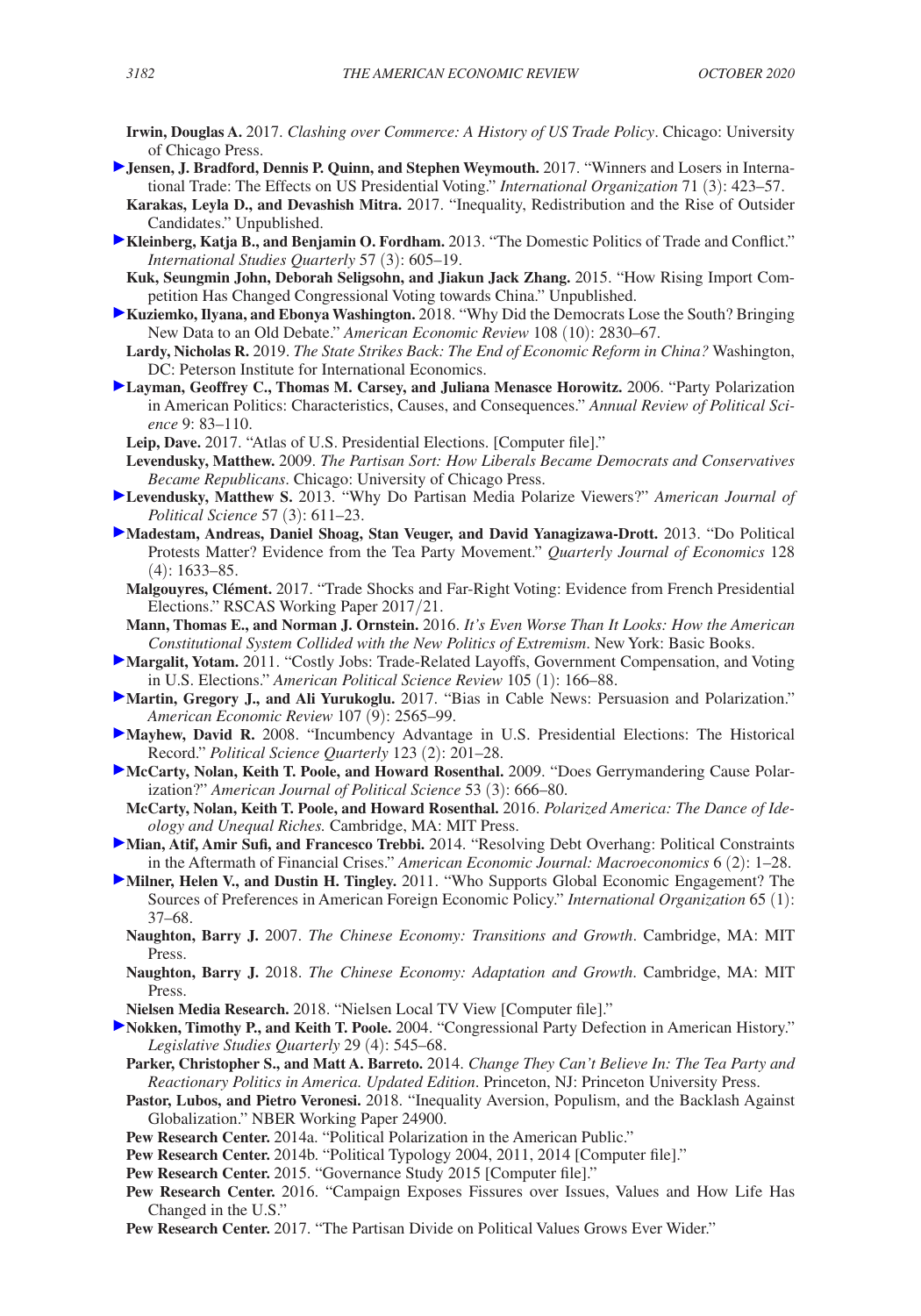- **Irwin, Douglas A.** 2017. *Clashing over Commerce: A History of US Trade Policy*. Chicago: University of Chicago Press.
- **Jensen, J. Bradford, Dennis P. Quinn, and Stephen Weymouth.** 2017. "Winners and Losers in International Trade: The Effects on US Presidential Voting." *International Organization* 71 (3): 423–57.
- **Karakas, Leyla D., and Devashish Mitra.** 2017. "Inequality, Redistribution and the Rise of Outsider Candidates." Unpublished.
- **Kleinberg, Katja B., and Benjamin O. Fordham.** 2013. "The Domestic Politics of Trade and Conflict." *International Studies Quarterly* 57 (3): 605–19.
- **Kuk, Seungmin John, Deborah Seligsohn, and Jiakun Jack Zhang.** 2015. "How Rising Import Competition Has Changed Congressional Voting towards China." Unpublished.
- **Kuziemko, Ilyana, and Ebonya Washington.** 2018. "Why Did the Democrats Lose the South? Bringing New Data to an Old Debate." *American Economic Review* 108 (10): 2830–67.
- **Lardy, Nicholas R.** 2019. *The State Strikes Back: The End of Economic Reform in China?* Washington, DC: Peterson Institute for International Economics.
- **Layman, Geoffrey C., Thomas M. Carsey, and Juliana Menasce Horowitz.** 2006. "Party Polarization in American Politics: Characteristics, Causes, and Consequences." *Annual Review of Political Science* 9: 83–110.
	- **Leip, Dave.** 2017. "Atlas of U.S. Presidential Elections. [Computer file]."
	- **Levendusky, Matthew.** 2009. *The Partisan Sort: How Liberals Became Democrats and Conservatives Became Republicans*. Chicago: University of Chicago Press.
- **Levendusky, Matthew S.** 2013. "Why Do Partisan Media Polarize Viewers?" *American Journal of Political Science* 57 (3): 611–23.
- **Madestam, Andreas, Daniel Shoag, Stan Veuger, and David Yanagizawa-Drott.** 2013. "Do Political Protests Matter? Evidence from the Tea Party Movement." *Quarterly Journal of Economics* 128 (4): 1633–85.
	- **Malgouyres, Clément.** 2017. "Trade Shocks and Far-Right Voting: Evidence from French Presidential Elections." RSCAS Working Paper 2017/21.
- **Mann, Thomas E., and Norman J. Ornstein.** 2016. *It's Even Worse Than It Looks: How the American Constitutional System Collided with the New Politics of Extremism*. New York: Basic Books.
- **Margalit, Yotam.** 2011. "Costly Jobs: Trade-Related Layoffs, Government Compensation, and Voting in U.S. Elections." *American Political Science Review* 105 (1): 166–88.
- **Martin, Gregory J., and Ali Yurukoglu.** 2017. "Bias in Cable News: Persuasion and Polarization." *American Economic Review* 107 (9): 2565–99.
- **Mayhew, David R.** 2008. "Incumbency Advantage in U.S. Presidential Elections: The Historical Record." *Political Science Quarterly* 123 (2): 201–28.
- **McCarty, Nolan, Keith T. Poole, and Howard Rosenthal.** 2009. "Does Gerrymandering Cause Polarization?" *American Journal of Political Science* 53 (3): 666–80.
- **McCarty, Nolan, Keith T. Poole, and Howard Rosenthal.** 2016. *Polarized America: The Dance of Ideology and Unequal Riches.* Cambridge, MA: MIT Press.
- **Mian, Atif, Amir Sufi, and Francesco Trebbi.** 2014. "Resolving Debt Overhang: Political Constraints in the Aftermath of Financial Crises." *American Economic Journal: Macroeconomics* 6 (2): 1–28.
- **Milner, Helen V., and Dustin H. Tingley.** 2011. "Who Supports Global Economic Engagement? The Sources of Preferences in American Foreign Economic Policy." *International Organization* 65 (1): 37–68.
	- **Naughton, Barry J.** 2007. *The Chinese Economy: Transitions and Growth*. Cambridge, MA: MIT Press.
	- **Naughton, Barry J.** 2018. *The Chinese Economy: Adaptation and Growth*. Cambridge, MA: MIT Press.
	- **Nielsen Media Research.** 2018. "Nielsen Local TV View [Computer file]."
- **Nokken, Timothy P., and Keith T. Poole.** 2004. "Congressional Party Defection in American History." *Legislative Studies Quarterly* 29 (4): 545–68.
	- **Parker, Christopher S., and Matt A. Barreto.** 2014. *Change They Can't Believe In: The Tea Party and Reactionary Politics in America. Updated Edition*. Princeton, NJ: Princeton University Press.
	- **Pastor, Lubos, and Pietro Veronesi.** 2018. "Inequality Aversion, Populism, and the Backlash Against Globalization." NBER Working Paper 24900.
	- **Pew Research Center.** 2014a. "Political Polarization in the American Public."
	- **Pew Research Center.** 2014b. "Political Typology 2004, 2011, 2014 [Computer file]."
	- **Pew Research Center.** 2015. "Governance Study 2015 [Computer file]."
	- **Pew Research Center.** 2016. "Campaign Exposes Fissures over Issues, Values and How Life Has Changed in the U.S."
	- **Pew Research Center.** 2017. "The Partisan Divide on Political Values Grows Ever Wider."